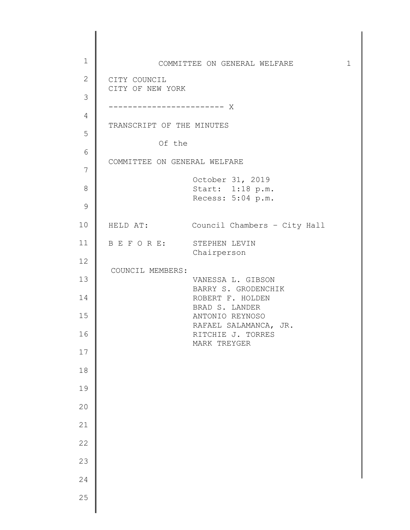1 2 3 4 5 6 7 8 9 10 11 12 13 14 15 16 17 18 19 20 21 22 23 24 25 COMMITTEE ON GENERAL WELFARE 1 CITY COUNCIL CITY OF NEW YORK ------------------------ X TRANSCRIPT OF THE MINUTES Of the COMMITTEE ON GENERAL WELFARE October 31, 2019 Start: 1:18 p.m. Recess: 5:04 p.m. HELD AT: Council Chambers – City Hall B E F O R E: STEPHEN LEVIN Chairperson COUNCIL MEMBERS: VANESSA L. GIBSON BARRY S. GRODENCHIK ROBERT F. HOLDEN BRAD S. LANDER ANTONIO REYNOSO RAFAEL SALAMANCA, JR. RITCHIE J. TORRES MARK TREYGER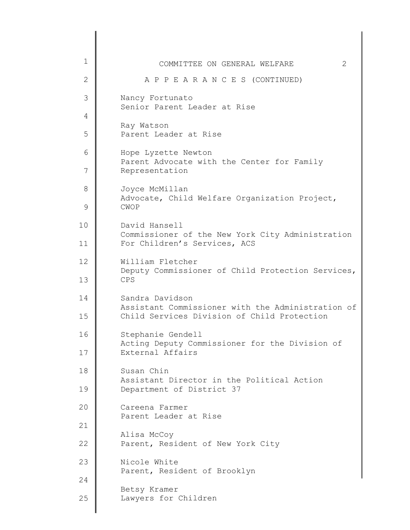| 1<br>COMMITTEE ON GENERAL WELFARE<br>$\overline{2}$<br>A P P E A R A N C E S (CONTINUED) | 2 |
|------------------------------------------------------------------------------------------|---|
|                                                                                          |   |
|                                                                                          |   |
| 3<br>Nancy Fortunato<br>Senior Parent Leader at Rise                                     |   |
| 4                                                                                        |   |
| Ray Watson<br>5<br>Parent Leader at Rise                                                 |   |
| 6<br>Hope Lyzette Newton                                                                 |   |
| Parent Advocate with the Center for Family<br>7<br>Representation                        |   |
| 8<br>Joyce McMillan<br>Advocate, Child Welfare Organization Project,                     |   |
| $\mathsf 9$<br><b>CWOP</b>                                                               |   |
| 10<br>David Hansell<br>Commissioner of the New York City Administration                  |   |
| For Children's Services, ACS<br>11                                                       |   |
| 12<br>William Fletcher<br>Deputy Commissioner of Child Protection Services,              |   |
| 13<br>CPS                                                                                |   |
| Sandra Davidson<br>14<br>Assistant Commissioner with the Administration of               |   |
| Child Services Division of Child Protection<br>15                                        |   |
| 16<br>Stephanie Gendell<br>Acting Deputy Commissioner for the Division of                |   |
| 17<br>External Affairs                                                                   |   |
| Susan Chin<br>18<br>Assistant Director in the Political Action                           |   |
| 19<br>Department of District 37                                                          |   |
| 20<br>Careena Farmer<br>Parent Leader at Rise                                            |   |
| 21<br>Alisa McCoy                                                                        |   |
| 22<br>Parent, Resident of New York City                                                  |   |
| 23<br>Nicole White<br>Parent, Resident of Brooklyn                                       |   |
| 24<br>Betsy Kramer                                                                       |   |
| 25<br>Lawyers for Children                                                               |   |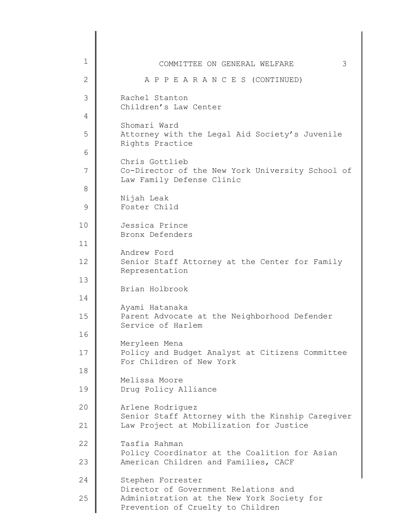| $\mathbf 1$  | 3<br>COMMITTEE ON GENERAL WELFARE                                                   |
|--------------|-------------------------------------------------------------------------------------|
| $\mathbf{2}$ | A P P E A R A N C E S (CONTINUED)                                                   |
| 3            | Rachel Stanton<br>Children's Law Center                                             |
| 4            |                                                                                     |
| 5            | Shomari Ward<br>Attorney with the Legal Aid Society's Juvenile<br>Rights Practice   |
| 6            | Chris Gottlieb                                                                      |
| 7            | Co-Director of the New York University School of<br>Law Family Defense Clinic       |
| 8            | Nijah Leak                                                                          |
| 9            | Foster Child                                                                        |
| 10           | Jessica Prince<br>Bronx Defenders                                                   |
| 11           |                                                                                     |
| 12           | Andrew Ford<br>Senior Staff Attorney at the Center for Family<br>Representation     |
| 13           | Brian Holbrook                                                                      |
| 14           |                                                                                     |
| 15           | Ayami Hatanaka<br>Parent Advocate at the Neighborhood Defender<br>Service of Harlem |
| 16           | Meryleen Mena                                                                       |
| 17           | Policy and Budget Analyst at Citizens Committee<br>For Children of New York         |
| 18           | Melissa Moore                                                                       |
| 19           | Drug Policy Alliance                                                                |
| 20           | Arlene Rodriguez<br>Senior Staff Attorney with the Kinship Caregiver                |
| 21           | Law Project at Mobilization for Justice                                             |
| 22           | Tasfia Rahman<br>Policy Coordinator at the Coalition for Asian                      |
| 23           | American Children and Families, CACF                                                |
| 24           | Stephen Forrester<br>Director of Government Relations and                           |
| 25           | Administration at the New York Society for<br>Prevention of Cruelty to Children     |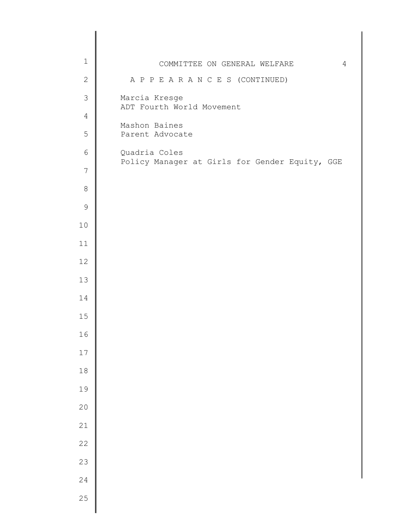| $1\,$           | COMMITTEE ON GENERAL WELFARE<br>4              |
|-----------------|------------------------------------------------|
| $\sqrt{2}$      | A P P E A R A N C E S (CONTINUED)              |
| $\mathfrak{Z}$  | Marcia Kresge<br>ADT Fourth World Movement     |
| $\overline{4}$  |                                                |
| 5               | Mashon Baines<br>Parent Advocate               |
| $\epsilon$      | Quadria Coles                                  |
| $7\phantom{.0}$ | Policy Manager at Girls for Gender Equity, GGE |
| $\,8\,$         |                                                |
| $\mathsf 9$     |                                                |
| $10$            |                                                |
| 11              |                                                |
| 12              |                                                |
| 13              |                                                |
| 14              |                                                |
| 15              |                                                |
| 16              |                                                |
| 17              |                                                |
| $1\,8$          |                                                |
| 19              |                                                |
| 20              |                                                |
| 21              |                                                |
| 22              |                                                |
| 23              |                                                |
| 24              |                                                |
| 25              |                                                |
|                 |                                                |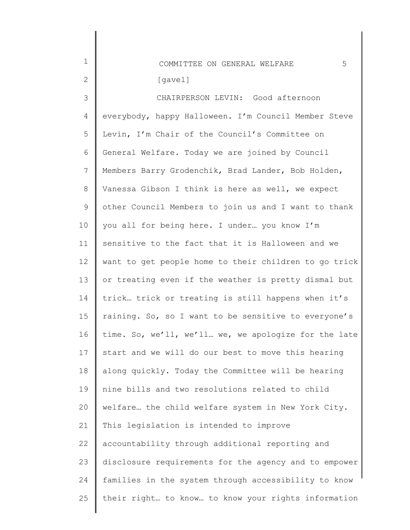| $\mathbf 1$ | 5<br>COMMITTEE ON GENERAL WELFARE                     |
|-------------|-------------------------------------------------------|
| 2           | [gavel]                                               |
| 3           | CHAIRPERSON LEVIN: Good afternoon                     |
| 4           | everybody, happy Halloween. I'm Council Member Steve  |
| 5           | Levin, I'm Chair of the Council's Committee on        |
| 6           | General Welfare. Today we are joined by Council       |
| 7           | Members Barry Grodenchik, Brad Lander, Bob Holden,    |
| $8\,$       | Vanessa Gibson I think is here as well, we expect     |
| $\mathsf 9$ | other Council Members to join us and I want to thank  |
| 10          | you all for being here. I under you know I'm          |
| 11          | sensitive to the fact that it is Halloween and we     |
| 12          | want to get people home to their children to go trick |
| 13          | or treating even if the weather is pretty dismal but  |
| 14          | trick trick or treating is still happens when it's    |
| 15          | raining. So, so I want to be sensitive to everyone's  |
| 16          | time. So, we'll, we'll we, we apologize for the late  |
| 17          | start and we will do our best to move this hearing    |
| 18          | along quickly. Today the Committee will be hearing    |
| 19          | nine bills and two resolutions related to child       |
| 20          | welfare the child welfare system in New York City.    |
| 21          | This legislation is intended to improve               |
| 22          | accountability through additional reporting and       |
| 23          | disclosure requirements for the agency and to empower |
| 24          | families in the system through accessibility to know  |
| 25          | their right to know to know your rights information   |
|             |                                                       |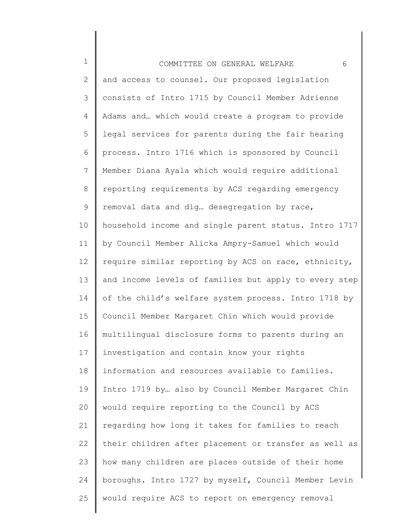| $\mathbf 1$     | 6<br>COMMITTEE ON GENERAL WELFARE                     |
|-----------------|-------------------------------------------------------|
| 2               | and access to counsel. Our proposed legislation       |
| 3               | consists of Intro 1715 by Council Member Adrienne     |
| 4               | Adams and which would create a program to provide     |
| 5               | legal services for parents during the fair hearing    |
| 6               | process. Intro 1716 which is sponsored by Council     |
| $7\phantom{.0}$ | Member Diana Ayala which would require additional     |
| 8               | reporting requirements by ACS regarding emergency     |
| $\mathsf 9$     | removal data and dig desegregation by race,           |
| 10              | household income and single parent status. Intro 1717 |
| 11              | by Council Member Alicka Ampry-Samuel which would     |
| 12              | require similar reporting by ACS on race, ethnicity,  |
| 13              | and income levels of families but apply to every step |
| 14              | of the child's welfare system process. Intro 1718 by  |
| 15              | Council Member Margaret Chin which would provide      |
| 16              | multilingual disclosure forms to parents during an    |
| 17              | investigation and contain know your rights            |
| 18              | information and resources available to families.      |
| 19              | Intro 1719 by also by Council Member Margaret Chin    |
| 20              | would require reporting to the Council by ACS         |
| 21              | regarding how long it takes for families to reach     |
| 22              | their children after placement or transfer as well as |
| 23              | how many children are places outside of their home    |
| 24              | boroughs. Intro 1727 by myself, Council Member Levin  |
| 25              | would require ACS to report on emergency removal      |
|                 |                                                       |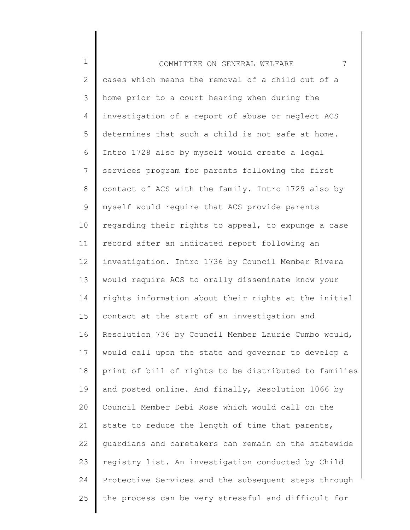| $\mathbf 1$    | 7<br>COMMITTEE ON GENERAL WELFARE                     |
|----------------|-------------------------------------------------------|
| $\mathbf{2}$   | cases which means the removal of a child out of a     |
| 3              | home prior to a court hearing when during the         |
| $\overline{4}$ | investigation of a report of abuse or neglect ACS     |
| 5              | determines that such a child is not safe at home.     |
| 6              | Intro 1728 also by myself would create a legal        |
| $\overline{7}$ | services program for parents following the first      |
| $8\,$          | contact of ACS with the family. Intro 1729 also by    |
| $\mathsf 9$    | myself would require that ACS provide parents         |
| 10             | regarding their rights to appeal, to expunge a case   |
| 11             | record after an indicated report following an         |
| 12             | investigation. Intro 1736 by Council Member Rivera    |
| 13             | would require ACS to orally disseminate know your     |
| 14             | rights information about their rights at the initial  |
| 15             | contact at the start of an investigation and          |
| 16             | Resolution 736 by Council Member Laurie Cumbo would,  |
| 17             | would call upon the state and governor to develop a   |
| 18             | print of bill of rights to be distributed to families |
| 19             | and posted online. And finally, Resolution 1066 by    |
| 20             | Council Member Debi Rose which would call on the      |
| 21             | state to reduce the length of time that parents,      |
| 22             | guardians and caretakers can remain on the statewide  |
| 23             | registry list. An investigation conducted by Child    |
| 24             | Protective Services and the subsequent steps through  |
| 25             | the process can be very stressful and difficult for   |
|                |                                                       |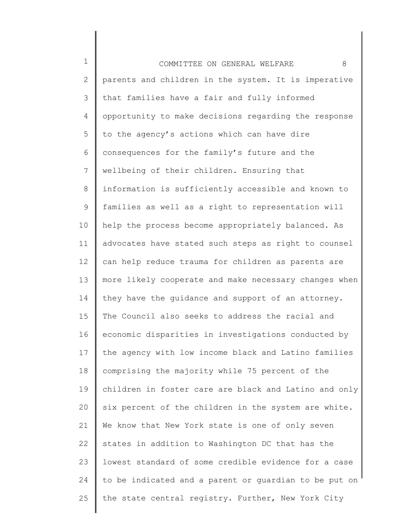1 2 3 4 5 6 7 8 9 10 11 12 13 14 15 16 17 18 19 20 21 22 23 24 25 COMMITTEE ON GENERAL WELFARE 8 parents and children in the system. It is imperative that families have a fair and fully informed opportunity to make decisions regarding the response to the agency's actions which can have dire consequences for the family's future and the wellbeing of their children. Ensuring that information is sufficiently accessible and known to families as well as a right to representation will help the process become appropriately balanced. As advocates have stated such steps as right to counsel can help reduce trauma for children as parents are more likely cooperate and make necessary changes when they have the guidance and support of an attorney. The Council also seeks to address the racial and economic disparities in investigations conducted by the agency with low income black and Latino families comprising the majority while 75 percent of the children in foster care are black and Latino and only six percent of the children in the system are white. We know that New York state is one of only seven states in addition to Washington DC that has the lowest standard of some credible evidence for a case to be indicated and a parent or guardian to be put on the state central registry. Further, New York City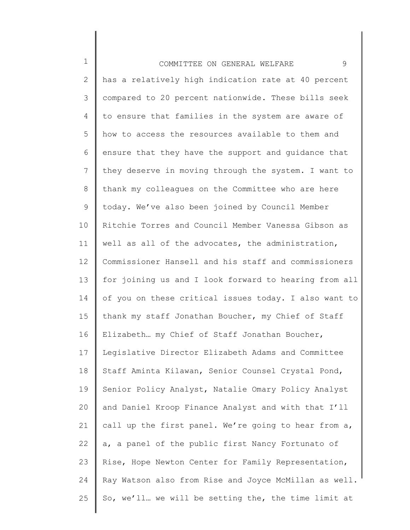1 2 3 4 5 6 7 8 9 10 11 12 13 14 15 16 17 18 19 20 21 22 23 24 25 COMMITTEE ON GENERAL WELFARE 9 has a relatively high indication rate at 40 percent compared to 20 percent nationwide. These bills seek to ensure that families in the system are aware of how to access the resources available to them and ensure that they have the support and guidance that they deserve in moving through the system. I want to thank my colleagues on the Committee who are here today. We've also been joined by Council Member Ritchie Torres and Council Member Vanessa Gibson as well as all of the advocates, the administration, Commissioner Hansell and his staff and commissioners for joining us and I look forward to hearing from all of you on these critical issues today. I also want to thank my staff Jonathan Boucher, my Chief of Staff Elizabeth… my Chief of Staff Jonathan Boucher, Legislative Director Elizabeth Adams and Committee Staff Aminta Kilawan, Senior Counsel Crystal Pond, Senior Policy Analyst, Natalie Omary Policy Analyst and Daniel Kroop Finance Analyst and with that I'll call up the first panel. We're going to hear from a, a, a panel of the public first Nancy Fortunato of Rise, Hope Newton Center for Family Representation, Ray Watson also from Rise and Joyce McMillan as well. So, we'll… we will be setting the, the time limit at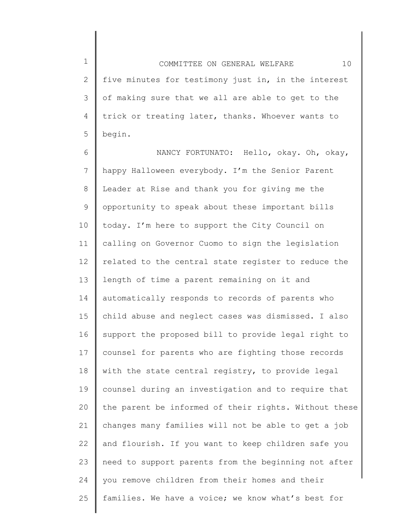1 2 3 4 5 COMMITTEE ON GENERAL WELFARE 10 five minutes for testimony just in, in the interest of making sure that we all are able to get to the trick or treating later, thanks. Whoever wants to begin.

6 7 8 9 10 11 12 13 14 15 16 17 18 19 20 21 22 23 24 25 NANCY FORTUNATO: Hello, okay. Oh, okay, happy Halloween everybody. I'm the Senior Parent Leader at Rise and thank you for giving me the opportunity to speak about these important bills today. I'm here to support the City Council on calling on Governor Cuomo to sign the legislation related to the central state register to reduce the length of time a parent remaining on it and automatically responds to records of parents who child abuse and neglect cases was dismissed. I also support the proposed bill to provide legal right to counsel for parents who are fighting those records with the state central registry, to provide legal counsel during an investigation and to require that the parent be informed of their rights. Without these changes many families will not be able to get a job and flourish. If you want to keep children safe you need to support parents from the beginning not after you remove children from their homes and their families. We have a voice; we know what's best for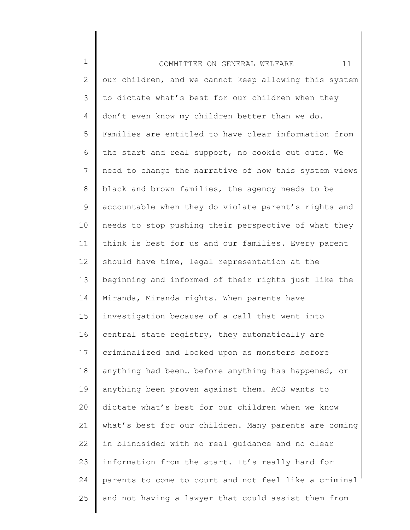1 2 3 4 5 6 7 8 9 10 11 12 13 14 15 16 17 18 19 20 21 22 23 24 25 COMMITTEE ON GENERAL WELFARE 11 our children, and we cannot keep allowing this system to dictate what's best for our children when they don't even know my children better than we do. Families are entitled to have clear information from the start and real support, no cookie cut outs. We need to change the narrative of how this system views black and brown families, the agency needs to be accountable when they do violate parent's rights and needs to stop pushing their perspective of what they think is best for us and our families. Every parent should have time, legal representation at the beginning and informed of their rights just like the Miranda, Miranda rights. When parents have investigation because of a call that went into central state registry, they automatically are criminalized and looked upon as monsters before anything had been… before anything has happened, or anything been proven against them. ACS wants to dictate what's best for our children when we know what's best for our children. Many parents are coming in blindsided with no real guidance and no clear information from the start. It's really hard for parents to come to court and not feel like a criminal and not having a lawyer that could assist them from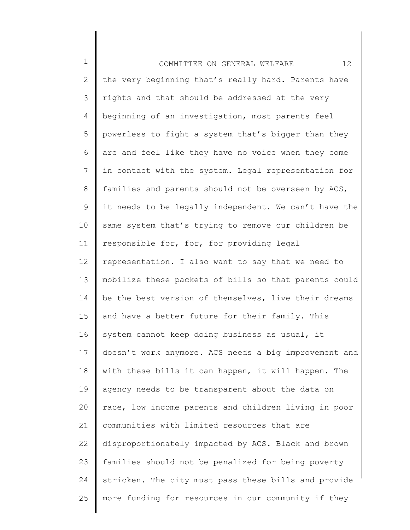1 2 3 4 5 6 7 8 9 10 11 12 13 14 15 16 17 18 19 20 21 22 23 24 25 COMMITTEE ON GENERAL WELFARE 12 the very beginning that's really hard. Parents have rights and that should be addressed at the very beginning of an investigation, most parents feel powerless to fight a system that's bigger than they are and feel like they have no voice when they come in contact with the system. Legal representation for families and parents should not be overseen by ACS, it needs to be legally independent. We can't have the same system that's trying to remove our children be responsible for, for, for providing legal representation. I also want to say that we need to mobilize these packets of bills so that parents could be the best version of themselves, live their dreams and have a better future for their family. This system cannot keep doing business as usual, it doesn't work anymore. ACS needs a big improvement and with these bills it can happen, it will happen. The agency needs to be transparent about the data on race, low income parents and children living in poor communities with limited resources that are disproportionately impacted by ACS. Black and brown families should not be penalized for being poverty stricken. The city must pass these bills and provide more funding for resources in our community if they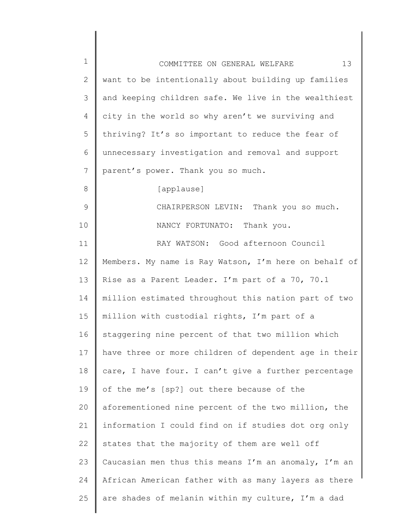| $\mathbf 1$ | 13<br>COMMITTEE ON GENERAL WELFARE                    |
|-------------|-------------------------------------------------------|
| 2           | want to be intentionally about building up families   |
| 3           | and keeping children safe. We live in the wealthiest  |
| 4           | city in the world so why aren't we surviving and      |
| 5           | thriving? It's so important to reduce the fear of     |
| 6           | unnecessary investigation and removal and support     |
| 7           | parent's power. Thank you so much.                    |
| 8           | [applause]                                            |
| 9           | CHAIRPERSON LEVIN: Thank you so much.                 |
| 10          | NANCY FORTUNATO: Thank you.                           |
| 11          | RAY WATSON: Good afternoon Council                    |
| 12          | Members. My name is Ray Watson, I'm here on behalf of |
| 13          | Rise as a Parent Leader. I'm part of a 70, 70.1       |
| 14          | million estimated throughout this nation part of two  |
| 15          | million with custodial rights, I'm part of a          |
| 16          | staggering nine percent of that two million which     |
| 17          | have three or more children of dependent age in their |
| 18          | care, I have four. I can't give a further percentage  |
| 19          | of the me's [sp?] out there because of the            |
| 20          | aforementioned nine percent of the two million, the   |
| 21          | information I could find on if studies dot org only   |
| 22          | states that the majority of them are well off         |
| 23          | Caucasian men thus this means I'm an anomaly, I'm an  |
| 24          | African American father with as many layers as there  |
| 25          | are shades of melanin within my culture, I'm a dad    |
|             |                                                       |

║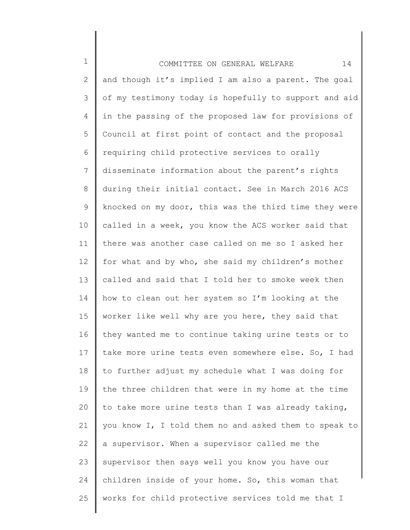1 2 3 4 5 6 7 8 9 10 11 12 13 14 15 16 17 18 19 20 21 22 23 24 25 COMMITTEE ON GENERAL WELFARE 14 and though it's implied I am also a parent. The goal of my testimony today is hopefully to support and aid in the passing of the proposed law for provisions of Council at first point of contact and the proposal requiring child protective services to orally disseminate information about the parent's rights during their initial contact. See in March 2016 ACS knocked on my door, this was the third time they were called in a week, you know the ACS worker said that there was another case called on me so I asked her for what and by who, she said my children's mother called and said that I told her to smoke week then how to clean out her system so I'm looking at the worker like well why are you here, they said that they wanted me to continue taking urine tests or to take more urine tests even somewhere else. So, I had to further adjust my schedule what I was doing for the three children that were in my home at the time to take more urine tests than I was already taking, you know I, I told them no and asked them to speak to a supervisor. When a supervisor called me the supervisor then says well you know you have our children inside of your home. So, this woman that works for child protective services told me that I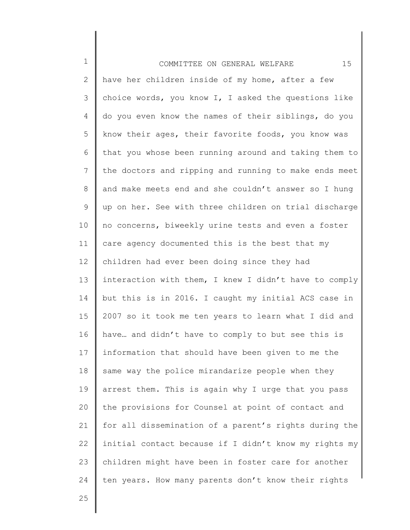1 2 3 4 5 6 7 8 9 10 11 12 13 14 15 16 17 18 19 20 21 22 23 24 COMMITTEE ON GENERAL WELFARE 15 have her children inside of my home, after a few choice words, you know I, I asked the questions like do you even know the names of their siblings, do you know their ages, their favorite foods, you know was that you whose been running around and taking them to the doctors and ripping and running to make ends meet and make meets end and she couldn't answer so I hung up on her. See with three children on trial discharge no concerns, biweekly urine tests and even a foster care agency documented this is the best that my children had ever been doing since they had interaction with them, I knew I didn't have to comply but this is in 2016. I caught my initial ACS case in 2007 so it took me ten years to learn what I did and have… and didn't have to comply to but see this is information that should have been given to me the same way the police mirandarize people when they arrest them. This is again why I urge that you pass the provisions for Counsel at point of contact and for all dissemination of a parent's rights during the initial contact because if I didn't know my rights my children might have been in foster care for another ten years. How many parents don't know their rights

25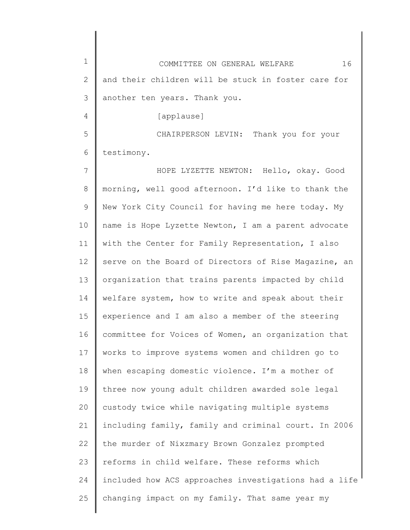| $\mathbf 1$ | 16<br>COMMITTEE ON GENERAL WELFARE                    |
|-------------|-------------------------------------------------------|
| 2           | and their children will be stuck in foster care for   |
| 3           | another ten years. Thank you.                         |
| 4           | [applause]                                            |
| 5           | CHAIRPERSON LEVIN: Thank you for your                 |
| 6           | testimony.                                            |
| 7           | HOPE LYZETTE NEWTON: Hello, okay. Good                |
| 8           | morning, well good afternoon. I'd like to thank the   |
| 9           | New York City Council for having me here today. My    |
| 10          | name is Hope Lyzette Newton, I am a parent advocate   |
| 11          | with the Center for Family Representation, I also     |
| 12          | serve on the Board of Directors of Rise Magazine, an  |
| 13          | organization that trains parents impacted by child    |
| 14          | welfare system, how to write and speak about their    |
| 15          | experience and I am also a member of the steering     |
| 16          | committee for Voices of Women, an organization that   |
| 17          | works to improve systems women and children go to     |
| 18          | when escaping domestic violence. I'm a mother of      |
| 19          | three now young adult children awarded sole legal     |
| 20          | custody twice while navigating multiple systems       |
| 21          | including family, family and criminal court. In 2006  |
| 22          | the murder of Nixzmary Brown Gonzalez prompted        |
| 23          | reforms in child welfare. These reforms which         |
| 24          | included how ACS approaches investigations had a life |
| 25          | changing impact on my family. That same year my       |
|             |                                                       |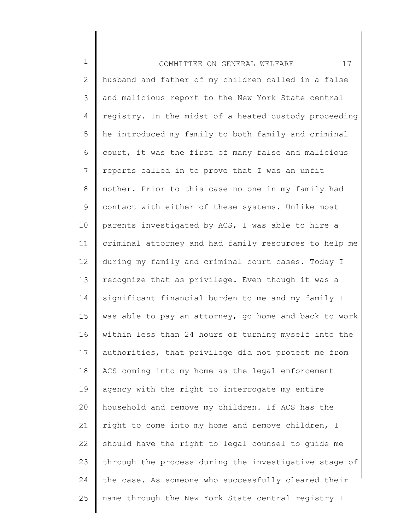1 2 3 4 5 6 7 8 9 10 11 12 13 14 15 16 17 18 19 20 21 22 23 24 25 COMMITTEE ON GENERAL WELFARE 17 husband and father of my children called in a false and malicious report to the New York State central registry. In the midst of a heated custody proceeding he introduced my family to both family and criminal court, it was the first of many false and malicious reports called in to prove that I was an unfit mother. Prior to this case no one in my family had contact with either of these systems. Unlike most parents investigated by ACS, I was able to hire a criminal attorney and had family resources to help me during my family and criminal court cases. Today I recognize that as privilege. Even though it was a significant financial burden to me and my family I was able to pay an attorney, go home and back to work within less than 24 hours of turning myself into the authorities, that privilege did not protect me from ACS coming into my home as the legal enforcement agency with the right to interrogate my entire household and remove my children. If ACS has the right to come into my home and remove children, I should have the right to legal counsel to guide me through the process during the investigative stage of the case. As someone who successfully cleared their name through the New York State central registry I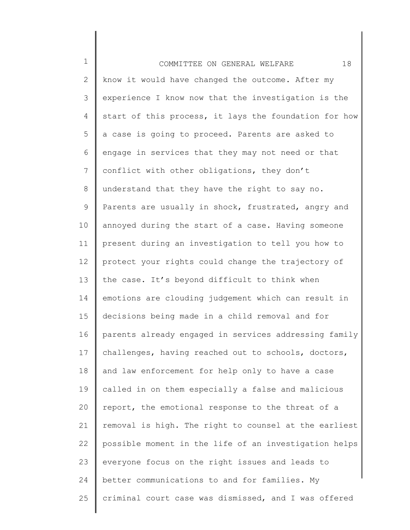| $1\,$ | 18<br>COMMITTEE ON GENERAL WELFARE                    |
|-------|-------------------------------------------------------|
| 2     | know it would have changed the outcome. After my      |
| 3     | experience I know now that the investigation is the   |
| 4     | start of this process, it lays the foundation for how |
| 5     | a case is going to proceed. Parents are asked to      |
| 6     | engage in services that they may not need or that     |
| 7     | conflict with other obligations, they don't           |
| 8     | understand that they have the right to say no.        |
| 9     | Parents are usually in shock, frustrated, angry and   |
| 10    | annoyed during the start of a case. Having someone    |
| 11    | present during an investigation to tell you how to    |
| 12    | protect your rights could change the trajectory of    |
| 13    | the case. It's beyond difficult to think when         |
| 14    | emotions are clouding judgement which can result in   |
| 15    | decisions being made in a child removal and for       |
| 16    | parents already engaged in services addressing family |
| 17    | challenges, having reached out to schools, doctors,   |
| 18    | and law enforcement for help only to have a case      |
| 19    | called in on them especially a false and malicious    |
| 20    | report, the emotional response to the threat of a     |
| 21    | removal is high. The right to counsel at the earliest |
| 22    | possible moment in the life of an investigation helps |
| 23    | everyone focus on the right issues and leads to       |
| 24    | better communications to and for families. My         |
| 25    | criminal court case was dismissed, and I was offered  |
|       |                                                       |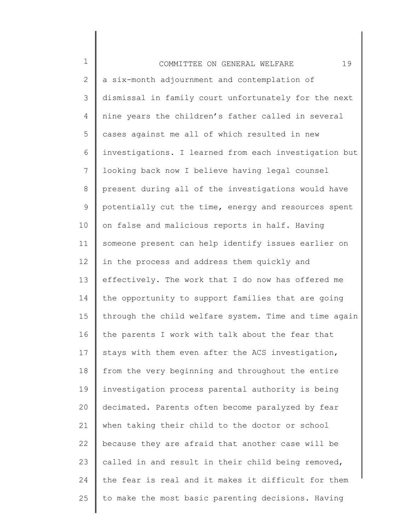1 2 3 4 5 6 7 8 9 10 11 12 13 14 15 16 17 18 19 20 21 22 23 24 25 COMMITTEE ON GENERAL WELFARE 19 a six-month adjournment and contemplation of dismissal in family court unfortunately for the next nine years the children's father called in several cases against me all of which resulted in new investigations. I learned from each investigation but looking back now I believe having legal counsel present during all of the investigations would have potentially cut the time, energy and resources spent on false and malicious reports in half. Having someone present can help identify issues earlier on in the process and address them quickly and effectively. The work that I do now has offered me the opportunity to support families that are going through the child welfare system. Time and time again the parents I work with talk about the fear that stays with them even after the ACS investigation, from the very beginning and throughout the entire investigation process parental authority is being decimated. Parents often become paralyzed by fear when taking their child to the doctor or school because they are afraid that another case will be called in and result in their child being removed, the fear is real and it makes it difficult for them to make the most basic parenting decisions. Having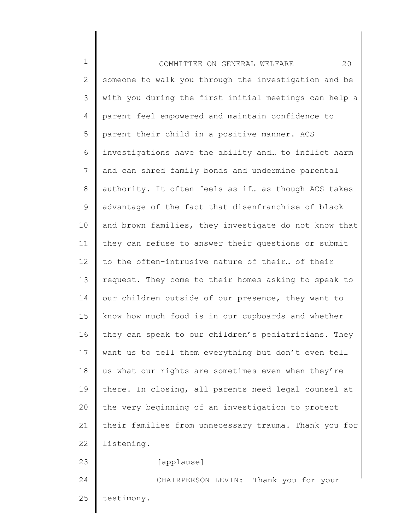1 2 3 4 5 6 7 8 9 10 11 12 13 14 15 16 17 18 19 20 21 22 23 24 25 COMMITTEE ON GENERAL WELFARE 20 someone to walk you through the investigation and be with you during the first initial meetings can help a parent feel empowered and maintain confidence to parent their child in a positive manner. ACS investigations have the ability and… to inflict harm and can shred family bonds and undermine parental authority. It often feels as if… as though ACS takes advantage of the fact that disenfranchise of black and brown families, they investigate do not know that they can refuse to answer their questions or submit to the often-intrusive nature of their… of their request. They come to their homes asking to speak to our children outside of our presence, they want to know how much food is in our cupboards and whether they can speak to our children's pediatricians. They want us to tell them everything but don't even tell us what our rights are sometimes even when they're there. In closing, all parents need legal counsel at the very beginning of an investigation to protect their families from unnecessary trauma. Thank you for listening. [applause] CHAIRPERSON LEVIN: Thank you for your testimony.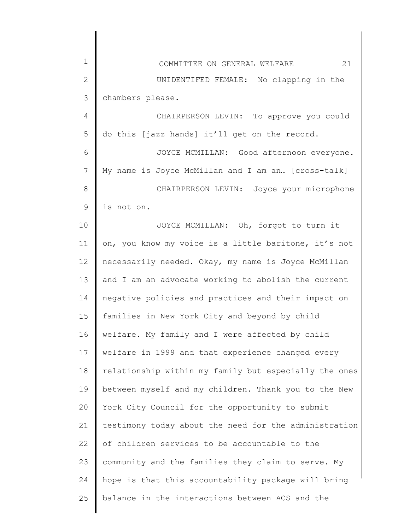| 1            | 21<br>COMMITTEE ON GENERAL WELFARE                    |
|--------------|-------------------------------------------------------|
| $\mathbf{2}$ | UNIDENTIFED FEMALE: No clapping in the                |
| 3            | chambers please.                                      |
| 4            | CHAIRPERSON LEVIN: To approve you could               |
| 5            | do this [jazz hands] it'll get on the record.         |
| 6            | JOYCE MCMILLAN: Good afternoon everyone.              |
| 7            | My name is Joyce McMillan and I am an [cross-talk]    |
| 8            | CHAIRPERSON LEVIN: Joyce your microphone              |
| 9            | is not on.                                            |
| 10           | JOYCE MCMILLAN: Oh, forgot to turn it                 |
| 11           | on, you know my voice is a little baritone, it's not  |
| 12           | necessarily needed. Okay, my name is Joyce McMillan   |
| 13           | and I am an advocate working to abolish the current   |
| 14           | negative policies and practices and their impact on   |
| 15           | families in New York City and beyond by child         |
| 16           | welfare. My family and I were affected by child       |
| 17           | welfare in 1999 and that experience changed every     |
| 18           | relationship within my family but especially the ones |
| 19           | between myself and my children. Thank you to the New  |
| 20           | York City Council for the opportunity to submit       |
| 21           | testimony today about the need for the administration |
| 22           | of children services to be accountable to the         |
| 23           | community and the families they claim to serve. My    |
| 24           | hope is that this accountability package will bring   |
| 25           | balance in the interactions between ACS and the       |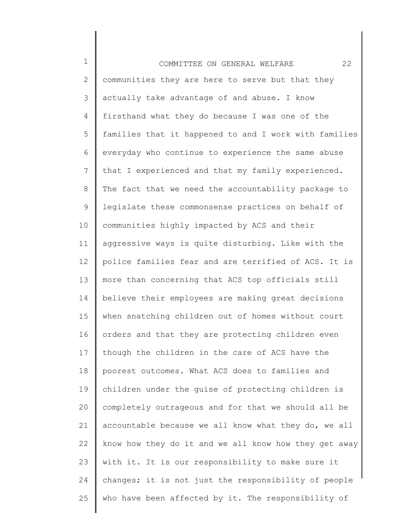1 2 3 4 5 6 7 8 9 10 11 12 13 14 15 16 17 18 19 20 21 22 23 24 25 COMMITTEE ON GENERAL WELFARE 22 communities they are here to serve but that they actually take advantage of and abuse. I know firsthand what they do because I was one of the families that it happened to and I work with families everyday who continue to experience the same abuse that I experienced and that my family experienced. The fact that we need the accountability package to legislate these commonsense practices on behalf of communities highly impacted by ACS and their aggressive ways is quite disturbing. Like with the police families fear and are terrified of ACS. It is more than concerning that ACS top officials still believe their employees are making great decisions when snatching children out of homes without court orders and that they are protecting children even though the children in the care of ACS have the poorest outcomes. What ACS does to families and children under the guise of protecting children is completely outrageous and for that we should all be accountable because we all know what they do, we all know how they do it and we all know how they get away with it. It is our responsibility to make sure it changes; it is not just the responsibility of people who have been affected by it. The responsibility of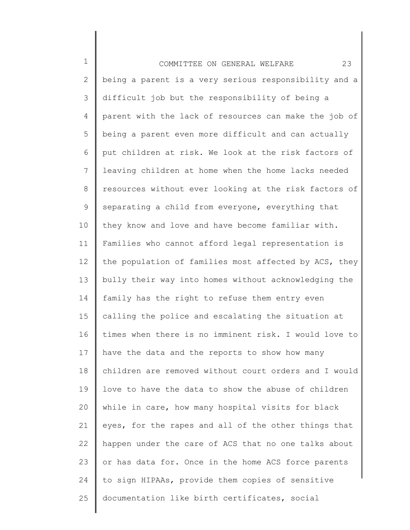| $\mathbf 1$ | 23<br>COMMITTEE ON GENERAL WELFARE                    |
|-------------|-------------------------------------------------------|
| 2           | being a parent is a very serious responsibility and a |
| 3           | difficult job but the responsibility of being a       |
| 4           | parent with the lack of resources can make the job of |
| 5           | being a parent even more difficult and can actually   |
| 6           | put children at risk. We look at the risk factors of  |
| 7           | leaving children at home when the home lacks needed   |
| $8\,$       | resources without ever looking at the risk factors of |
| $\mathsf 9$ | separating a child from everyone, everything that     |
| 10          | they know and love and have become familiar with.     |
| 11          | Families who cannot afford legal representation is    |
| 12          | the population of families most affected by ACS, they |
| 13          | bully their way into homes without acknowledging the  |
| 14          | family has the right to refuse them entry even        |
| 15          | calling the police and escalating the situation at    |
| 16          | times when there is no imminent risk. I would love to |
| 17          | have the data and the reports to show how many        |
| 18          | children are removed without court orders and I would |
| 19          | love to have the data to show the abuse of children   |
| 20          | while in care, how many hospital visits for black     |
| 21          | eyes, for the rapes and all of the other things that  |
| 22          | happen under the care of ACS that no one talks about  |
| 23          | or has data for. Once in the home ACS force parents   |
| 24          | to sign HIPAAs, provide them copies of sensitive      |
| 25          | documentation like birth certificates, social         |
|             |                                                       |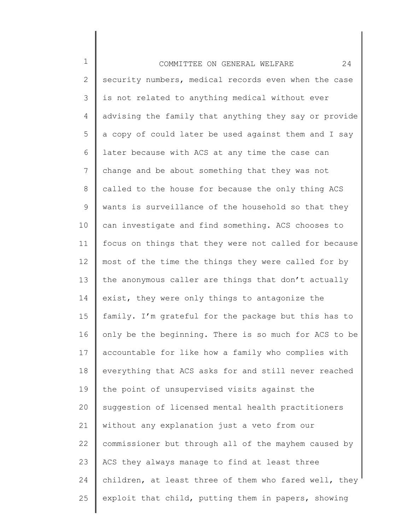1 2 3 4 5 6 7 8 9 10 11 12 13 14 15 16 17 18 19 20 21 22 23 24 25 COMMITTEE ON GENERAL WELFARE 24 security numbers, medical records even when the case is not related to anything medical without ever advising the family that anything they say or provide a copy of could later be used against them and I say later because with ACS at any time the case can change and be about something that they was not called to the house for because the only thing ACS wants is surveillance of the household so that they can investigate and find something. ACS chooses to focus on things that they were not called for because most of the time the things they were called for by the anonymous caller are things that don't actually exist, they were only things to antagonize the family. I'm grateful for the package but this has to only be the beginning. There is so much for ACS to be accountable for like how a family who complies with everything that ACS asks for and still never reached the point of unsupervised visits against the suggestion of licensed mental health practitioners without any explanation just a veto from our commissioner but through all of the mayhem caused by ACS they always manage to find at least three children, at least three of them who fared well, they exploit that child, putting them in papers, showing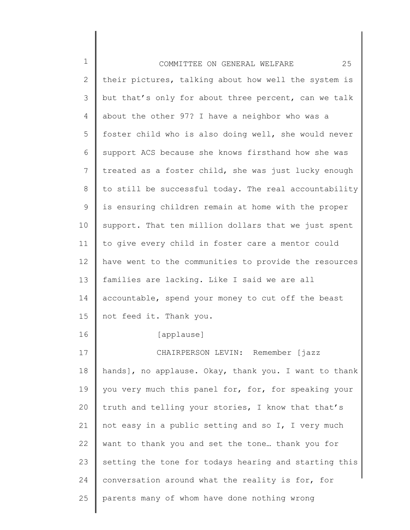| $\mathbf 1$ | 25<br>COMMITTEE ON GENERAL WELFARE                    |
|-------------|-------------------------------------------------------|
| 2           | their pictures, talking about how well the system is  |
| 3           | but that's only for about three percent, can we talk  |
| 4           | about the other 97? I have a neighbor who was a       |
| 5           | foster child who is also doing well, she would never  |
| 6           | support ACS because she knows firsthand how she was   |
| 7           | treated as a foster child, she was just lucky enough  |
| 8           | to still be successful today. The real accountability |
| 9           | is ensuring children remain at home with the proper   |
| 10          | support. That ten million dollars that we just spent  |
| 11          | to give every child in foster care a mentor could     |
| 12          | have went to the communities to provide the resources |
| 13          | families are lacking. Like I said we are all          |
| 14          | accountable, spend your money to cut off the beast    |
| 15          | not feed it. Thank you.                               |
| 16          | [applause]                                            |
| 17          | CHAIRPERSON LEVIN: Remember [jazz                     |
| 18          | hands], no applause. Okay, thank you. I want to thank |
| 19          | you very much this panel for, for, for speaking your  |
| 20          | truth and telling your stories, I know that that's    |
| 21          | not easy in a public setting and so I, I very much    |
| 22          | want to thank you and set the tone thank you for      |
| 23          | setting the tone for todays hearing and starting this |
| 24          | conversation around what the reality is for, for      |
| 25          | parents many of whom have done nothing wrong          |

║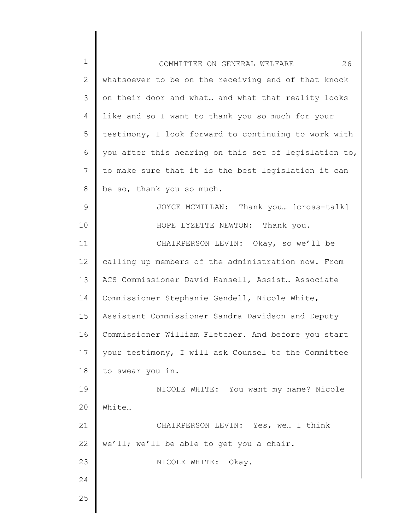| $\mathbf 1$  | 26<br>COMMITTEE ON GENERAL WELFARE                    |
|--------------|-------------------------------------------------------|
| $\mathbf{2}$ | whatsoever to be on the receiving end of that knock   |
| 3            | on their door and what and what that reality looks    |
| 4            | like and so I want to thank you so much for your      |
| 5            | testimony, I look forward to continuing to work with  |
| 6            | you after this hearing on this set of legislation to, |
| 7            | to make sure that it is the best legislation it can   |
| 8            | be so, thank you so much.                             |
| 9            | JOYCE MCMILLAN: Thank you [cross-talk]                |
| 10           | HOPE LYZETTE NEWTON: Thank you.                       |
| 11           | CHAIRPERSON LEVIN: Okay, so we'll be                  |
| 12           | calling up members of the administration now. From    |
| 13           | ACS Commissioner David Hansell, Assist Associate      |
| 14           | Commissioner Stephanie Gendell, Nicole White,         |
| 15           | Assistant Commissioner Sandra Davidson and Deputy     |
| 16           | Commissioner William Fletcher. And before you start   |
| 17           | your testimony, I will ask Counsel to the Committee   |
| 18           | to swear you in.                                      |
| 19           | NICOLE WHITE: You want my name? Nicole                |
| 20           | White                                                 |
| 21           | CHAIRPERSON LEVIN: Yes, we I think                    |
| 22           | we'll; we'll be able to get you a chair.              |
| 23           | NICOLE WHITE:<br>Okay.                                |
| 24           |                                                       |
| 25           |                                                       |
|              |                                                       |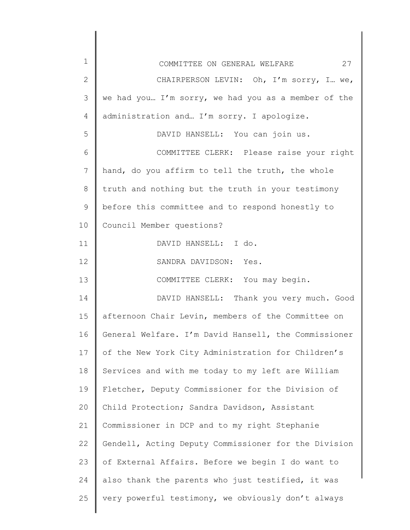| $\mathbf 1$    | 27<br>COMMITTEE ON GENERAL WELFARE                   |
|----------------|------------------------------------------------------|
| $\overline{2}$ | CHAIRPERSON LEVIN: Oh, I'm sorry, I we,              |
| 3              | we had you I'm sorry, we had you as a member of the  |
| $\overline{4}$ | administration and I'm sorry. I apologize.           |
| 5              | DAVID HANSELL: You can join us.                      |
| 6              | COMMITTEE CLERK: Please raise your right             |
| 7              | hand, do you affirm to tell the truth, the whole     |
| 8              | truth and nothing but the truth in your testimony    |
| $\mathcal{G}$  | before this committee and to respond honestly to     |
| 10             | Council Member questions?                            |
| 11             | DAVID HANSELL: I do.                                 |
| 12             | SANDRA DAVIDSON: Yes.                                |
| 13             | COMMITTEE CLERK: You may begin.                      |
| 14             | DAVID HANSELL: Thank you very much. Good             |
| 15             | afternoon Chair Levin, members of the Committee on   |
| 16             | General Welfare. I'm David Hansell, the Commissioner |
| 17             | of the New York City Administration for Children's   |
| 18             | Services and with me today to my left are William    |
| 19             | Fletcher, Deputy Commissioner for the Division of    |
| 20             | Child Protection; Sandra Davidson, Assistant         |
| 21             | Commissioner in DCP and to my right Stephanie        |
| 22             | Gendell, Acting Deputy Commissioner for the Division |
| 23             | of External Affairs. Before we begin I do want to    |
| 24             | also thank the parents who just testified, it was    |
| 25             | very powerful testimony, we obviously don't always   |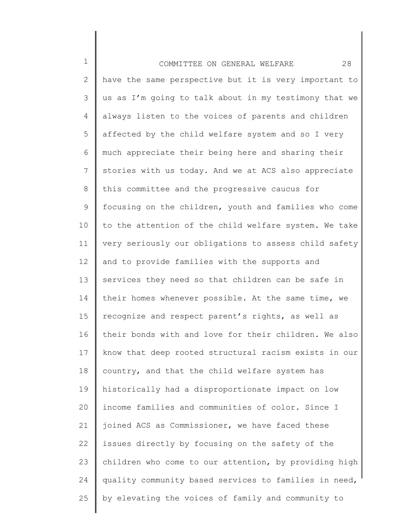| $\mathbf 1$ | 28<br>COMMITTEE ON GENERAL WELFARE                    |
|-------------|-------------------------------------------------------|
| 2           | have the same perspective but it is very important to |
| 3           | us as I'm going to talk about in my testimony that we |
| 4           | always listen to the voices of parents and children   |
| 5           | affected by the child welfare system and so I very    |
| 6           | much appreciate their being here and sharing their    |
| 7           | stories with us today. And we at ACS also appreciate  |
| 8           | this committee and the progressive caucus for         |
| 9           | focusing on the children, youth and families who come |
| 10          | to the attention of the child welfare system. We take |
| 11          | very seriously our obligations to assess child safety |
| 12          | and to provide families with the supports and         |
| 13          | services they need so that children can be safe in    |
| 14          | their homes whenever possible. At the same time, we   |
| 15          | recognize and respect parent's rights, as well as     |
| 16          | their bonds with and love for their children. We also |
| 17          | know that deep rooted structural racism exists in our |
| 18          | country, and that the child welfare system has        |
| 19          | historically had a disproportionate impact on low     |
| 20          | income families and communities of color. Since I     |
| 21          | joined ACS as Commissioner, we have faced these       |
| 22          | issues directly by focusing on the safety of the      |
| 23          | children who come to our attention, by providing high |
| 24          | quality community based services to families in need, |
| 25          | by elevating the voices of family and community to    |
|             |                                                       |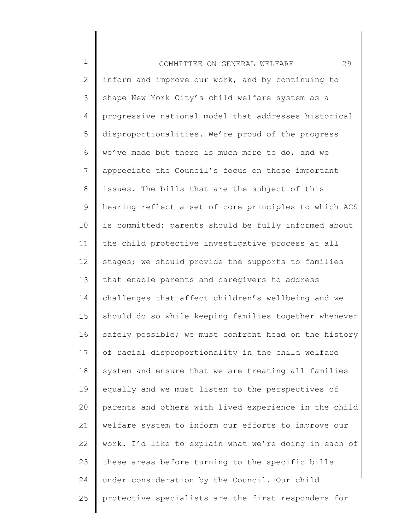1 2 3 4 5 6 7 8 9 10 11 12 13 14 15 16 17 18 19 20 21 22 23 24 25 COMMITTEE ON GENERAL WELFARE 29 inform and improve our work, and by continuing to shape New York City's child welfare system as a progressive national model that addresses historical disproportionalities. We're proud of the progress we've made but there is much more to do, and we appreciate the Council's focus on these important issues. The bills that are the subject of this hearing reflect a set of core principles to which ACS is committed: parents should be fully informed about the child protective investigative process at all stages; we should provide the supports to families that enable parents and caregivers to address challenges that affect children's wellbeing and we should do so while keeping families together whenever safely possible; we must confront head on the history of racial disproportionality in the child welfare system and ensure that we are treating all families equally and we must listen to the perspectives of parents and others with lived experience in the child welfare system to inform our efforts to improve our work. I'd like to explain what we're doing in each of these areas before turning to the specific bills under consideration by the Council. Our child protective specialists are the first responders for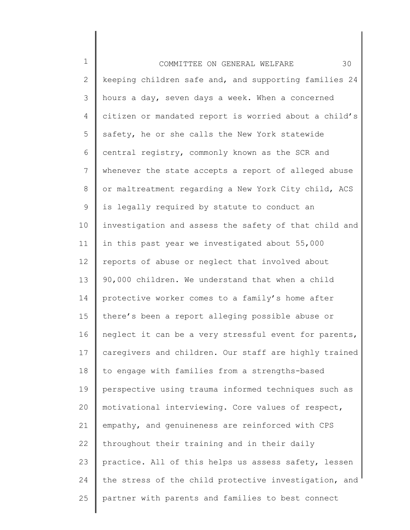| $\mathbf 1$    | 30<br>COMMITTEE ON GENERAL WELFARE                    |
|----------------|-------------------------------------------------------|
| $\mathbf{2}$   | keeping children safe and, and supporting families 24 |
| 3              | hours a day, seven days a week. When a concerned      |
| 4              | citizen or mandated report is worried about a child's |
| 5              | safety, he or she calls the New York statewide        |
| 6              | central registry, commonly known as the SCR and       |
| $\overline{7}$ | whenever the state accepts a report of alleged abuse  |
| 8              | or maltreatment regarding a New York City child, ACS  |
| $\mathsf 9$    | is legally required by statute to conduct an          |
| 10             | investigation and assess the safety of that child and |
| 11             | in this past year we investigated about 55,000        |
| 12             | reports of abuse or neglect that involved about       |
| 13             | 90,000 children. We understand that when a child      |
| 14             | protective worker comes to a family's home after      |
| 15             | there's been a report alleging possible abuse or      |
| 16             | neglect it can be a very stressful event for parents, |
| 17             | caregivers and children. Our staff are highly trained |
| 18             | to engage with families from a strengths-based        |
| 19             | perspective using trauma informed techniques such as  |
| 20             | motivational interviewing. Core values of respect,    |
| 21             | empathy, and genuineness are reinforced with CPS      |
| 22             | throughout their training and in their daily          |
| 23             | practice. All of this helps us assess safety, lessen  |
| 24             | the stress of the child protective investigation, and |
| 25             | partner with parents and families to best connect     |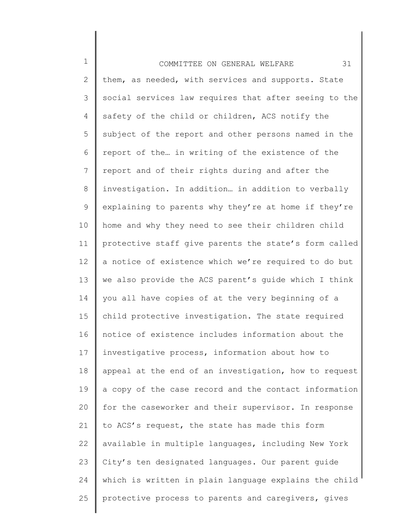1 2 3 4 5 6 7 8 9 10 11 12 13 14 15 16 17 18 19 20 21 22 23 24 25 COMMITTEE ON GENERAL WELFARE 31 them, as needed, with services and supports. State social services law requires that after seeing to the safety of the child or children, ACS notify the subject of the report and other persons named in the report of the… in writing of the existence of the report and of their rights during and after the investigation. In addition… in addition to verbally explaining to parents why they're at home if they're home and why they need to see their children child protective staff give parents the state's form called a notice of existence which we're required to do but we also provide the ACS parent's guide which I think you all have copies of at the very beginning of a child protective investigation. The state required notice of existence includes information about the investigative process, information about how to appeal at the end of an investigation, how to request a copy of the case record and the contact information for the caseworker and their supervisor. In response to ACS's request, the state has made this form available in multiple languages, including New York City's ten designated languages. Our parent guide which is written in plain language explains the child protective process to parents and caregivers, gives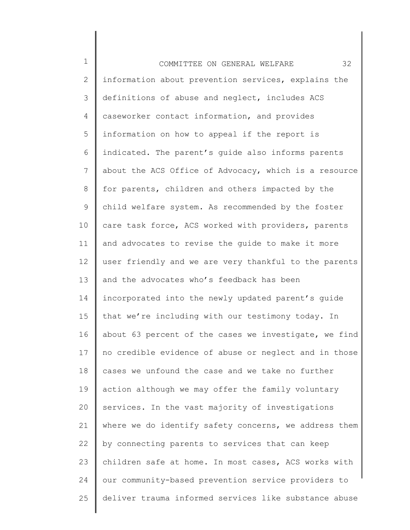1 2 3 4 5 6 7 8 9 10 11 12 13 14 15 16 17 18 19 20 21 22 23 24 25 COMMITTEE ON GENERAL WELFARE 32 information about prevention services, explains the definitions of abuse and neglect, includes ACS caseworker contact information, and provides information on how to appeal if the report is indicated. The parent's guide also informs parents about the ACS Office of Advocacy, which is a resource for parents, children and others impacted by the child welfare system. As recommended by the foster care task force, ACS worked with providers, parents and advocates to revise the guide to make it more user friendly and we are very thankful to the parents and the advocates who's feedback has been incorporated into the newly updated parent's guide that we're including with our testimony today. In about 63 percent of the cases we investigate, we find no credible evidence of abuse or neglect and in those cases we unfound the case and we take no further action although we may offer the family voluntary services. In the vast majority of investigations where we do identify safety concerns, we address them by connecting parents to services that can keep children safe at home. In most cases, ACS works with our community-based prevention service providers to deliver trauma informed services like substance abuse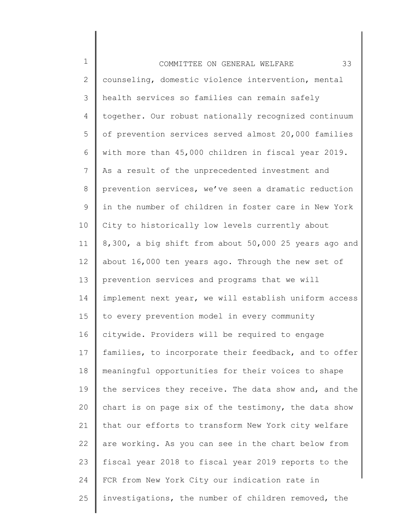| $\mathbf 1$     | 33<br>COMMITTEE ON GENERAL WELFARE                    |
|-----------------|-------------------------------------------------------|
| $\mathbf{2}$    | counseling, domestic violence intervention, mental    |
| 3               | health services so families can remain safely         |
| 4               | together. Our robust nationally recognized continuum  |
| 5               | of prevention services served almost 20,000 families  |
| 6               | with more than 45,000 children in fiscal year 2019.   |
| $7\phantom{.0}$ | As a result of the unprecedented investment and       |
| 8               | prevention services, we've seen a dramatic reduction  |
| 9               | in the number of children in foster care in New York  |
| 10              | City to historically low levels currently about       |
| 11              | 8,300, a big shift from about 50,000 25 years ago and |
| 12              | about 16,000 ten years ago. Through the new set of    |
| 13              | prevention services and programs that we will         |
| 14              | implement next year, we will establish uniform access |
| 15              | to every prevention model in every community          |
| 16              | citywide. Providers will be required to engage        |
| 17              | families, to incorporate their feedback, and to offer |
| 18              | meaningful opportunities for their voices to shape    |
| 19              | the services they receive. The data show and, and the |
| 20              | chart is on page six of the testimony, the data show  |
| 21              | that our efforts to transform New York city welfare   |
| 22              | are working. As you can see in the chart below from   |
| 23              | fiscal year 2018 to fiscal year 2019 reports to the   |
| 24              | FCR from New York City our indication rate in         |
| 25              | investigations, the number of children removed, the   |
|                 |                                                       |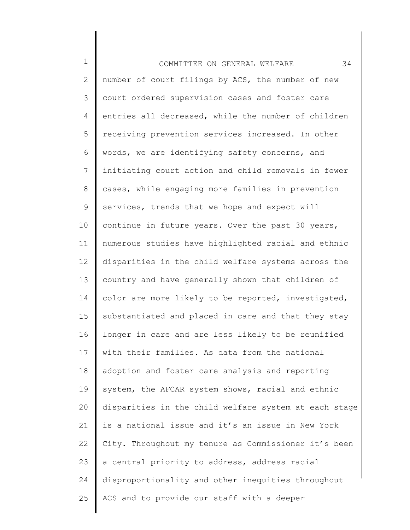1 2 3 4 5 6 7 8 9 10 11 12 13 14 15 16 17 18 19 20 21 22 23 24 25 COMMITTEE ON GENERAL WELFARE 34 number of court filings by ACS, the number of new court ordered supervision cases and foster care entries all decreased, while the number of children receiving prevention services increased. In other words, we are identifying safety concerns, and initiating court action and child removals in fewer cases, while engaging more families in prevention services, trends that we hope and expect will continue in future years. Over the past 30 years, numerous studies have highlighted racial and ethnic disparities in the child welfare systems across the country and have generally shown that children of color are more likely to be reported, investigated, substantiated and placed in care and that they stay longer in care and are less likely to be reunified with their families. As data from the national adoption and foster care analysis and reporting system, the AFCAR system shows, racial and ethnic disparities in the child welfare system at each stage is a national issue and it's an issue in New York City. Throughout my tenure as Commissioner it's been a central priority to address, address racial disproportionality and other inequities throughout ACS and to provide our staff with a deeper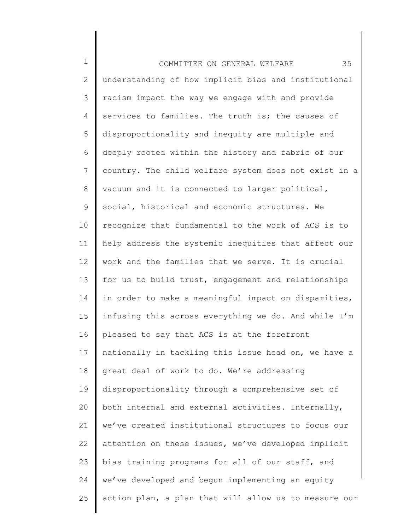1 2 3 4 5 6 7 8 9 10 11 12 13 14 15 16 17 18 19 20 21 22 23 24 25 COMMITTEE ON GENERAL WELFARE 35 understanding of how implicit bias and institutional racism impact the way we engage with and provide services to families. The truth is; the causes of disproportionality and inequity are multiple and deeply rooted within the history and fabric of our country. The child welfare system does not exist in a vacuum and it is connected to larger political, social, historical and economic structures. We recognize that fundamental to the work of ACS is to help address the systemic inequities that affect our work and the families that we serve. It is crucial for us to build trust, engagement and relationships in order to make a meaningful impact on disparities, infusing this across everything we do. And while I'm pleased to say that ACS is at the forefront nationally in tackling this issue head on, we have a great deal of work to do. We're addressing disproportionality through a comprehensive set of both internal and external activities. Internally, we've created institutional structures to focus our attention on these issues, we've developed implicit bias training programs for all of our staff, and we've developed and begun implementing an equity action plan, a plan that will allow us to measure our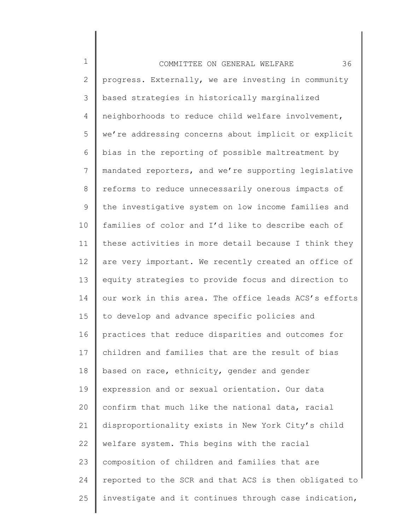1 2 3 4 5 6 7 8 9 10 11 12 13 14 15 16 17 18 19 20 21 22 23 24 25 COMMITTEE ON GENERAL WELFARE 36 progress. Externally, we are investing in community based strategies in historically marginalized neighborhoods to reduce child welfare involvement, we're addressing concerns about implicit or explicit bias in the reporting of possible maltreatment by mandated reporters, and we're supporting legislative reforms to reduce unnecessarily onerous impacts of the investigative system on low income families and families of color and I'd like to describe each of these activities in more detail because I think they are very important. We recently created an office of equity strategies to provide focus and direction to our work in this area. The office leads ACS's efforts to develop and advance specific policies and practices that reduce disparities and outcomes for children and families that are the result of bias based on race, ethnicity, gender and gender expression and or sexual orientation. Our data confirm that much like the national data, racial disproportionality exists in New York City's child welfare system. This begins with the racial composition of children and families that are reported to the SCR and that ACS is then obligated to investigate and it continues through case indication,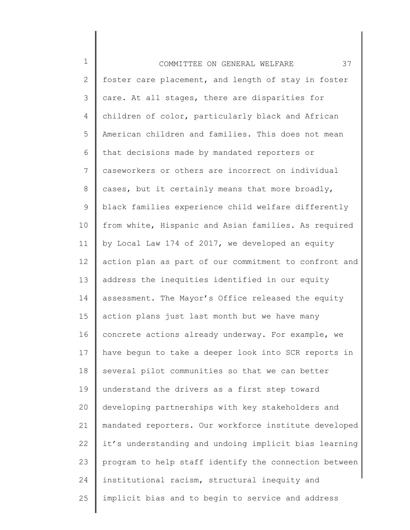1 2 3 4 5 6 7 8 9 10 11 12 13 14 15 16 17 18 19 20 21 22 23 24 25 COMMITTEE ON GENERAL WELFARE 37 foster care placement, and length of stay in foster care. At all stages, there are disparities for children of color, particularly black and African American children and families. This does not mean that decisions made by mandated reporters or caseworkers or others are incorrect on individual cases, but it certainly means that more broadly, black families experience child welfare differently from white, Hispanic and Asian families. As required by Local Law 174 of 2017, we developed an equity action plan as part of our commitment to confront and address the inequities identified in our equity assessment. The Mayor's Office released the equity action plans just last month but we have many concrete actions already underway. For example, we have begun to take a deeper look into SCR reports in several pilot communities so that we can better understand the drivers as a first step toward developing partnerships with key stakeholders and mandated reporters. Our workforce institute developed it's understanding and undoing implicit bias learning program to help staff identify the connection between institutional racism, structural inequity and implicit bias and to begin to service and address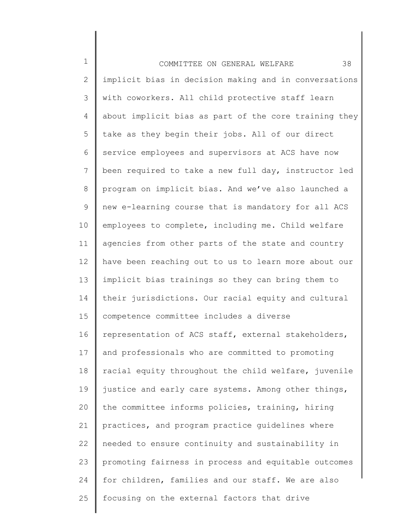1 2 3 4 5 6 7 8 9 10 11 12 13 14 15 16 17 18 19 20 21 22 23 24 25 COMMITTEE ON GENERAL WELFARE 38 implicit bias in decision making and in conversations with coworkers. All child protective staff learn about implicit bias as part of the core training they take as they begin their jobs. All of our direct service employees and supervisors at ACS have now been required to take a new full day, instructor led program on implicit bias. And we've also launched a new e-learning course that is mandatory for all ACS employees to complete, including me. Child welfare agencies from other parts of the state and country have been reaching out to us to learn more about our implicit bias trainings so they can bring them to their jurisdictions. Our racial equity and cultural competence committee includes a diverse representation of ACS staff, external stakeholders, and professionals who are committed to promoting racial equity throughout the child welfare, juvenile justice and early care systems. Among other things, the committee informs policies, training, hiring practices, and program practice guidelines where needed to ensure continuity and sustainability in promoting fairness in process and equitable outcomes for children, families and our staff. We are also focusing on the external factors that drive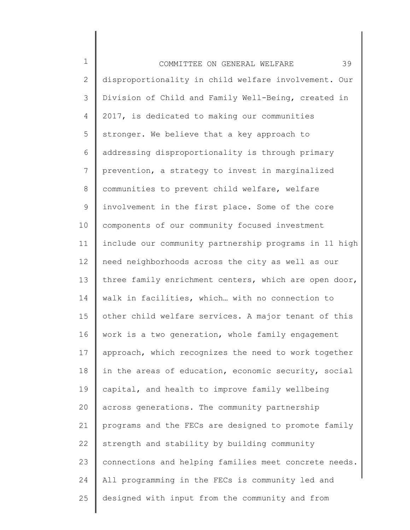1 2 3 4 5 6 7 8 9 10 11 12 13 14 15 16 17 18 19 20 21 22 23 24 25 COMMITTEE ON GENERAL WELFARE 39 disproportionality in child welfare involvement. Our Division of Child and Family Well-Being, created in 2017, is dedicated to making our communities stronger. We believe that a key approach to addressing disproportionality is through primary prevention, a strategy to invest in marginalized communities to prevent child welfare, welfare involvement in the first place. Some of the core components of our community focused investment include our community partnership programs in 11 high need neighborhoods across the city as well as our three family enrichment centers, which are open door, walk in facilities, which… with no connection to other child welfare services. A major tenant of this work is a two generation, whole family engagement approach, which recognizes the need to work together in the areas of education, economic security, social capital, and health to improve family wellbeing across generations. The community partnership programs and the FECs are designed to promote family strength and stability by building community connections and helping families meet concrete needs. All programming in the FECs is community led and designed with input from the community and from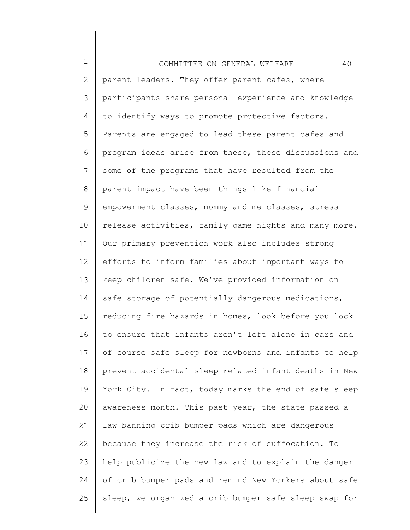| $\mathbf 1$     | 40<br>COMMITTEE ON GENERAL WELFARE                    |
|-----------------|-------------------------------------------------------|
| $\mathbf{2}$    | parent leaders. They offer parent cafes, where        |
| 3               | participants share personal experience and knowledge  |
| 4               | to identify ways to promote protective factors.       |
| 5               | Parents are engaged to lead these parent cafes and    |
| 6               | program ideas arise from these, these discussions and |
| $7\phantom{.0}$ | some of the programs that have resulted from the      |
| 8               | parent impact have been things like financial         |
| 9               | empowerment classes, mommy and me classes, stress     |
| 10              | release activities, family game nights and many more. |
| 11              | Our primary prevention work also includes strong      |
| 12              | efforts to inform families about important ways to    |
| 13              | keep children safe. We've provided information on     |
| 14              | safe storage of potentially dangerous medications,    |
| 15              | reducing fire hazards in homes, look before you lock  |
| 16              | to ensure that infants aren't left alone in cars and  |
| 17              | of course safe sleep for newborns and infants to help |
| 18              | prevent accidental sleep related infant deaths in New |
| 19              | York City. In fact, today marks the end of safe sleep |
| 20              | awareness month. This past year, the state passed a   |
| 21              | law banning crib bumper pads which are dangerous      |
| 22              | because they increase the risk of suffocation. To     |
| 23              | help publicize the new law and to explain the danger  |
| 24              | of crib bumper pads and remind New Yorkers about safe |
| 25              | sleep, we organized a crib bumper safe sleep swap for |
|                 |                                                       |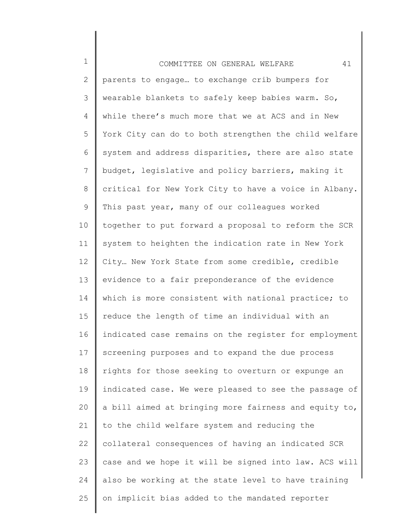1 2 3 4 5 6 7 8 9 10 11 12 13 14 15 16 17 18 19 20 21 22 23 24 25 COMMITTEE ON GENERAL WELFARE 41 parents to engage… to exchange crib bumpers for wearable blankets to safely keep babies warm. So, while there's much more that we at ACS and in New York City can do to both strengthen the child welfare system and address disparities, there are also state budget, legislative and policy barriers, making it critical for New York City to have a voice in Albany. This past year, many of our colleagues worked together to put forward a proposal to reform the SCR system to heighten the indication rate in New York City… New York State from some credible, credible evidence to a fair preponderance of the evidence which is more consistent with national practice; to reduce the length of time an individual with an indicated case remains on the register for employment screening purposes and to expand the due process rights for those seeking to overturn or expunge an indicated case. We were pleased to see the passage of a bill aimed at bringing more fairness and equity to, to the child welfare system and reducing the collateral consequences of having an indicated SCR case and we hope it will be signed into law. ACS will also be working at the state level to have training on implicit bias added to the mandated reporter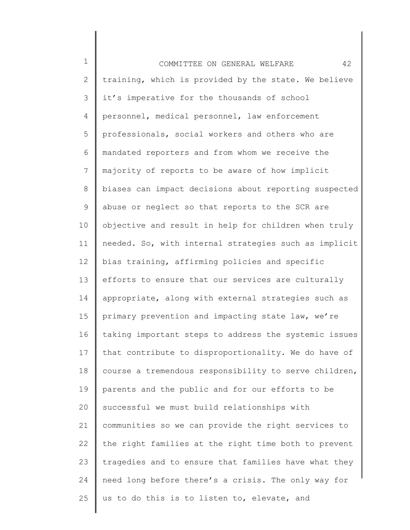1 2 3 4 5 6 7 8 9 10 11 12 13 14 15 16 17 18 19 20 21 22 23 24 25 COMMITTEE ON GENERAL WELFARE 42 training, which is provided by the state. We believe it's imperative for the thousands of school personnel, medical personnel, law enforcement professionals, social workers and others who are mandated reporters and from whom we receive the majority of reports to be aware of how implicit biases can impact decisions about reporting suspected abuse or neglect so that reports to the SCR are objective and result in help for children when truly needed. So, with internal strategies such as implicit bias training, affirming policies and specific efforts to ensure that our services are culturally appropriate, along with external strategies such as primary prevention and impacting state law, we're taking important steps to address the systemic issues that contribute to disproportionality. We do have of course a tremendous responsibility to serve children, parents and the public and for our efforts to be successful we must build relationships with communities so we can provide the right services to the right families at the right time both to prevent tragedies and to ensure that families have what they need long before there's a crisis. The only way for us to do this is to listen to, elevate, and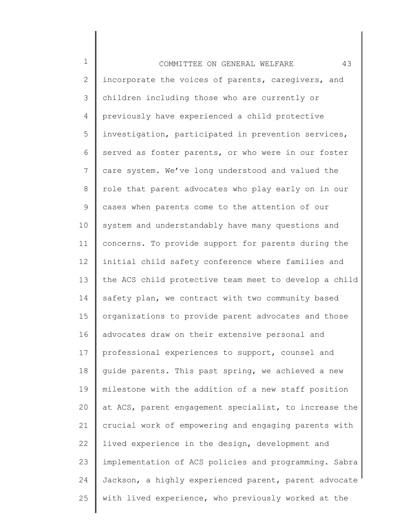1 2 3 4 5 6 7 8 9 10 11 12 13 14 15 16 17 18 19 20 21 22 23 24 25 COMMITTEE ON GENERAL WELFARE 43 incorporate the voices of parents, caregivers, and children including those who are currently or previously have experienced a child protective investigation, participated in prevention services, served as foster parents, or who were in our foster care system. We've long understood and valued the role that parent advocates who play early on in our cases when parents come to the attention of our system and understandably have many questions and concerns. To provide support for parents during the initial child safety conference where families and the ACS child protective team meet to develop a child safety plan, we contract with two community based organizations to provide parent advocates and those advocates draw on their extensive personal and professional experiences to support, counsel and guide parents. This past spring, we achieved a new milestone with the addition of a new staff position at ACS, parent engagement specialist, to increase the crucial work of empowering and engaging parents with lived experience in the design, development and implementation of ACS policies and programming. Sabra Jackson, a highly experienced parent, parent advocate with lived experience, who previously worked at the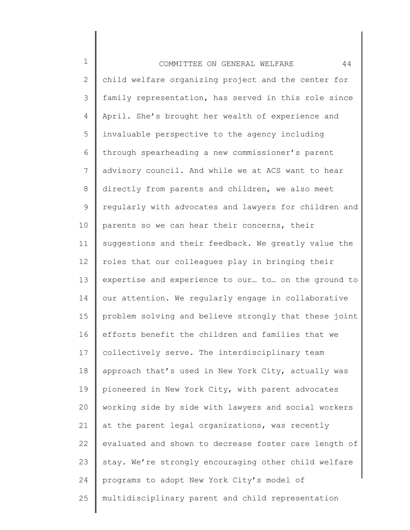1 2 3 4 5 6 7 8 9 10 11 12 13 14 15 16 17 18 19 20 21 22 23 24 25 COMMITTEE ON GENERAL WELFARE 44 child welfare organizing project and the center for family representation, has served in this role since April. She's brought her wealth of experience and invaluable perspective to the agency including through spearheading a new commissioner's parent advisory council. And while we at ACS want to hear directly from parents and children, we also meet regularly with advocates and lawyers for children and parents so we can hear their concerns, their suggestions and their feedback. We greatly value the roles that our colleagues play in bringing their expertise and experience to our… to… on the ground to our attention. We regularly engage in collaborative problem solving and believe strongly that these joint efforts benefit the children and families that we collectively serve. The interdisciplinary team approach that's used in New York City, actually was pioneered in New York City, with parent advocates working side by side with lawyers and social workers at the parent legal organizations, was recently evaluated and shown to decrease foster care length of stay. We're strongly encouraging other child welfare programs to adopt New York City's model of multidisciplinary parent and child representation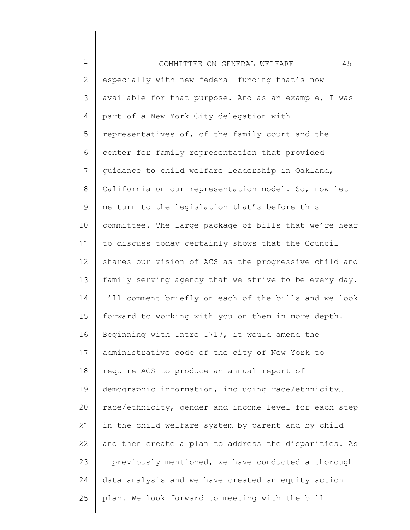| $\mathbf 1$  | 45<br>COMMITTEE ON GENERAL WELFARE                    |
|--------------|-------------------------------------------------------|
| $\mathbf{2}$ | especially with new federal funding that's now        |
| 3            | available for that purpose. And as an example, I was  |
| 4            | part of a New York City delegation with               |
| 5            | representatives of, of the family court and the       |
| 6            | center for family representation that provided        |
| 7            | quidance to child welfare leadership in Oakland,      |
| 8            | California on our representation model. So, now let   |
| 9            | me turn to the legislation that's before this         |
| 10           | committee. The large package of bills that we're hear |
| 11           | to discuss today certainly shows that the Council     |
| 12           | shares our vision of ACS as the progressive child and |
| 13           | family serving agency that we strive to be every day. |
| 14           | I'll comment briefly on each of the bills and we look |
| 15           | forward to working with you on them in more depth.    |
| 16           | Beginning with Intro 1717, it would amend the         |
| 17           | administrative code of the city of New York to        |
| 18           | require ACS to produce an annual report of            |
| 19           | demographic information, including race/ethnicity     |
| 20           | race/ethnicity, gender and income level for each step |
| 21           | in the child welfare system by parent and by child    |
| 22           | and then create a plan to address the disparities. As |
| 23           | I previously mentioned, we have conducted a thorough  |
| 24           | data analysis and we have created an equity action    |
| 25           | plan. We look forward to meeting with the bill        |
|              |                                                       |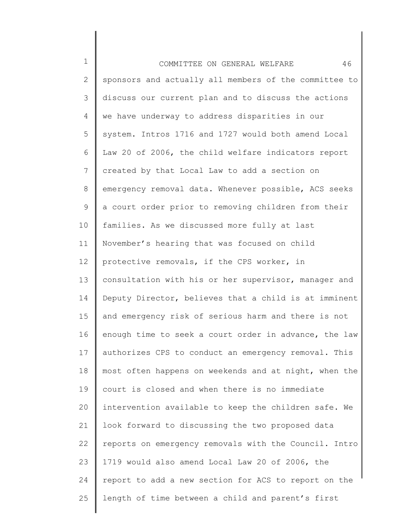1 2 3 4 5 6 7 8 9 10 11 12 13 14 15 16 17 18 19 20 21 22 23 24 25 COMMITTEE ON GENERAL WELFARE 46 sponsors and actually all members of the committee to discuss our current plan and to discuss the actions we have underway to address disparities in our system. Intros 1716 and 1727 would both amend Local Law 20 of 2006, the child welfare indicators report created by that Local Law to add a section on emergency removal data. Whenever possible, ACS seeks a court order prior to removing children from their families. As we discussed more fully at last November's hearing that was focused on child protective removals, if the CPS worker, in consultation with his or her supervisor, manager and Deputy Director, believes that a child is at imminent and emergency risk of serious harm and there is not enough time to seek a court order in advance, the law authorizes CPS to conduct an emergency removal. This most often happens on weekends and at night, when the court is closed and when there is no immediate intervention available to keep the children safe. We look forward to discussing the two proposed data reports on emergency removals with the Council. Intro 1719 would also amend Local Law 20 of 2006, the report to add a new section for ACS to report on the length of time between a child and parent's first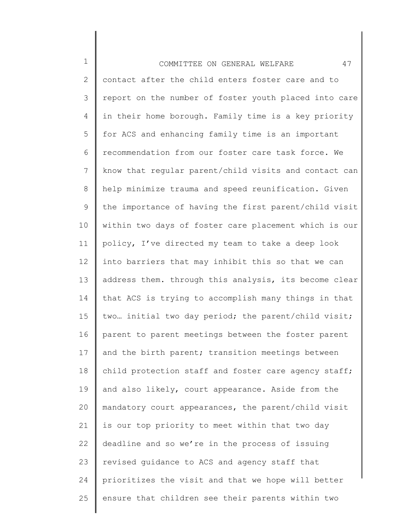1 2 3 4 5 6 7 8 9 10 11 12 13 14 15 16 17 18 19 20 21 22 23 24 25 COMMITTEE ON GENERAL WELFARE 47 contact after the child enters foster care and to report on the number of foster youth placed into care in their home borough. Family time is a key priority for ACS and enhancing family time is an important recommendation from our foster care task force. We know that regular parent/child visits and contact can help minimize trauma and speed reunification. Given the importance of having the first parent/child visit within two days of foster care placement which is our policy, I've directed my team to take a deep look into barriers that may inhibit this so that we can address them. through this analysis, its become clear that ACS is trying to accomplish many things in that two… initial two day period; the parent/child visit; parent to parent meetings between the foster parent and the birth parent; transition meetings between child protection staff and foster care agency staff; and also likely, court appearance. Aside from the mandatory court appearances, the parent/child visit is our top priority to meet within that two day deadline and so we're in the process of issuing revised guidance to ACS and agency staff that prioritizes the visit and that we hope will better ensure that children see their parents within two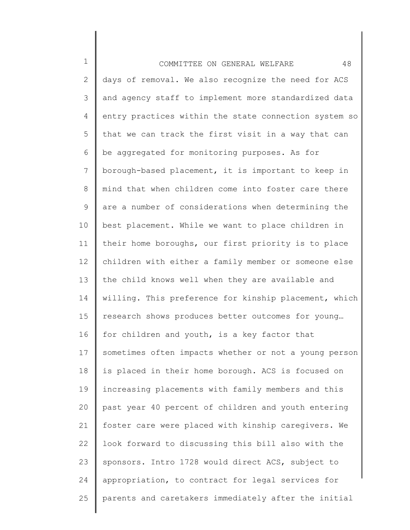1 2 3 4 5 6 7 8 9 10 11 12 13 14 15 16 17 18 19 20 21 22 23 24 25 COMMITTEE ON GENERAL WELFARE 48 days of removal. We also recognize the need for ACS and agency staff to implement more standardized data entry practices within the state connection system so that we can track the first visit in a way that can be aggregated for monitoring purposes. As for borough-based placement, it is important to keep in mind that when children come into foster care there are a number of considerations when determining the best placement. While we want to place children in their home boroughs, our first priority is to place children with either a family member or someone else the child knows well when they are available and willing. This preference for kinship placement, which research shows produces better outcomes for young… for children and youth, is a key factor that sometimes often impacts whether or not a young person is placed in their home borough. ACS is focused on increasing placements with family members and this past year 40 percent of children and youth entering foster care were placed with kinship caregivers. We look forward to discussing this bill also with the sponsors. Intro 1728 would direct ACS, subject to appropriation, to contract for legal services for parents and caretakers immediately after the initial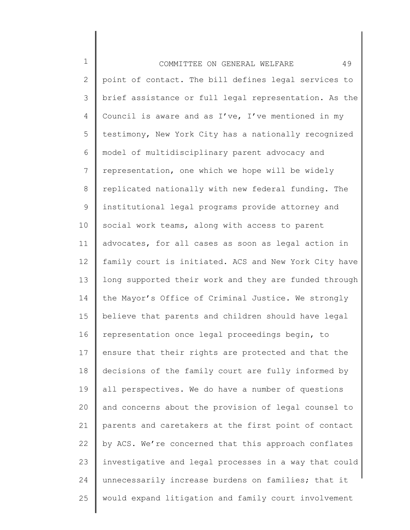1 2 3 4 5 6 7 8 9 10 11 12 13 14 15 16 17 18 19 20 21 22 23 24 25 COMMITTEE ON GENERAL WELFARE 49 point of contact. The bill defines legal services to brief assistance or full legal representation. As the Council is aware and as I've, I've mentioned in my testimony, New York City has a nationally recognized model of multidisciplinary parent advocacy and representation, one which we hope will be widely replicated nationally with new federal funding. The institutional legal programs provide attorney and social work teams, along with access to parent advocates, for all cases as soon as legal action in family court is initiated. ACS and New York City have long supported their work and they are funded through the Mayor's Office of Criminal Justice. We strongly believe that parents and children should have legal representation once legal proceedings begin, to ensure that their rights are protected and that the decisions of the family court are fully informed by all perspectives. We do have a number of questions and concerns about the provision of legal counsel to parents and caretakers at the first point of contact by ACS. We're concerned that this approach conflates investigative and legal processes in a way that could unnecessarily increase burdens on families; that it would expand litigation and family court involvement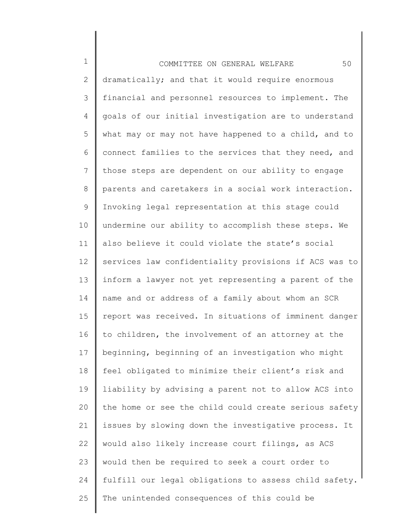1 2 3 4 5 6 7 8 9 10 11 12 13 14 15 16 17 18 19 20 21 22 23 24 25 COMMITTEE ON GENERAL WELFARE 50 dramatically; and that it would require enormous financial and personnel resources to implement. The goals of our initial investigation are to understand what may or may not have happened to a child, and to connect families to the services that they need, and those steps are dependent on our ability to engage parents and caretakers in a social work interaction. Invoking legal representation at this stage could undermine our ability to accomplish these steps. We also believe it could violate the state's social services law confidentiality provisions if ACS was to inform a lawyer not yet representing a parent of the name and or address of a family about whom an SCR report was received. In situations of imminent danger to children, the involvement of an attorney at the beginning, beginning of an investigation who might feel obligated to minimize their client's risk and liability by advising a parent not to allow ACS into the home or see the child could create serious safety issues by slowing down the investigative process. It would also likely increase court filings, as ACS would then be required to seek a court order to fulfill our legal obligations to assess child safety. The unintended consequences of this could be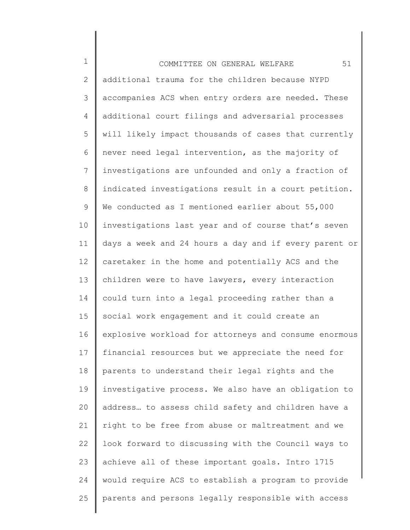1 2 3 4 5 6 7 8 9 10 11 12 13 14 15 16 17 18 19 20 21 22 23 24 25 COMMITTEE ON GENERAL WELFARE 51 additional trauma for the children because NYPD accompanies ACS when entry orders are needed. These additional court filings and adversarial processes will likely impact thousands of cases that currently never need legal intervention, as the majority of investigations are unfounded and only a fraction of indicated investigations result in a court petition. We conducted as I mentioned earlier about 55,000 investigations last year and of course that's seven days a week and 24 hours a day and if every parent or caretaker in the home and potentially ACS and the children were to have lawyers, every interaction could turn into a legal proceeding rather than a social work engagement and it could create an explosive workload for attorneys and consume enormous financial resources but we appreciate the need for parents to understand their legal rights and the investigative process. We also have an obligation to address… to assess child safety and children have a right to be free from abuse or maltreatment and we look forward to discussing with the Council ways to achieve all of these important goals. Intro 1715 would require ACS to establish a program to provide parents and persons legally responsible with access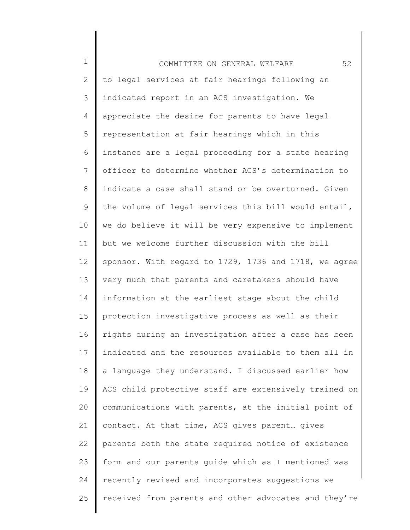1 2 3 4 5 6 7 8 9 10 11 12 13 14 15 16 17 18 19 20 21 22 23 24 25 COMMITTEE ON GENERAL WELFARE 52 to legal services at fair hearings following an indicated report in an ACS investigation. We appreciate the desire for parents to have legal representation at fair hearings which in this instance are a legal proceeding for a state hearing officer to determine whether ACS's determination to indicate a case shall stand or be overturned. Given the volume of legal services this bill would entail, we do believe it will be very expensive to implement but we welcome further discussion with the bill sponsor. With regard to 1729, 1736 and 1718, we agree very much that parents and caretakers should have information at the earliest stage about the child protection investigative process as well as their rights during an investigation after a case has been indicated and the resources available to them all in a language they understand. I discussed earlier how ACS child protective staff are extensively trained on communications with parents, at the initial point of contact. At that time, ACS gives parent… gives parents both the state required notice of existence form and our parents guide which as I mentioned was recently revised and incorporates suggestions we received from parents and other advocates and they're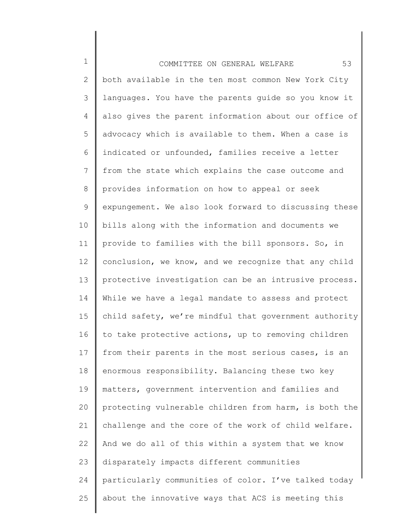1 2 3 4 5 6 7 8 9 10 11 12 13 14 15 16 17 18 19 20 21 22 23 24 25 COMMITTEE ON GENERAL WELFARE 53 both available in the ten most common New York City languages. You have the parents guide so you know it also gives the parent information about our office of advocacy which is available to them. When a case is indicated or unfounded, families receive a letter from the state which explains the case outcome and provides information on how to appeal or seek expungement. We also look forward to discussing these bills along with the information and documents we provide to families with the bill sponsors. So, in conclusion, we know, and we recognize that any child protective investigation can be an intrusive process. While we have a legal mandate to assess and protect child safety, we're mindful that government authority to take protective actions, up to removing children from their parents in the most serious cases, is an enormous responsibility. Balancing these two key matters, government intervention and families and protecting vulnerable children from harm, is both the challenge and the core of the work of child welfare. And we do all of this within a system that we know disparately impacts different communities particularly communities of color. I've talked today about the innovative ways that ACS is meeting this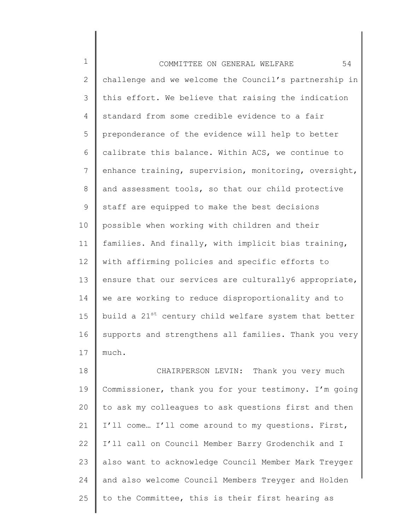1 2 3 4 5 6 7 8 9 10 11 12 13 14 15 16 17 18 COMMITTEE ON GENERAL WELFARE 54 challenge and we welcome the Council's partnership in this effort. We believe that raising the indication standard from some credible evidence to a fair preponderance of the evidence will help to better calibrate this balance. Within ACS, we continue to enhance training, supervision, monitoring, oversight, and assessment tools, so that our child protective staff are equipped to make the best decisions possible when working with children and their families. And finally, with implicit bias training, with affirming policies and specific efforts to ensure that our services are culturally6 appropriate, we are working to reduce disproportionality and to build a 21<sup>st</sup> century child welfare system that better supports and strengthens all families. Thank you very much. CHAIRPERSON LEVIN: Thank you very much

19 20 21 22 23 24 25 Commissioner, thank you for your testimony. I'm going to ask my colleagues to ask questions first and then I'll come… I'll come around to my questions. First, I'll call on Council Member Barry Grodenchik and I also want to acknowledge Council Member Mark Treyger and also welcome Council Members Treyger and Holden to the Committee, this is their first hearing as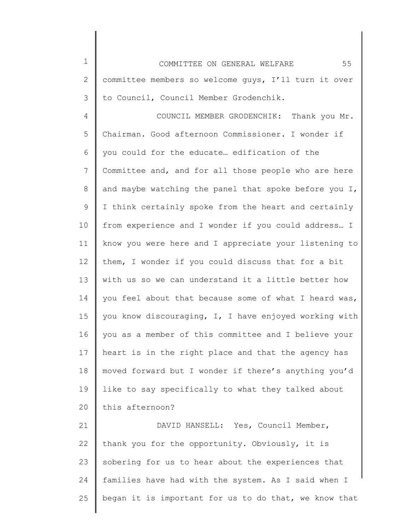1 2 3 COMMITTEE ON GENERAL WELFARE 55 committee members so welcome guys, I'll turn it over to Council, Council Member Grodenchik.

4 5 6 7 8 9 10 11 12 13 14 15 16 17 18 19 20 COUNCIL MEMBER GRODENCHIK: Thank you Mr. Chairman. Good afternoon Commissioner. I wonder if you could for the educate… edification of the Committee and, and for all those people who are here and maybe watching the panel that spoke before you I, I think certainly spoke from the heart and certainly from experience and I wonder if you could address… I know you were here and I appreciate your listening to them, I wonder if you could discuss that for a bit with us so we can understand it a little better how you feel about that because some of what I heard was, you know discouraging, I, I have enjoyed working with you as a member of this committee and I believe your heart is in the right place and that the agency has moved forward but I wonder if there's anything you'd like to say specifically to what they talked about this afternoon?

21 22 23 24 25 DAVID HANSELL: Yes, Council Member, thank you for the opportunity. Obviously, it is sobering for us to hear about the experiences that families have had with the system. As I said when I began it is important for us to do that, we know that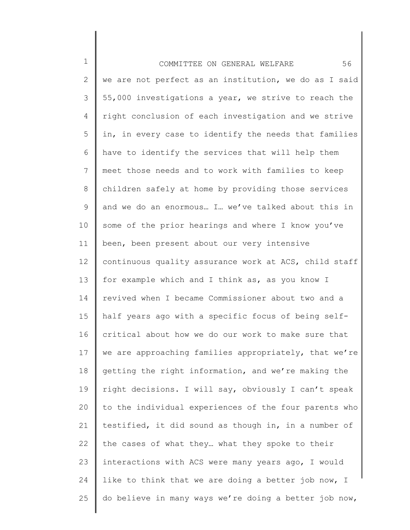| $\mathbf 1$    | 56<br>COMMITTEE ON GENERAL WELFARE                    |
|----------------|-------------------------------------------------------|
| $\mathbf{2}$   | we are not perfect as an institution, we do as I said |
| 3              | 55,000 investigations a year, we strive to reach the  |
| 4              | right conclusion of each investigation and we strive  |
| 5              | in, in every case to identify the needs that families |
| 6              | have to identify the services that will help them     |
| $\overline{7}$ | meet those needs and to work with families to keep    |
| 8              | children safely at home by providing those services   |
| 9              | and we do an enormous I we've talked about this in    |
| 10             | some of the prior hearings and where I know you've    |
| 11             | been, been present about our very intensive           |
| 12             | continuous quality assurance work at ACS, child staff |
| 13             | for example which and I think as, as you know I       |
| 14             | revived when I became Commissioner about two and a    |
| 15             | half years ago with a specific focus of being self-   |
| 16             | critical about how we do our work to make sure that   |
| 17             | we are approaching families appropriately, that we're |
| 18             | getting the right information, and we're making the   |
| 19             | right decisions. I will say, obviously I can't speak  |
| 20             | to the individual experiences of the four parents who |
| 21             | testified, it did sound as though in, in a number of  |
| 22             | the cases of what they what they spoke to their       |
| 23             | interactions with ACS were many years ago, I would    |
| 24             | like to think that we are doing a better job now, I   |
| 25             | do believe in many ways we're doing a better job now, |
|                |                                                       |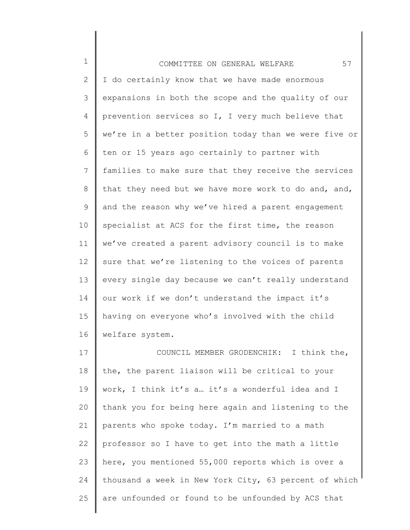1 2 3 4 5 6 7 8 9 10 11 12 13 14 15 16 17 18 19 20 21 22 COMMITTEE ON GENERAL WELFARE 57 I do certainly know that we have made enormous expansions in both the scope and the quality of our prevention services so I, I very much believe that we're in a better position today than we were five or ten or 15 years ago certainly to partner with families to make sure that they receive the services that they need but we have more work to do and, and, and the reason why we've hired a parent engagement specialist at ACS for the first time, the reason we've created a parent advisory council is to make sure that we're listening to the voices of parents every single day because we can't really understand our work if we don't understand the impact it's having on everyone who's involved with the child welfare system. COUNCIL MEMBER GRODENCHIK: I think the, the, the parent liaison will be critical to your work, I think it's a… it's a wonderful idea and I thank you for being here again and listening to the parents who spoke today. I'm married to a math professor so I have to get into the math a little

23 24 25 here, you mentioned 55,000 reports which is over a thousand a week in New York City, 63 percent of which are unfounded or found to be unfounded by ACS that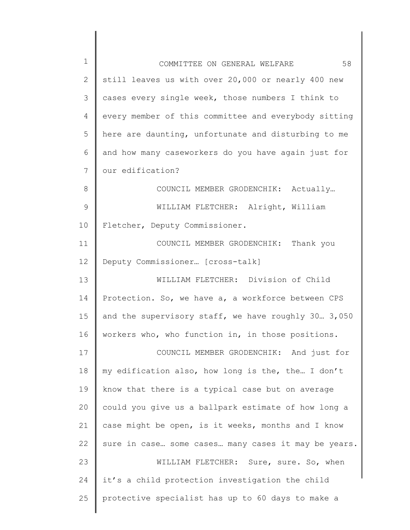| 1            | 58<br>COMMITTEE ON GENERAL WELFARE                   |
|--------------|------------------------------------------------------|
| $\mathbf{2}$ | still leaves us with over 20,000 or nearly 400 new   |
| 3            | cases every single week, those numbers I think to    |
| 4            | every member of this committee and everybody sitting |
| 5            | here are daunting, unfortunate and disturbing to me  |
| 6            | and how many caseworkers do you have again just for  |
| 7            | our edification?                                     |
| 8            | COUNCIL MEMBER GRODENCHIK: Actually                  |
| 9            | WILLIAM FLETCHER: Alright, William                   |
| 10           | Fletcher, Deputy Commissioner.                       |
| 11           | COUNCIL MEMBER GRODENCHIK: Thank you                 |
| 12           | Deputy Commissioner [cross-talk]                     |
| 13           | WILLIAM FLETCHER: Division of Child                  |
| 14           | Protection. So, we have a, a workforce between CPS   |
| 15           | and the supervisory staff, we have roughly 30 3,050  |
| 16           | workers who, who function in, in those positions.    |
| 17           | COUNCIL MEMBER GRODENCHIK: And just for              |
| 18           | my edification also, how long is the, the I don't    |
| 19           | know that there is a typical case but on average     |
| 20           | could you give us a ballpark estimate of how long a  |
| 21           | case might be open, is it weeks, months and I know   |
| 22           | sure in case some cases many cases it may be years.  |
| 23           | WILLIAM FLETCHER: Sure, sure. So, when               |
| 24           | it's a child protection investigation the child      |
| 25           | protective specialist has up to 60 days to make a    |
|              |                                                      |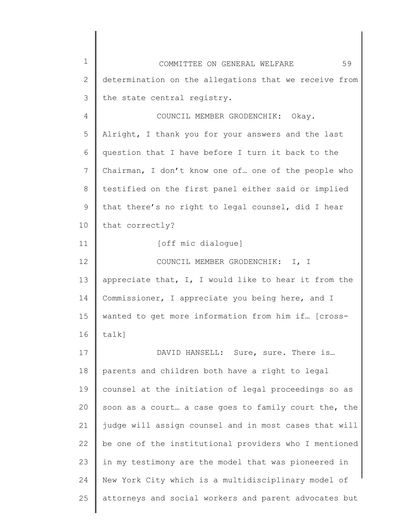| $\mathbf 1$  | 59<br>COMMITTEE ON GENERAL WELFARE                    |
|--------------|-------------------------------------------------------|
| $\mathbf{2}$ | determination on the allegations that we receive from |
| 3            | the state central registry.                           |
| 4            | COUNCIL MEMBER GRODENCHIK: Okay.                      |
| 5            | Alright, I thank you for your answers and the last    |
| 6            | question that I have before I turn it back to the     |
| 7            | Chairman, I don't know one of one of the people who   |
| 8            | testified on the first panel either said or implied   |
| 9            | that there's no right to legal counsel, did I hear    |
| 10           | that correctly?                                       |
| 11           | [off mic dialoque]                                    |
| 12           | COUNCIL MEMBER GRODENCHIK: I, I                       |
| 13           | appreciate that, I, I would like to hear it from the  |
| 14           | Commissioner, I appreciate you being here, and I      |
| 15           | wanted to get more information from him if [cross-    |
| 16           | talk]                                                 |
| 17           | DAVID HANSELL: Sure, sure. There is                   |
| 18           | parents and children both have a right to legal       |
| 19           | counsel at the initiation of legal proceedings so as  |
| 20           | soon as a court a case goes to family court the, the  |
| 21           | judge will assign counsel and in most cases that will |
| 22           | be one of the institutional providers who I mentioned |
| 23           | in my testimony are the model that was pioneered in   |
| 24           | New York City which is a multidisciplinary model of   |
| 25           | attorneys and social workers and parent advocates but |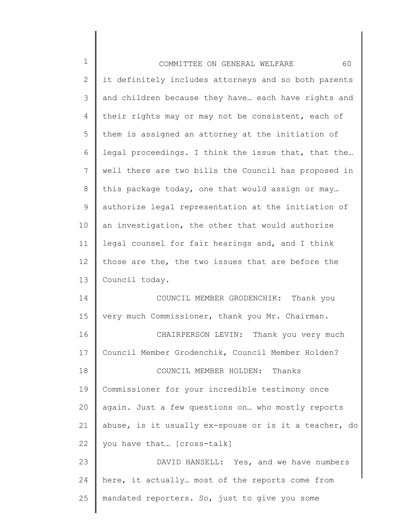| $\mathbf 1$    | 60<br>COMMITTEE ON GENERAL WELFARE                    |
|----------------|-------------------------------------------------------|
| 2              | it definitely includes attorneys and so both parents  |
| 3              | and children because they have each have rights and   |
| $\overline{4}$ | their rights may or may not be consistent, each of    |
| 5              | them is assigned an attorney at the initiation of     |
| 6              | legal proceedings. I think the issue that, that the   |
| 7              | well there are two bills the Council has proposed in  |
| $8\,$          | this package today, one that would assign or may      |
| 9              | authorize legal representation at the initiation of   |
| 10             | an investigation, the other that would authorize      |
| 11             | legal counsel for fair hearings and, and I think      |
| 12             | those are the, the two issues that are before the     |
| 13             | Council today.                                        |
| 14             | COUNCIL MEMBER GRODENCHIK:<br>Thank you               |
| 15             | very much Commissioner, thank you Mr. Chairman.       |
| 16             | CHAIRPERSON LEVIN: Thank you very much                |
| 17             | Council Member Grodenchik, Council Member Holden?     |
| 18             | COUNCIL MEMBER HOLDEN: Thanks                         |
| 19             | Commissioner for your incredible testimony once       |
| 20             | again. Just a few questions on who mostly reports     |
| 21             | abuse, is it usually ex-spouse or is it a teacher, do |
| 22             | you have that [cross-talk]                            |
| 23             | DAVID HANSELL: Yes, and we have numbers               |
| 24             | here, it actually most of the reports come from       |
| 25             | mandated reporters. So, just to give you some         |
|                |                                                       |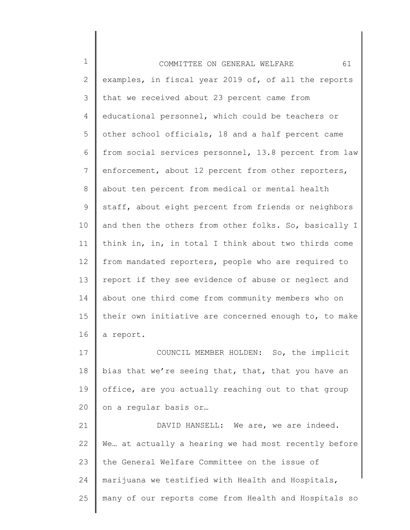1 2 3 4 5 6 7 8 9 10 11 12 13 14 15 16 17 18 19 20 21 22 23 24 25 COMMITTEE ON GENERAL WELFARE 61 examples, in fiscal year 2019 of, of all the reports that we received about 23 percent came from educational personnel, which could be teachers or other school officials, 18 and a half percent came from social services personnel, 13.8 percent from law enforcement, about 12 percent from other reporters, about ten percent from medical or mental health staff, about eight percent from friends or neighbors and then the others from other folks. So, basically I think in, in, in total I think about two thirds come from mandated reporters, people who are required to report if they see evidence of abuse or neglect and about one third come from community members who on their own initiative are concerned enough to, to make a report. COUNCIL MEMBER HOLDEN: So, the implicit bias that we're seeing that, that, that you have an office, are you actually reaching out to that group on a regular basis or… DAVID HANSELL: We are, we are indeed. We… at actually a hearing we had most recently before the General Welfare Committee on the issue of marijuana we testified with Health and Hospitals, many of our reports come from Health and Hospitals so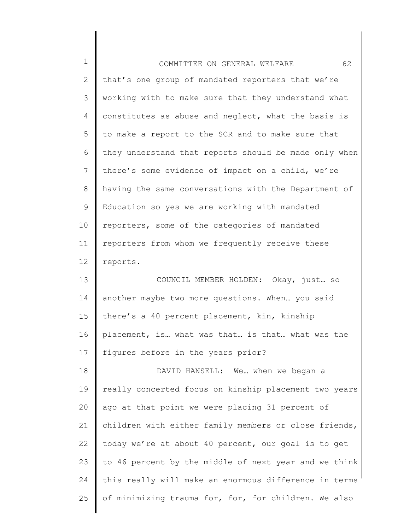| $\mathbf 1$     | 62<br>COMMITTEE ON GENERAL WELFARE                    |
|-----------------|-------------------------------------------------------|
| $\mathbf{2}$    | that's one group of mandated reporters that we're     |
| 3               | working with to make sure that they understand what   |
| 4               | constitutes as abuse and neglect, what the basis is   |
| 5               | to make a report to the SCR and to make sure that     |
| 6               | they understand that reports should be made only when |
| 7               | there's some evidence of impact on a child, we're     |
| 8               | having the same conversations with the Department of  |
| 9               | Education so yes we are working with mandated         |
| 10              | reporters, some of the categories of mandated         |
| 11              | reporters from whom we frequently receive these       |
| 12 <sup>°</sup> | reports.                                              |
| 13              | COUNCIL MEMBER HOLDEN: Okay, just so                  |
| 14              | another maybe two more questions. When you said       |
| 15              | there's a 40 percent placement, kin, kinship          |
| 16              | placement, is what was that is that what was the      |
| 17              | figures before in the years prior?                    |
| 18              | DAVID HANSELL: We when we began a                     |
| 19              | really concerted focus on kinship placement two years |
| 20              | ago at that point we were placing 31 percent of       |
| 21              | children with either family members or close friends, |
| 22              | today we're at about 40 percent, our goal is to get   |
| 23              | to 46 percent by the middle of next year and we think |
| 24              | this really will make an enormous difference in terms |
| 25              | of minimizing trauma for, for, for children. We also  |
|                 |                                                       |

∥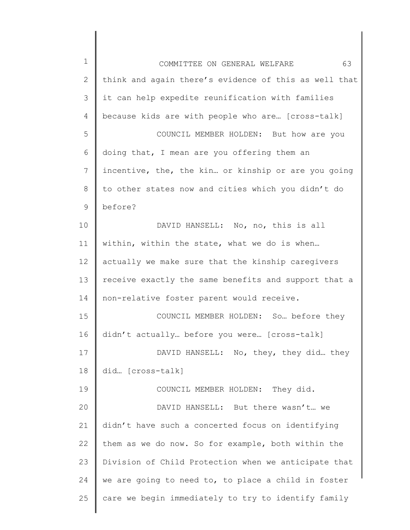1 2 3 4 5 6 7 8 9 10 11 12 13 14 15 16 17 18 19 20 21 22 23 24 25 COMMITTEE ON GENERAL WELFARE 63 think and again there's evidence of this as well that it can help expedite reunification with families because kids are with people who are… [cross-talk] COUNCIL MEMBER HOLDEN: But how are you doing that, I mean are you offering them an incentive, the, the kin… or kinship or are you going to other states now and cities which you didn't do before? DAVID HANSELL: No, no, this is all within, within the state, what we do is when… actually we make sure that the kinship caregivers receive exactly the same benefits and support that a non-relative foster parent would receive. COUNCIL MEMBER HOLDEN: So… before they didn't actually… before you were… [cross-talk] DAVID HANSELL: No, they, they did… they did… [cross-talk] COUNCIL MEMBER HOLDEN: They did. DAVID HANSELL: But there wasn't… we didn't have such a concerted focus on identifying them as we do now. So for example, both within the Division of Child Protection when we anticipate that we are going to need to, to place a child in foster care we begin immediately to try to identify family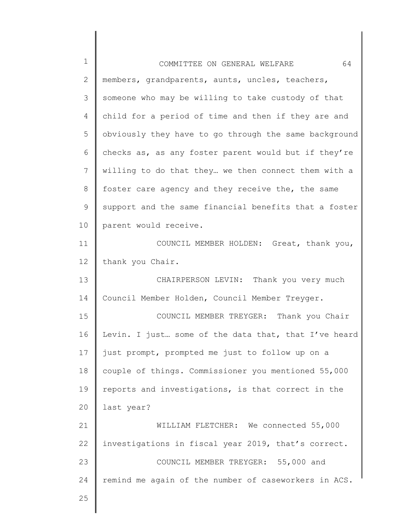| $\mathbf 1$ | 64<br>COMMITTEE ON GENERAL WELFARE                    |
|-------------|-------------------------------------------------------|
| 2           | members, grandparents, aunts, uncles, teachers,       |
| 3           | someone who may be willing to take custody of that    |
| 4           | child for a period of time and then if they are and   |
| 5           | obviously they have to go through the same background |
| 6           | checks as, as any foster parent would but if they're  |
| 7           | willing to do that they we then connect them with a   |
| $8\,$       | foster care agency and they receive the, the same     |
| 9           | support and the same financial benefits that a foster |
| 10          | parent would receive.                                 |
| 11          | COUNCIL MEMBER HOLDEN: Great, thank you,              |
| 12          | thank you Chair.                                      |
| 13          | CHAIRPERSON LEVIN: Thank you very much                |
| 14          | Council Member Holden, Council Member Treyger.        |
| 15          | COUNCIL MEMBER TREYGER: Thank you Chair               |
| 16          | Levin. I just some of the data that, that I've heard  |
| 17          | just prompt, prompted me just to follow up on a       |
| 18          | couple of things. Commissioner you mentioned 55,000   |
| 19          | reports and investigations, is that correct in the    |
| 20          | last year?                                            |
| 21          | WILLIAM FLETCHER: We connected 55,000                 |
| 22          | investigations in fiscal year 2019, that's correct.   |
| 23          | COUNCIL MEMBER TREYGER: 55,000 and                    |
| 24          | remind me again of the number of caseworkers in ACS.  |
| 25          |                                                       |
|             |                                                       |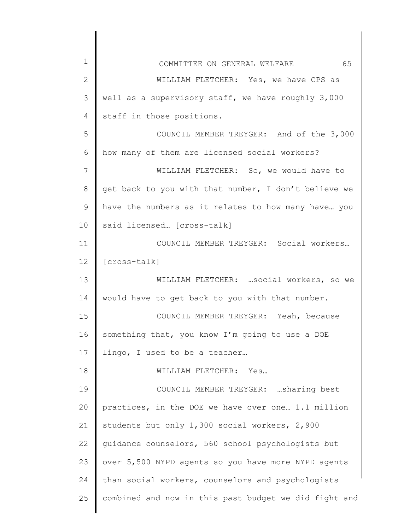| 1                 | 65<br>COMMITTEE ON GENERAL WELFARE                    |
|-------------------|-------------------------------------------------------|
| $\overline{2}$    | WILLIAM FLETCHER: Yes, we have CPS as                 |
| 3                 | well as a supervisory staff, we have roughly 3,000    |
| 4                 | staff in those positions.                             |
| 5                 | COUNCIL MEMBER TREYGER: And of the 3,000              |
| 6                 | how many of them are licensed social workers?         |
| 7                 | WILLIAM FLETCHER: So, we would have to                |
| 8                 | get back to you with that number, I don't believe we  |
| 9                 | have the numbers as it relates to how many have you   |
| 10                | said licensed [cross-talk]                            |
| 11                | COUNCIL MEMBER TREYGER: Social workers                |
| $12 \overline{ }$ | [cross-talk]                                          |
| 13                | WILLIAM FLETCHER:  social workers, so we              |
| 14                | would have to get back to you with that number.       |
| 15                | COUNCIL MEMBER TREYGER: Yeah, because                 |
| 16                | something that, you know I'm going to use a DOE       |
| 17                | lingo, I used to be a teacher                         |
| 18                | WILLIAM FLETCHER: Yes                                 |
| 19                | COUNCIL MEMBER TREYGER: sharing best                  |
| 20                | practices, in the DOE we have over one 1.1 million    |
| 21                | students but only 1,300 social workers, 2,900         |
| 22                | quidance counselors, 560 school psychologists but     |
| 23                | over 5,500 NYPD agents so you have more NYPD agents   |
| 24                | than social workers, counselors and psychologists     |
| 25                | combined and now in this past budget we did fight and |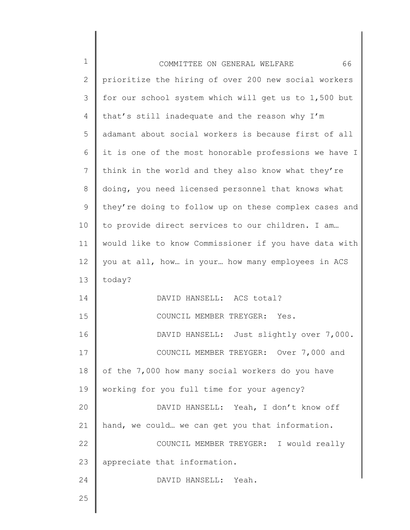| $\mathbf 1$ | 66<br>COMMITTEE ON GENERAL WELFARE                    |
|-------------|-------------------------------------------------------|
| 2           | prioritize the hiring of over 200 new social workers  |
| 3           | for our school system which will get us to 1,500 but  |
| 4           | that's still inadequate and the reason why I'm        |
| 5           | adamant about social workers is because first of all  |
| 6           | it is one of the most honorable professions we have I |
| 7           | think in the world and they also know what they're    |
| $8\,$       | doing, you need licensed personnel that knows what    |
| $\mathsf 9$ | they're doing to follow up on these complex cases and |
| 10          | to provide direct services to our children. I am      |
| 11          | would like to know Commissioner if you have data with |
| 12          | you at all, how in your how many employees in ACS     |
| 13          | today?                                                |
| 14          | DAVID HANSELL: ACS total?                             |
| 15          | COUNCIL MEMBER TREYGER: Yes.                          |
| 16          | DAVID HANSELL: Just slightly over 7,000.              |
| 17          | COUNCIL MEMBER TREYGER: Over 7,000 and                |
| 18          | of the 7,000 how many social workers do you have      |
| 19          | working for you full time for your agency?            |
| 20          | DAVID HANSELL: Yeah, I don't know off                 |
| 21          | hand, we could we can get you that information.       |
| 22          | COUNCIL MEMBER TREYGER: I would really                |
| 23          | appreciate that information.                          |
| 24          | DAVID HANSELL: Yeah.                                  |
| 25          |                                                       |
|             |                                                       |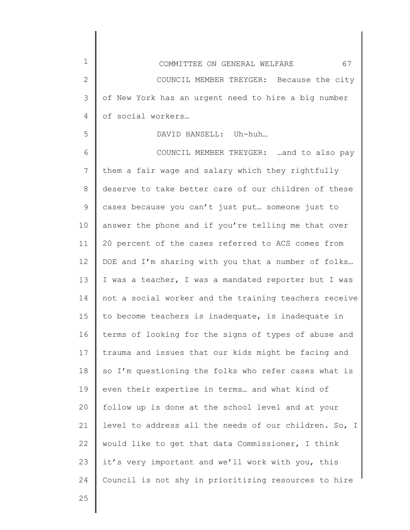of social workers…

1

2

3

4

5

## DAVID HANSELL: Uh-huh…

6 7 8 9 10 11 12 13 14 15 16 17 18 19 20 21 22 23 24 COUNCIL MEMBER TREYGER: …and to also pay them a fair wage and salary which they rightfully deserve to take better care of our children of these cases because you can't just put… someone just to answer the phone and if you're telling me that over 20 percent of the cases referred to ACS comes from DOE and I'm sharing with you that a number of folks… I was a teacher, I was a mandated reporter but I was not a social worker and the training teachers receive to become teachers is inadequate, is inadequate in terms of looking for the signs of types of abuse and trauma and issues that our kids might be facing and so I'm questioning the folks who refer cases what is even their expertise in terms… and what kind of follow up is done at the school level and at your level to address all the needs of our children. So, I would like to get that data Commissioner, I think it's very important and we'll work with you, this Council is not shy in prioritizing resources to hire

25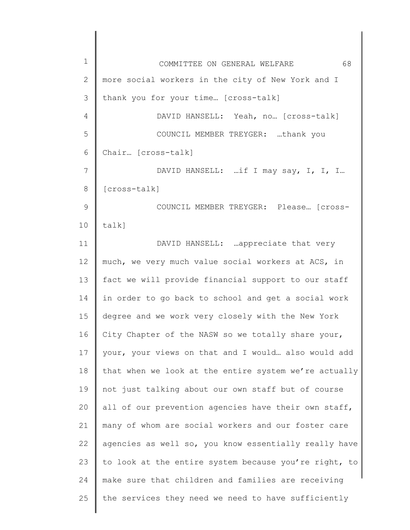| $\mathbf 1$   | 68<br>COMMITTEE ON GENERAL WELFARE                    |
|---------------|-------------------------------------------------------|
| 2             | more social workers in the city of New York and I     |
| 3             | thank you for your time [cross-talk]                  |
| 4             | DAVID HANSELL: Yeah, no [cross-talk]                  |
| 5             | COUNCIL MEMBER TREYGER: thank you                     |
| 6             | Chair [cross-talk]                                    |
| 7             | DAVID HANSELL:  if I may say, I, I, I                 |
| 8             | [cross-talk]                                          |
| $\mathcal{G}$ | COUNCIL MEMBER TREYGER: Please [cross-                |
| 10            | $talk$ ]                                              |
| 11            | DAVID HANSELL: appreciate that very                   |
| 12            | much, we very much value social workers at ACS, in    |
| 13            | fact we will provide financial support to our staff   |
| 14            | in order to go back to school and get a social work   |
| 15            | degree and we work very closely with the New York     |
| 16            | City Chapter of the NASW so we totally share your,    |
| 17            | your, your views on that and I would also would add   |
| 18            | that when we look at the entire system we're actually |
| 19            | not just talking about our own staff but of course    |
| 20            | all of our prevention agencies have their own staff,  |
| 21            | many of whom are social workers and our foster care   |
| 22            | agencies as well so, you know essentially really have |
| 23            | to look at the entire system because you're right, to |
| 24            | make sure that children and families are receiving    |
| 25            | the services they need we need to have sufficiently   |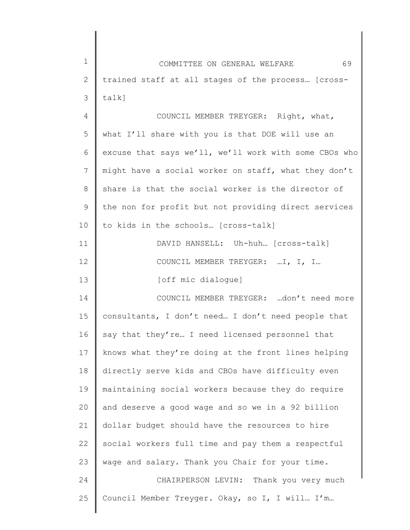| 1  | 69<br>COMMITTEE ON GENERAL WELFARE                    |
|----|-------------------------------------------------------|
| 2  | trained staff at all stages of the process [cross-    |
| 3  | $talk$ ]                                              |
| 4  | COUNCIL MEMBER TREYGER: Right, what,                  |
| 5  | what I'll share with you is that DOE will use an      |
| 6  | excuse that says we'll, we'll work with some CBOs who |
| 7  | might have a social worker on staff, what they don't  |
| 8  | share is that the social worker is the director of    |
| 9  | the non for profit but not providing direct services  |
| 10 | to kids in the schools [cross-talk]                   |
| 11 | DAVID HANSELL: Uh-huh [cross-talk]                    |
| 12 | COUNCIL MEMBER TREYGER: I, I, I                       |
| 13 | [off mic dialogue]                                    |
| 14 | COUNCIL MEMBER TREYGER: don't need more               |
| 15 | consultants, I don't need I don't need people that    |
| 16 | say that they're I need licensed personnel that       |
| 17 | knows what they're doing at the front lines helping   |
| 18 | directly serve kids and CBOs have difficulty even     |
| 19 | maintaining social workers because they do require    |
| 20 | and deserve a good wage and so we in a 92 billion     |
| 21 | dollar budget should have the resources to hire       |
| 22 | social workers full time and pay them a respectful    |
| 23 | wage and salary. Thank you Chair for your time.       |
| 24 | CHAIRPERSON LEVIN: Thank you very much                |
| 25 | Council Member Treyger. Okay, so I, I will I'm        |
|    |                                                       |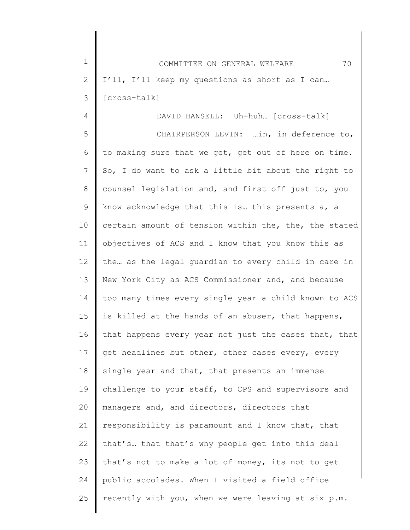1 2 3 COMMITTEE ON GENERAL WELFARE 70 I'll, I'll keep my questions as short as I can… [cross-talk]

4

DAVID HANSELL: Uh-huh… [cross-talk]

5 6 7 8 9 10 11 12 13 14 15 16 17 18 19 20 21 22 23 24 25 CHAIRPERSON LEVIN: …in, in deference to, to making sure that we get, get out of here on time. So, I do want to ask a little bit about the right to counsel legislation and, and first off just to, you know acknowledge that this is… this presents a, a certain amount of tension within the, the, the stated objectives of ACS and I know that you know this as the… as the legal guardian to every child in care in New York City as ACS Commissioner and, and because too many times every single year a child known to ACS is killed at the hands of an abuser, that happens, that happens every year not just the cases that, that get headlines but other, other cases every, every single year and that, that presents an immense challenge to your staff, to CPS and supervisors and managers and, and directors, directors that responsibility is paramount and I know that, that that's… that that's why people get into this deal that's not to make a lot of money, its not to get public accolades. When I visited a field office recently with you, when we were leaving at six p.m.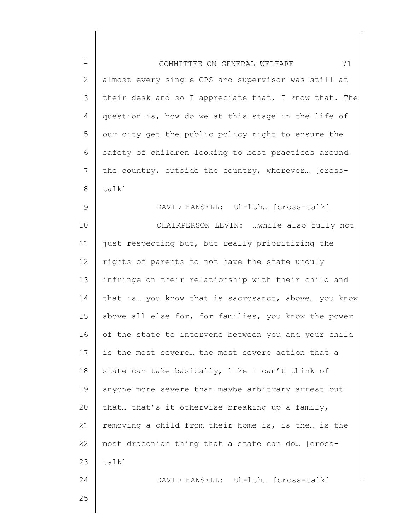| $1\,$          | 71<br>COMMITTEE ON GENERAL WELFARE                    |
|----------------|-------------------------------------------------------|
| $\mathbf{2}$   | almost every single CPS and supervisor was still at   |
| $\mathcal{S}$  | their desk and so I appreciate that, I know that. The |
| 4              | question is, how do we at this stage in the life of   |
| 5              | our city get the public policy right to ensure the    |
| 6              | safety of children looking to best practices around   |
| $7\phantom{.}$ | the country, outside the country, wherever [cross-    |
| $8\,$          | $talk$ ]                                              |
| $\mathsf 9$    | DAVID HANSELL: Uh-huh [cross-talk]                    |
| 10             | CHAIRPERSON LEVIN: while also fully not               |
| 11             | just respecting but, but really prioritizing the      |
| 12             | rights of parents to not have the state unduly        |
| 13             | infringe on their relationship with their child and   |
| 14             | that is you know that is sacrosanct, above you know   |
| 15             | above all else for, for families, you know the power  |
| 16             | of the state to intervene between you and your child  |
| 17             | is the most severe the most severe action that a      |
| 18             | state can take basically, like I can't think of       |
| 19             | anyone more severe than maybe arbitrary arrest but    |
| 20             | that that's it otherwise breaking up a family,        |
| 21             | removing a child from their home is, is the is the    |
| 22             | most draconian thing that a state can do [cross-      |
| 23             | $talk$ ]                                              |
| 24             | DAVID HANSELL: Uh-huh [cross-talk]                    |
| 25             |                                                       |
|                |                                                       |

∥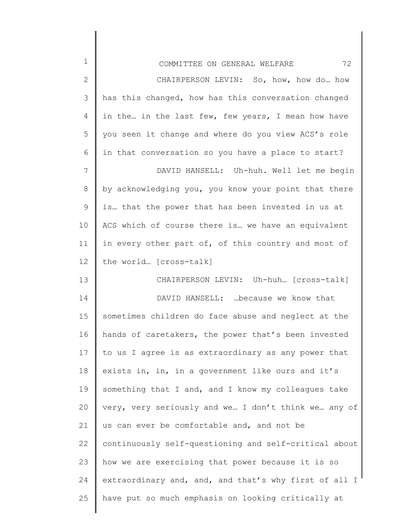| $\mathbf 1$  | 72<br>COMMITTEE ON GENERAL WELFARE                    |
|--------------|-------------------------------------------------------|
| $\mathbf{2}$ | CHAIRPERSON LEVIN: So, how, how do how                |
| 3            | has this changed, how has this conversation changed   |
| 4            | in the in the last few, few years, I mean how have    |
| 5            | you seen it change and where do you view ACS's role   |
| 6            | in that conversation so you have a place to start?    |
| 7            | DAVID HANSELL: Uh-huh. Well let me begin              |
| 8            | by acknowledging you, you know your point that there  |
| 9            | is that the power that has been invested in us at     |
| 10           | ACS which of course there is we have an equivalent    |
| 11           | in every other part of, of this country and most of   |
| 12           | the world [cross-talk]                                |
| 13           | CHAIRPERSON LEVIN: Uh-huh [cross-talk]                |
| 14           | DAVID HANSELL:  because we know that                  |
| 15           | sometimes children do face abuse and neglect at the   |
| 16           | hands of caretakers, the power that's been invested   |
| 17           | to us I agree is as extraordinary as any power that   |
| 18           | exists in, in, in a government like ours and it's     |
| 19           | something that I and, and I know my colleagues take   |
| 20           | very, very seriously and we I don't think we any of   |
| 21           | us can ever be comfortable and, and not be            |
| 22           | continuously self-questioning and self-critical about |
| 23           | how we are exercising that power because it is so     |
| 24           | extraordinary and, and, and that's why first of all I |
| 25           | have put so much emphasis on looking critically at    |
|              |                                                       |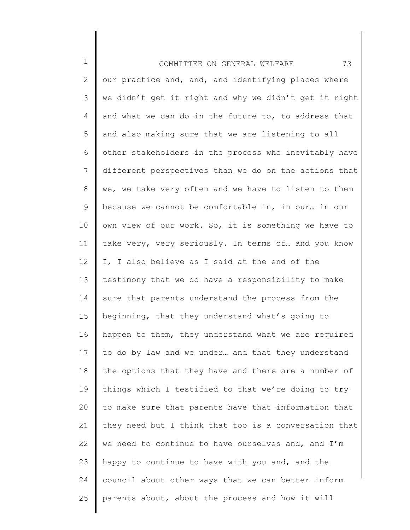1 2 3 4 5 6 7 8 9 10 11 12 13 14 15 16 17 18 19 20 21 22 23 24 25 COMMITTEE ON GENERAL WELFARE 73 our practice and, and, and identifying places where we didn't get it right and why we didn't get it right and what we can do in the future to, to address that and also making sure that we are listening to all other stakeholders in the process who inevitably have different perspectives than we do on the actions that we, we take very often and we have to listen to them because we cannot be comfortable in, in our… in our own view of our work. So, it is something we have to take very, very seriously. In terms of… and you know I, I also believe as I said at the end of the testimony that we do have a responsibility to make sure that parents understand the process from the beginning, that they understand what's going to happen to them, they understand what we are required to do by law and we under… and that they understand the options that they have and there are a number of things which I testified to that we're doing to try to make sure that parents have that information that they need but I think that too is a conversation that we need to continue to have ourselves and, and I'm happy to continue to have with you and, and the council about other ways that we can better inform parents about, about the process and how it will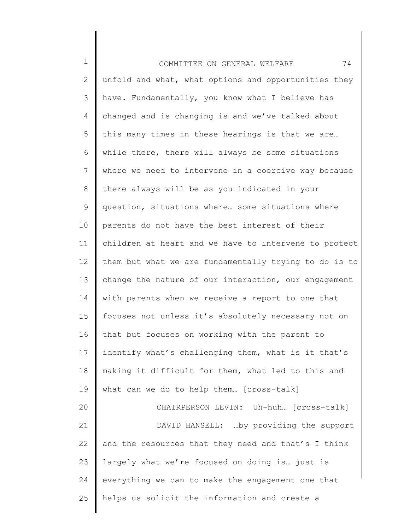| $\mathbf 1$     | 74<br>COMMITTEE ON GENERAL WELFARE                    |
|-----------------|-------------------------------------------------------|
| $\mathbf{2}$    | unfold and what, what options and opportunities they  |
| 3               | have. Fundamentally, you know what I believe has      |
| 4               | changed and is changing is and we've talked about     |
| 5               | this many times in these hearings is that we are      |
| 6               | while there, there will always be some situations     |
| $7\phantom{.0}$ | where we need to intervene in a coercive way because  |
| 8               | there always will be as you indicated in your         |
| 9               | question, situations where some situations where      |
| 10              | parents do not have the best interest of their        |
| 11              | children at heart and we have to intervene to protect |
| 12              | them but what we are fundamentally trying to do is to |
| 13              | change the nature of our interaction, our engagement  |
| 14              | with parents when we receive a report to one that     |
| 15              | focuses not unless it's absolutely necessary not on   |
| 16              | that but focuses on working with the parent to        |
| 17              | identify what's challenging them, what is it that's   |
| 18              | making it difficult for them, what led to this and    |
| 19              | what can we do to help them [cross-talk]              |
| 20              | CHAIRPERSON LEVIN: Uh-huh [cross-talk]                |
| 21              | DAVID HANSELL:  by providing the support              |
| 22              | and the resources that they need and that's I think   |
| 23              | largely what we're focused on doing is just is        |
| 24              | everything we can to make the engagement one that     |
| 25              | helps us solicit the information and create a         |
|                 |                                                       |

∥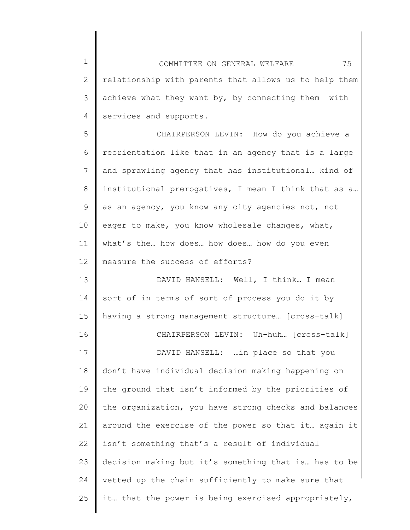1 2 3 4 COMMITTEE ON GENERAL WELFARE 75 relationship with parents that allows us to help them achieve what they want by, by connecting them with services and supports.

5 6 7 8 9 10 11 12 CHAIRPERSON LEVIN: How do you achieve a reorientation like that in an agency that is a large and sprawling agency that has institutional… kind of institutional prerogatives, I mean I think that as a… as an agency, you know any city agencies not, not eager to make, you know wholesale changes, what, what's the… how does… how does… how do you even measure the success of efforts?

13 14 15 16 17 18 19 20 21 22 23 24 25 DAVID HANSELL: Well, I think… I mean sort of in terms of sort of process you do it by having a strong management structure… [cross-talk] CHAIRPERSON LEVIN: Uh-huh… [cross-talk] DAVID HANSELL: …in place so that you don't have individual decision making happening on the ground that isn't informed by the priorities of the organization, you have strong checks and balances around the exercise of the power so that it… again it isn't something that's a result of individual decision making but it's something that is… has to be vetted up the chain sufficiently to make sure that it… that the power is being exercised appropriately,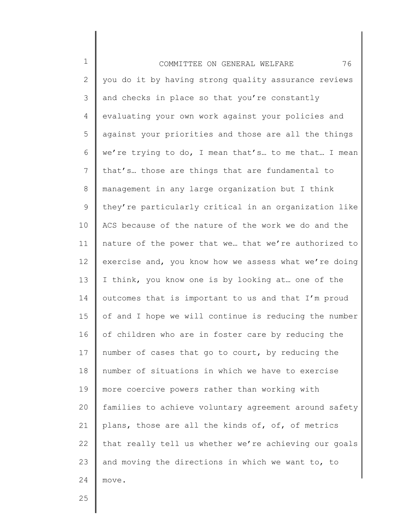1 2 3 4 5 6 7 8 9 10 11 12 13 14 15 16 17 18 19 20 21 22 23 24 COMMITTEE ON GENERAL WELFARE 76 you do it by having strong quality assurance reviews and checks in place so that you're constantly evaluating your own work against your policies and against your priorities and those are all the things we're trying to do, I mean that's… to me that… I mean that's… those are things that are fundamental to management in any large organization but I think they're particularly critical in an organization like ACS because of the nature of the work we do and the nature of the power that we… that we're authorized to exercise and, you know how we assess what we're doing I think, you know one is by looking at… one of the outcomes that is important to us and that I'm proud of and I hope we will continue is reducing the number of children who are in foster care by reducing the number of cases that go to court, by reducing the number of situations in which we have to exercise more coercive powers rather than working with families to achieve voluntary agreement around safety plans, those are all the kinds of, of, of metrics that really tell us whether we're achieving our goals and moving the directions in which we want to, to move.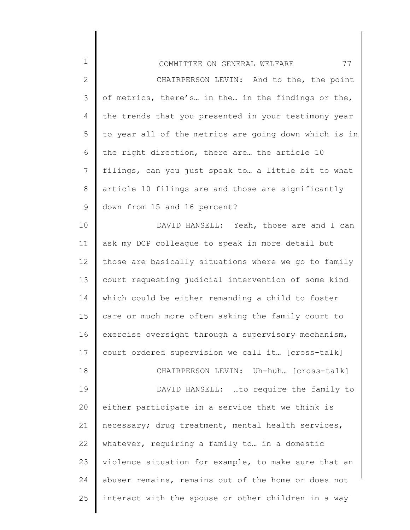| $\mathbf 1$     | 77<br>COMMITTEE ON GENERAL WELFARE                    |
|-----------------|-------------------------------------------------------|
| $\mathbf{2}$    | CHAIRPERSON LEVIN: And to the, the point              |
| 3               | of metrics, there's in the in the findings or the,    |
| 4               | the trends that you presented in your testimony year  |
| 5               | to year all of the metrics are going down which is in |
| 6               | the right direction, there are the article 10         |
| $7\overline{ }$ | filings, can you just speak to a little bit to what   |
| 8               | article 10 filings are and those are significantly    |
| 9               | down from 15 and 16 percent?                          |
| 10              | DAVID HANSELL: Yeah, those are and I can              |
| 11              | ask my DCP colleague to speak in more detail but      |
| 12              | those are basically situations where we go to family  |
| 13              | court requesting judicial intervention of some kind   |
| 14              | which could be either remanding a child to foster     |
| 15              | care or much more often asking the family court to    |
| 16              | exercise oversight through a supervisory mechanism,   |
| 17              | court ordered supervision we call it [cross-talk]     |
| 18              | CHAIRPERSON LEVIN: Uh-huh [cross-talk]                |
| 19              | DAVID HANSELL: to require the family to               |
| 20              | either participate in a service that we think is      |
| 21              | necessary; drug treatment, mental health services,    |
| 22              | whatever, requiring a family to in a domestic         |
| 23              | violence situation for example, to make sure that an  |
| 24              | abuser remains, remains out of the home or does not   |
| 25              | interact with the spouse or other children in a way   |

∥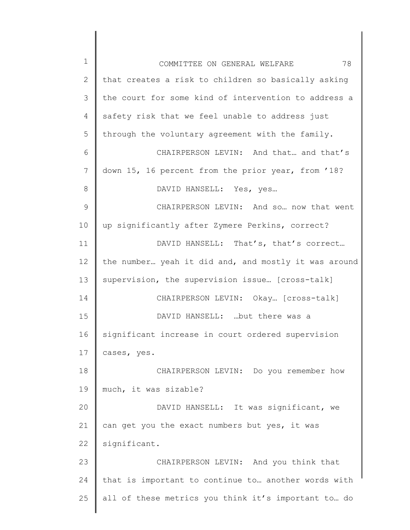| $\mathbf 1$    | 78<br>COMMITTEE ON GENERAL WELFARE                   |
|----------------|------------------------------------------------------|
| $\mathbf{2}$   | that creates a risk to children so basically asking  |
| 3              | the court for some kind of intervention to address a |
| $\overline{4}$ | safety risk that we feel unable to address just      |
| 5              | through the voluntary agreement with the family.     |
| 6              | CHAIRPERSON LEVIN: And that and that's               |
| 7              | down 15, 16 percent from the prior year, from '18?   |
| 8              | DAVID HANSELL: Yes, yes                              |
| 9              | CHAIRPERSON LEVIN: And so now that went              |
| 10             | up significantly after Zymere Perkins, correct?      |
| 11             | DAVID HANSELL: That's, that's correct                |
| 12             | the number yeah it did and, and mostly it was around |
| 13             | supervision, the supervision issue [cross-talk]      |
| 14             | CHAIRPERSON LEVIN: Okay [cross-talk]                 |
| 15             | DAVID HANSELL:  but there was a                      |
| 16             | significant increase in court ordered supervision    |
| 17             | cases, yes.                                          |
| 18             | CHAIRPERSON LEVIN: Do you remember how               |
| 19             | much, it was sizable?                                |
| 20             | DAVID HANSELL: It was significant, we                |
| 21             | can get you the exact numbers but yes, it was        |
| 22             | significant.                                         |
| 23             | CHAIRPERSON LEVIN: And you think that                |
| 24             | that is important to continue to another words with  |
| 25             | all of these metrics you think it's important to do  |
|                |                                                      |

║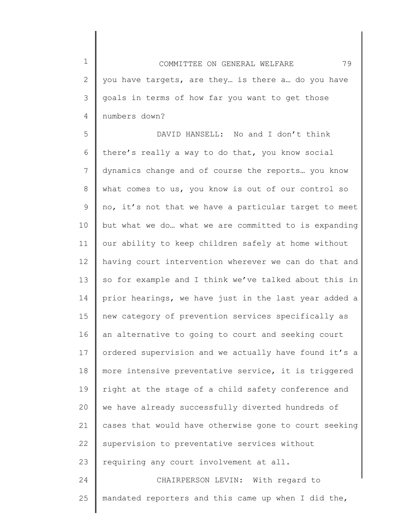1 2 3 4 COMMITTEE ON GENERAL WELFARE 79 you have targets, are they… is there a… do you have goals in terms of how far you want to get those numbers down?

5 6 7 8 9 10 11 12 13 14 15 16 17 18 19 20 21 22 23 24 DAVID HANSELL: No and I don't think there's really a way to do that, you know social dynamics change and of course the reports… you know what comes to us, you know is out of our control so no, it's not that we have a particular target to meet but what we do… what we are committed to is expanding our ability to keep children safely at home without having court intervention wherever we can do that and so for example and I think we've talked about this in prior hearings, we have just in the last year added a new category of prevention services specifically as an alternative to going to court and seeking court ordered supervision and we actually have found it's a more intensive preventative service, it is triggered right at the stage of a child safety conference and we have already successfully diverted hundreds of cases that would have otherwise gone to court seeking supervision to preventative services without requiring any court involvement at all. CHAIRPERSON LEVIN: With regard to

25 mandated reporters and this came up when I did the,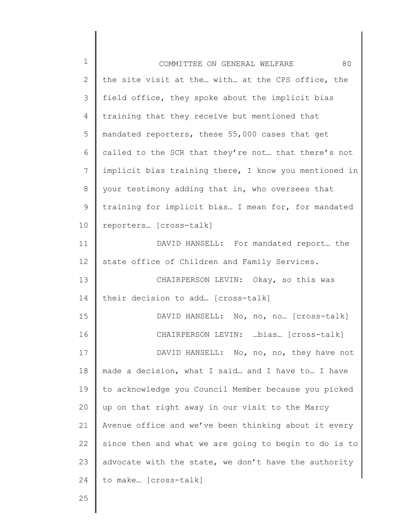| $\mathbf 1$     | 80<br>COMMITTEE ON GENERAL WELFARE                    |
|-----------------|-------------------------------------------------------|
| 2               | the site visit at the with at the CPS office, the     |
| 3               | field office, they spoke about the implicit bias      |
| 4               | training that they receive but mentioned that         |
| 5               | mandated reporters, these 55,000 cases that get       |
| 6               | called to the SCR that they're not that there's not   |
| 7               | implicit bias training there, I know you mentioned in |
| 8               | your testimony adding that in, who oversees that      |
| 9               | training for implicit bias I mean for, for mandated   |
| 10              | reporters [cross-talk]                                |
| 11              | DAVID HANSELL: For mandated report the                |
| 12 <sup>°</sup> | state office of Children and Family Services.         |
| 13              | CHAIRPERSON LEVIN: Okay, so this was                  |
| 14              | their decision to add [cross-talk]                    |
| 15              | DAVID HANSELL: No, no, no [cross-talk]                |
| 16              | CHAIRPERSON LEVIN: bias [cross-talk]                  |
| 17              | DAVID HANSELL: No, no, no, they have not              |
| 18              | made a decision, what I said and I have to I have     |
| 19              | to acknowledge you Council Member because you picked  |
| 20              | up on that right away in our visit to the Marcy       |
| 21              | Avenue office and we've been thinking about it every  |
| 22              | since then and what we are going to begin to do is to |
| 23              | advocate with the state, we don't have the authority  |
| 24              | to make [cross-talk]                                  |
| 25              |                                                       |

║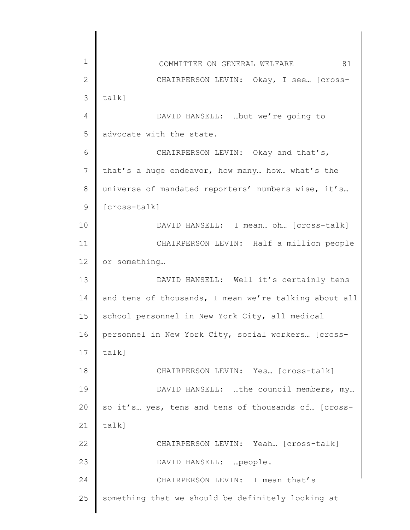| $\mathbf 1$    | 81<br>COMMITTEE ON GENERAL WELFARE                    |
|----------------|-------------------------------------------------------|
| $\mathbf{2}$   | CHAIRPERSON LEVIN: Okay, I see [Cross-                |
| 3              | $talk$ ]                                              |
| $\overline{4}$ | DAVID HANSELL:  but we're going to                    |
| 5              | advocate with the state.                              |
| 6              | CHAIRPERSON LEVIN: Okay and that's,                   |
| 7              | that's a huge endeavor, how many how what's the       |
| $8\,$          | universe of mandated reporters' numbers wise, it's    |
| 9              | [cross-talk]                                          |
| 10             | DAVID HANSELL: I mean oh [cross-talk]                 |
| 11             | CHAIRPERSON LEVIN: Half a million people              |
| 12             | or something                                          |
| 13             | DAVID HANSELL: Well it's certainly tens               |
| 14             | and tens of thousands, I mean we're talking about all |
| 15             | school personnel in New York City, all medical        |
| 16             | personnel in New York City, social workers [cross-    |
| 17             | talk]                                                 |
| 18             | CHAIRPERSON LEVIN: Yes [cross-talk]                   |
| 19             | DAVID HANSELL: the council members, my                |
| 20             | so it's yes, tens and tens of thousands of [cross-    |
| 21             | talk]                                                 |
| 22             | CHAIRPERSON LEVIN: Yeah [Cross-talk]                  |
| 23             | DAVID HANSELL:  people.                               |
| 24             | CHAIRPERSON LEVIN: I mean that's                      |
| 25             | something that we should be definitely looking at     |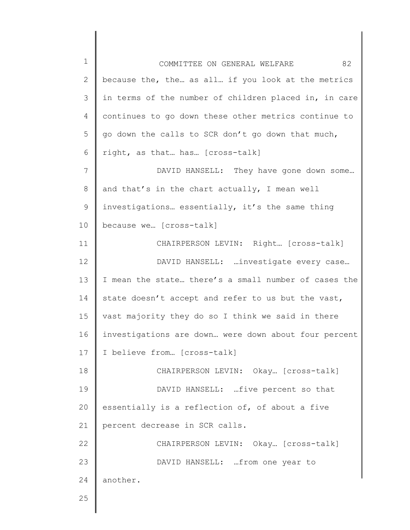1 2 3 4 5 6 7 8 9 10 11 12 13 14 15 16 17 18 19 20 21 22 23 24 25 COMMITTEE ON GENERAL WELFARE 82 because the, the… as all… if you look at the metrics in terms of the number of children placed in, in care continues to go down these other metrics continue to go down the calls to SCR don't go down that much, right, as that… has… [cross-talk] DAVID HANSELL: They have gone down some… and that's in the chart actually, I mean well investigations… essentially, it's the same thing because we… [cross-talk] CHAIRPERSON LEVIN: Right… [cross-talk] DAVID HANSELL: …investigate every case… I mean the state… there's a small number of cases the state doesn't accept and refer to us but the vast, vast majority they do so I think we said in there investigations are down… were down about four percent I believe from… [cross-talk] CHAIRPERSON LEVIN: Okay… [cross-talk] DAVID HANSELL: …five percent so that essentially is a reflection of, of about a five percent decrease in SCR calls. CHAIRPERSON LEVIN: Okay… [cross-talk] DAVID HANSELL: …from one year to another.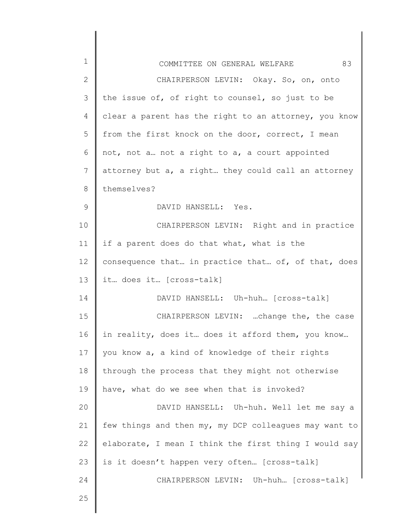| 1  | 83<br>COMMITTEE ON GENERAL WELFARE                    |
|----|-------------------------------------------------------|
| 2  | CHAIRPERSON LEVIN: Okay. So, on, onto                 |
| 3  | the issue of, of right to counsel, so just to be      |
| 4  | clear a parent has the right to an attorney, you know |
| 5  | from the first knock on the door, correct, I mean     |
| 6  | not, not a not a right to a, a court appointed        |
| 7  | attorney but a, a right they could call an attorney   |
| 8  | themselves?                                           |
| 9  | DAVID HANSELL: Yes.                                   |
| 10 | CHAIRPERSON LEVIN: Right and in practice              |
| 11 | if a parent does do that what, what is the            |
| 12 | consequence that in practice that of, of that, does   |
| 13 | it does it [cross-talk]                               |
| 14 | DAVID HANSELL: Uh-huh [cross-talk]                    |
| 15 | CHAIRPERSON LEVIN: change the, the case               |
| 16 | in reality, does it does it afford them, you know     |
| 17 | you know a, a kind of knowledge of their rights       |
| 18 | through the process that they might not otherwise     |
| 19 | have, what do we see when that is invoked?            |
| 20 | DAVID HANSELL: Uh-huh. Well let me say a              |
| 21 | few things and then my, my DCP colleagues may want to |
| 22 | elaborate, I mean I think the first thing I would say |
| 23 | is it doesn't happen very often [cross-talk]          |
| 24 | CHAIRPERSON LEVIN: Uh-huh [cross-talk]                |
| 25 |                                                       |
|    |                                                       |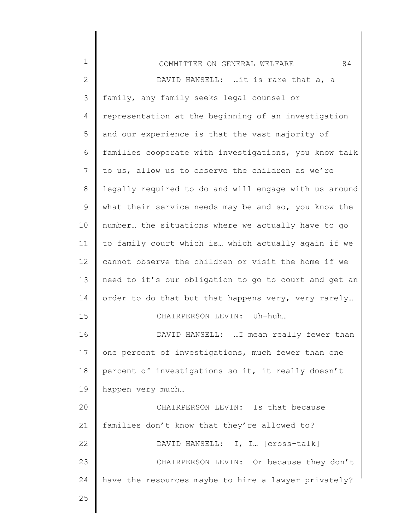| $\mathbf 1$  | 84<br>COMMITTEE ON GENERAL WELFARE                    |
|--------------|-------------------------------------------------------|
| $\mathbf{2}$ | DAVID HANSELL: it is rare that a, a                   |
| 3            | family, any family seeks legal counsel or             |
| 4            | representation at the beginning of an investigation   |
| 5            | and our experience is that the vast majority of       |
| 6            | families cooperate with investigations, you know talk |
| 7            | to us, allow us to observe the children as we're      |
| 8            | legally required to do and will engage with us around |
| 9            | what their service needs may be and so, you know the  |
| 10           | number the situations where we actually have to go    |
| 11           | to family court which is which actually again if we   |
| 12           | cannot observe the children or visit the home if we   |
| 13           | need to it's our obligation to go to court and get an |
| 14           | order to do that but that happens very, very rarely   |
| 15           | CHAIRPERSON LEVIN: Uh-huh                             |
| 16           | DAVID HANSELL:  I mean really fewer than              |
| 17           | one percent of investigations, much fewer than one    |
| 18           | percent of investigations so it, it really doesn't    |
| 19           | happen very much                                      |
| 20           | CHAIRPERSON LEVIN: Is that because                    |
| 21           | families don't know that they're allowed to?          |
| 22           | DAVID HANSELL: I, I [Cross-talk]                      |
| 23           | CHAIRPERSON LEVIN: Or because they don't              |
| 24           | have the resources maybe to hire a lawyer privately?  |
| 25           |                                                       |
|              |                                                       |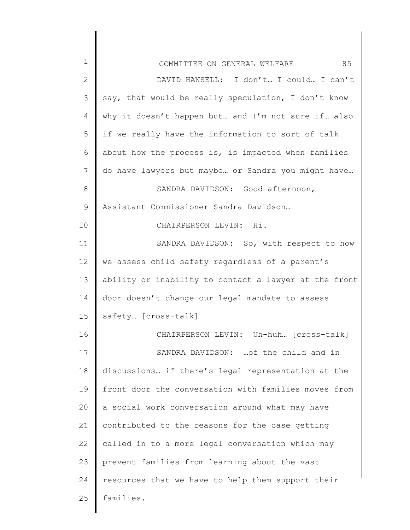| $\mathbf 1$  | 85<br>COMMITTEE ON GENERAL WELFARE                    |
|--------------|-------------------------------------------------------|
| $\mathbf{2}$ | DAVID HANSELL: I don't I could I can't                |
| 3            | say, that would be really speculation, I don't know   |
| 4            | why it doesn't happen but and I'm not sure if also    |
| 5            | if we really have the information to sort of talk     |
| 6            | about how the process is, is impacted when families   |
| 7            | do have lawyers but maybe or Sandra you might have    |
| 8            | SANDRA DAVIDSON: Good afternoon,                      |
| 9            | Assistant Commissioner Sandra Davidson                |
| 10           | CHAIRPERSON LEVIN: Hi.                                |
| 11           | SANDRA DAVIDSON: So, with respect to how              |
| 12           | we assess child safety regardless of a parent's       |
| 13           | ability or inability to contact a lawyer at the front |
| 14           | door doesn't change our legal mandate to assess       |
| 15           | safety [cross-talk]                                   |
| 16           | CHAIRPERSON LEVIN: Uh-huh [cross-talk]                |
| 17           | SANDRA DAVIDSON:  of the child and in                 |
| 18           | discussions if there's legal representation at the    |
| 19           | front door the conversation with families moves from  |
| 20           | a social work conversation around what may have       |
| 21           | contributed to the reasons for the case getting       |
| 22           | called in to a more legal conversation which may      |
| 23           | prevent families from learning about the vast         |
| 24           | resources that we have to help them support their     |
| 25           | families.                                             |
|              |                                                       |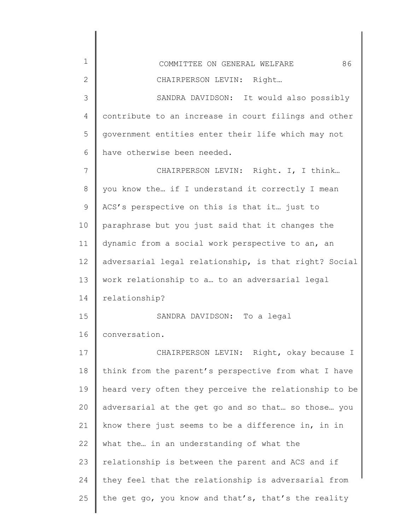| $\mathbf{1}$ | 86<br>COMMITTEE ON GENERAL WELFARE                    |
|--------------|-------------------------------------------------------|
| $\mathbf{2}$ | CHAIRPERSON LEVIN: Right                              |
| 3            | SANDRA DAVIDSON: It would also possibly               |
| 4            | contribute to an increase in court filings and other  |
| 5            | government entities enter their life which may not    |
| 6            | have otherwise been needed.                           |
| 7            | CHAIRPERSON LEVIN: Right. I, I think                  |
| 8            | you know the if I understand it correctly I mean      |
| 9            | ACS's perspective on this is that it just to          |
| 10           | paraphrase but you just said that it changes the      |
| 11           | dynamic from a social work perspective to an, an      |
| 12           | adversarial legal relationship, is that right? Social |
| 13           | work relationship to a to an adversarial legal        |
| 14           | relationship?                                         |
| 15           | SANDRA DAVIDSON: To a legal                           |
| 16           | conversation.                                         |
| 17           | CHAIRPERSON LEVIN: Right, okay because I              |
| 18           | think from the parent's perspective from what I have  |
| 19           | heard very often they perceive the relationship to be |
| 20           | adversarial at the get go and so that so those you    |
| 21           | know there just seems to be a difference in, in in    |
| 22           | what the in an understanding of what the              |
| 23           | relationship is between the parent and ACS and if     |
| 24           | they feel that the relationship is adversarial from   |
| 25           | the get go, you know and that's, that's the reality   |
|              |                                                       |

 $\begin{array}{c} \hline \end{array}$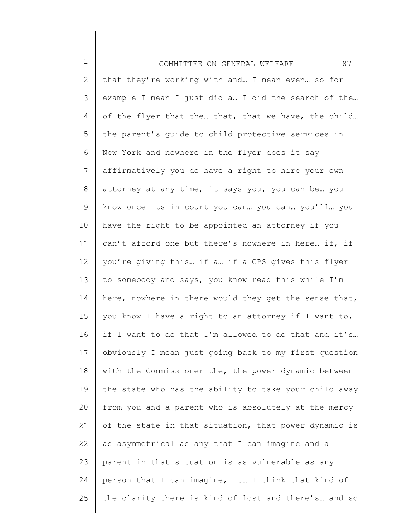1 2 3 4 5 6 7 8 9 10 11 12 13 14 15 16 17 18 19 20 21 22 23 24 25 COMMITTEE ON GENERAL WELFARE 87 that they're working with and… I mean even… so for example I mean I just did a… I did the search of the… of the flyer that the… that, that we have, the child… the parent's guide to child protective services in New York and nowhere in the flyer does it say affirmatively you do have a right to hire your own attorney at any time, it says you, you can be… you know once its in court you can… you can… you'll… you have the right to be appointed an attorney if you can't afford one but there's nowhere in here… if, if you're giving this… if a… if a CPS gives this flyer to somebody and says, you know read this while I'm here, nowhere in there would they get the sense that, you know I have a right to an attorney if I want to, if I want to do that I'm allowed to do that and it's… obviously I mean just going back to my first question with the Commissioner the, the power dynamic between the state who has the ability to take your child away from you and a parent who is absolutely at the mercy of the state in that situation, that power dynamic is as asymmetrical as any that I can imagine and a parent in that situation is as vulnerable as any person that I can imagine, it… I think that kind of the clarity there is kind of lost and there's… and so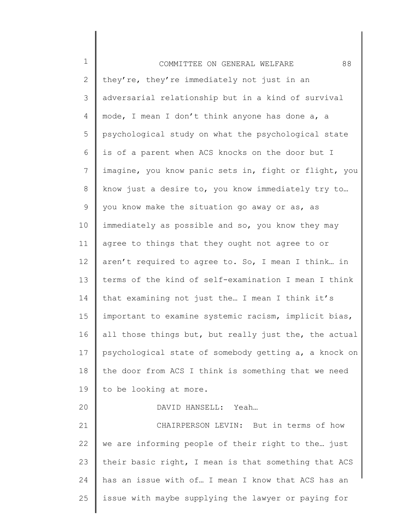| $\mathbf 1$     | 88<br>COMMITTEE ON GENERAL WELFARE                    |
|-----------------|-------------------------------------------------------|
| $\overline{2}$  | they're, they're immediately not just in an           |
| 3               | adversarial relationship but in a kind of survival    |
| 4               | mode, I mean I don't think anyone has done a, a       |
| 5               | psychological study on what the psychological state   |
| 6               | is of a parent when ACS knocks on the door but I      |
| $7\phantom{.0}$ | imagine, you know panic sets in, fight or flight, you |
| $8\,$           | know just a desire to, you know immediately try to    |
| 9               | you know make the situation go away or as, as         |
| 10              | immediately as possible and so, you know they may     |
| 11              | agree to things that they ought not agree to or       |
| 12              | aren't required to agree to. So, I mean I think in    |
| 13              | terms of the kind of self-examination I mean I think  |
| 14              | that examining not just the I mean I think it's       |
| 15              | important to examine systemic racism, implicit bias,  |
| 16              | all those things but, but really just the, the actual |
| 17              | psychological state of somebody getting a, a knock on |
| 18              | the door from ACS I think is something that we need   |
| 19              | to be looking at more.                                |
| 20              | DAVID HANSELL: Yeah                                   |
| 21              | CHAIRPERSON LEVIN: But in terms of how                |
| 22              | we are informing people of their right to the just    |
| 23              | their basic right, I mean is that something that ACS  |
| 24              | has an issue with of I mean I know that ACS has an    |
| 25              | issue with maybe supplying the lawyer or paying for   |
|                 |                                                       |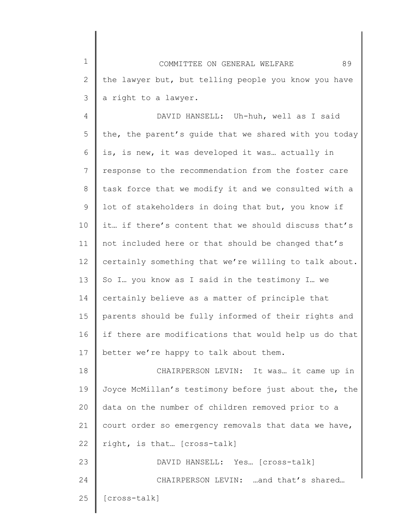1 2 3 COMMITTEE ON GENERAL WELFARE 89 the lawyer but, but telling people you know you have a right to a lawyer.

4 5 6 7 8 9 10 11 12 13 14 15 16 17 DAVID HANSELL: Uh-huh, well as I said the, the parent's guide that we shared with you today is, is new, it was developed it was… actually in response to the recommendation from the foster care task force that we modify it and we consulted with a lot of stakeholders in doing that but, you know if it… if there's content that we should discuss that's not included here or that should be changed that's certainly something that we're willing to talk about. So I… you know as I said in the testimony I… we certainly believe as a matter of principle that parents should be fully informed of their rights and if there are modifications that would help us do that better we're happy to talk about them.

18 19 20 21 22 23 24 CHAIRPERSON LEVIN: It was… it came up in Joyce McMillan's testimony before just about the, the data on the number of children removed prior to a court order so emergency removals that data we have, right, is that… [cross-talk] DAVID HANSELL: Yes… [cross-talk] CHAIRPERSON LEVIN: …and that's shared…

25 [cross-talk]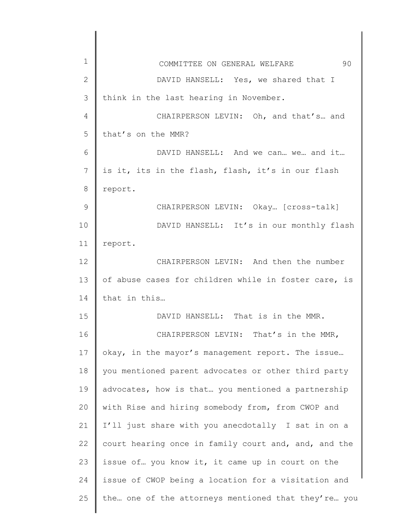| $\mathbf{1}$ | 90<br>COMMITTEE ON GENERAL WELFARE                   |
|--------------|------------------------------------------------------|
| $\mathbf{2}$ | DAVID HANSELL: Yes, we shared that I                 |
| 3            | think in the last hearing in November.               |
| 4            | CHAIRPERSON LEVIN: Oh, and that's and                |
| 5            | that's on the MMR?                                   |
| 6            | DAVID HANSELL: And we can we and it                  |
| 7            | is it, its in the flash, flash, it's in our flash    |
| 8            | report.                                              |
| 9            | CHAIRPERSON LEVIN: Okay [cross-talk]                 |
| 10           | DAVID HANSELL: It's in our monthly flash             |
| 11           | report.                                              |
| 12           | CHAIRPERSON LEVIN: And then the number               |
| 13           | of abuse cases for children while in foster care, is |
| 14           | that in this                                         |
| 15           | DAVID HANSELL: That is in the MMR.                   |
| 16           | CHAIRPERSON LEVIN: That's in the MMR,                |
| 17           | okay, in the mayor's management report. The issue    |
| 18           | you mentioned parent advocates or other third party  |
| 19           | advocates, how is that you mentioned a partnership   |
| 20           | with Rise and hiring somebody from, from CWOP and    |
| 21           | I'll just share with you anecdotally I sat in on a   |
| 22           | court hearing once in family court and, and, and the |
| 23           | issue of you know it, it came up in court on the     |
| 24           | issue of CWOP being a location for a visitation and  |
| 25           | the one of the attorneys mentioned that they're you  |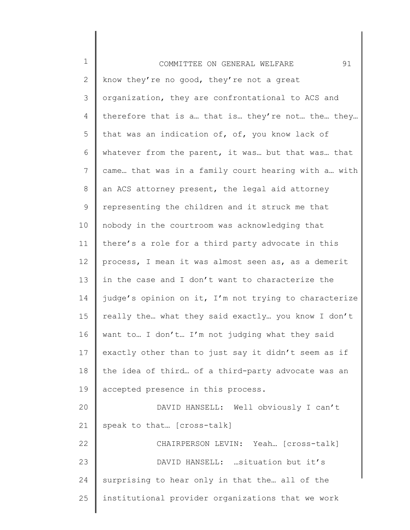| $\mathbf 1$ | 91<br>COMMITTEE ON GENERAL WELFARE                    |
|-------------|-------------------------------------------------------|
| 2           | know they're no good, they're not a great             |
| 3           | organization, they are confrontational to ACS and     |
| 4           | therefore that is a that is they're not the they      |
| 5           | that was an indication of, of, you know lack of       |
| 6           | whatever from the parent, it was but that was that    |
| 7           | came that was in a family court hearing with a with   |
| 8           | an ACS attorney present, the legal aid attorney       |
| 9           | representing the children and it struck me that       |
| 10          | nobody in the courtroom was acknowledging that        |
| 11          | there's a role for a third party advocate in this     |
| 12          | process, I mean it was almost seen as, as a demerit   |
| 13          | in the case and I don't want to characterize the      |
| 14          | judge's opinion on it, I'm not trying to characterize |
| 15          | really the what they said exactly you know I don't    |
| 16          | want to I don't I'm not judging what they said        |
| 17          | exactly other than to just say it didn't seem as if   |
| 18          | the idea of third of a third-party advocate was an    |
| 19          | accepted presence in this process.                    |
| 20          | DAVID HANSELL: Well obviously I can't                 |
| 21          | speak to that [cross-talk]                            |
| 22          | CHAIRPERSON LEVIN: Yeah [cross-talk]                  |
| 23          | DAVID HANSELL:  situation but it's                    |
| 24          | surprising to hear only in that the all of the        |
| 25          | institutional provider organizations that we work     |
|             |                                                       |

║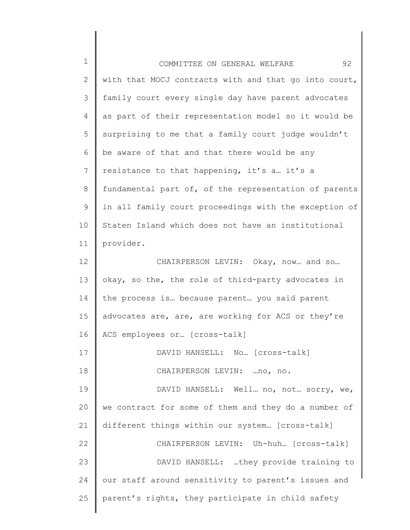| $\mathbf 1$  | 92<br>COMMITTEE ON GENERAL WELFARE                    |
|--------------|-------------------------------------------------------|
| $\mathbf{2}$ | with that MOCJ contracts with and that go into court, |
| 3            | family court every single day have parent advocates   |
| 4            | as part of their representation model so it would be  |
| 5            | surprising to me that a family court judge wouldn't   |
| 6            | be aware of that and that there would be any          |
| 7            | resistance to that happening, it's a it's a           |
| 8            | fundamental part of, of the representation of parents |
| 9            | in all family court proceedings with the exception of |
| 10           | Staten Island which does not have an institutional    |
| 11           | provider.                                             |
| 12           | CHAIRPERSON LEVIN: Okay, now and so                   |
| 13           | okay, so the, the role of third-party advocates in    |
| 14           | the process is because parent you said parent         |
| 15           | advocates are, are, are working for ACS or they're    |
| 16           | ACS employees or [cross-talk]                         |
| 17           | DAVID HANSELL: No [cross-talk]                        |
| 18           | CHAIRPERSON LEVIN:  no, no.                           |
| 19           | DAVID HANSELL: Well no, not sorry, we,                |
| 20           | we contract for some of them and they do a number of  |
| 21           | different things within our system [cross-talk]       |
| 22           | CHAIRPERSON LEVIN: Uh-huh [cross-talk]                |
| 23           | DAVID HANSELL: they provide training to               |
| 24           | our staff around sensitivity to parent's issues and   |
| 25           | parent's rights, they participate in child safety     |
|              |                                                       |

║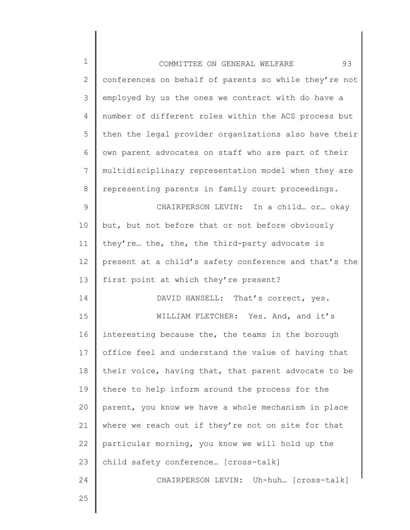| $\mathbf 1$    | 93<br>COMMITTEE ON GENERAL WELFARE                    |
|----------------|-------------------------------------------------------|
| $\mathbf{2}$   | conferences on behalf of parents so while they're not |
| 3              | employed by us the ones we contract with do have a    |
| 4              | number of different roles within the ACS process but  |
| 5              | then the legal provider organizations also have their |
| 6              | own parent advocates on staff who are part of their   |
| $\overline{7}$ | multidisciplinary representation model when they are  |
| $8\,$          | representing parents in family court proceedings.     |
| $\mathsf 9$    | CHAIRPERSON LEVIN: In a child or okay                 |
| 10             | but, but not before that or not before obviously      |
| 11             | they're the, the, the third-party advocate is         |
| 12             | present at a child's safety conference and that's the |
| 13             | first point at which they're present?                 |
| 14             | DAVID HANSELL: That's correct, yes.                   |
| 15             | WILLIAM FLETCHER: Yes. And, and it's                  |
| 16             | interesting because the, the teams in the borough     |
| 17             | office feel and understand the value of having that   |
| 18             | their voice, having that, that parent advocate to be  |
| 19             | there to help inform around the process for the       |
| 20             | parent, you know we have a whole mechanism in place   |
| 21             | where we reach out if they're not on site for that    |
| 22             | particular morning, you know we will hold up the      |
| 23             | child safety conference [cross-talk]                  |
| 24             | CHAIRPERSON LEVIN: Uh-huh [Cross-talk]                |
| 25             |                                                       |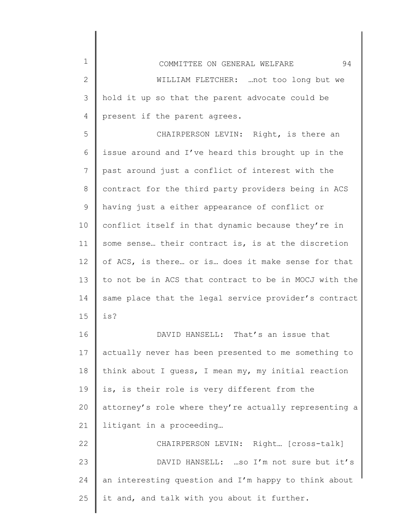1 2 3 4 COMMITTEE ON GENERAL WELFARE 94 WILLIAM FLETCHER: …not too long but we hold it up so that the parent advocate could be present if the parent agrees.

5 6 7 8 9 10 11 12 13 14 15 CHAIRPERSON LEVIN: Right, is there an issue around and I've heard this brought up in the past around just a conflict of interest with the contract for the third party providers being in ACS having just a either appearance of conflict or conflict itself in that dynamic because they're in some sense… their contract is, is at the discretion of ACS, is there… or is… does it make sense for that to not be in ACS that contract to be in MOCJ with the same place that the legal service provider's contract is?

16 17 18 19 20 21 DAVID HANSELL: That's an issue that actually never has been presented to me something to think about I guess, I mean my, my initial reaction is, is their role is very different from the attorney's role where they're actually representing a litigant in a proceeding…

22 23 24 25 CHAIRPERSON LEVIN: Right… [cross-talk] DAVID HANSELL: …so I'm not sure but it's an interesting question and I'm happy to think about it and, and talk with you about it further.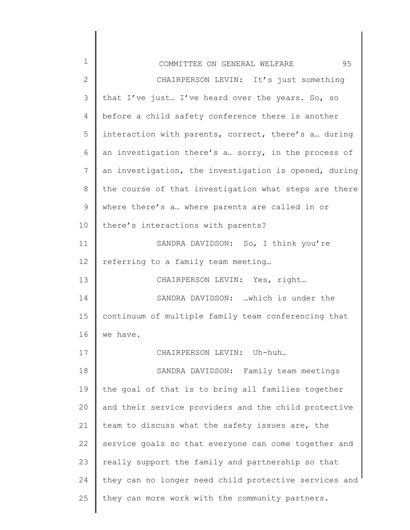| 1            | 95<br>COMMITTEE ON GENERAL WELFARE                    |
|--------------|-------------------------------------------------------|
| $\mathbf{2}$ | CHAIRPERSON LEVIN: It's just something                |
| 3            | that I've just I've heard over the years. So, so      |
| 4            | before a child safety conference there is another     |
| 5            | interaction with parents, correct, there's a during   |
| 6            | an investigation there's a sorry, in the process of   |
| 7            | an investigation, the investigation is opened, during |
| 8            | the course of that investigation what steps are there |
| 9            | where there's a where parents are called in or        |
| 10           | there's interactions with parents?                    |
| 11           | SANDRA DAVIDSON: So, I think you're                   |
| 12           | referring to a family team meeting                    |
| 13           | CHAIRPERSON LEVIN: Yes, right                         |
| 14           | SANDRA DAVIDSON: which is under the                   |
| 15           | continuum of multiple family team conferencing that   |
| 16           | we have.                                              |
| 17           | CHAIRPERSON LEVIN: Uh-huh                             |
| 18           | SANDRA DAVIDSON: Family team meetings                 |
| 19           | the goal of that is to bring all families together    |
| 20           | and their service providers and the child protective  |
| 21           | team to discuss what the safety issues are, the       |
| 22           | service goals so that everyone can come together and  |
| 23           | really support the family and partnership so that     |
| 24           | they can no longer need child protective services and |
| 25           | they can more work with the community partners.       |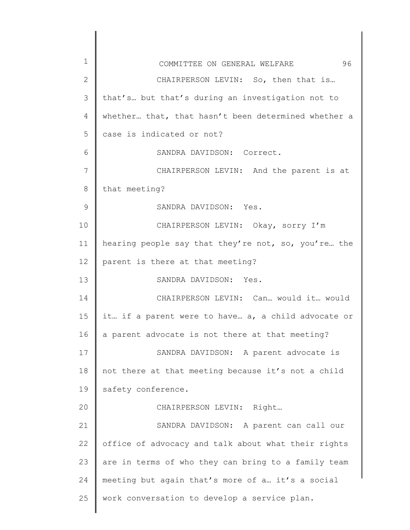| 1  | 96<br>COMMITTEE ON GENERAL WELFARE                  |
|----|-----------------------------------------------------|
| 2  | CHAIRPERSON LEVIN: So, then that is                 |
| 3  | that's but that's during an investigation not to    |
| 4  | whether that, that hasn't been determined whether a |
| 5  | case is indicated or not?                           |
| 6  | SANDRA DAVIDSON: Correct.                           |
| 7  | CHAIRPERSON LEVIN: And the parent is at             |
| 8  | that meeting?                                       |
| 9  | SANDRA DAVIDSON: Yes.                               |
| 10 | CHAIRPERSON LEVIN: Okay, sorry I'm                  |
| 11 | hearing people say that they're not, so, you're the |
| 12 | parent is there at that meeting?                    |
| 13 | SANDRA DAVIDSON: Yes.                               |
| 14 | CHAIRPERSON LEVIN: Can would it would               |
| 15 | it if a parent were to have a, a child advocate or  |
| 16 | a parent advocate is not there at that meeting?     |
| 17 | SANDRA DAVIDSON: A parent advocate is               |
| 18 | not there at that meeting because it's not a child  |
| 19 | safety conference.                                  |
| 20 | CHAIRPERSON LEVIN: Right                            |
| 21 | SANDRA DAVIDSON: A parent can call our              |
| 22 | office of advocacy and talk about what their rights |
| 23 | are in terms of who they can bring to a family team |
| 24 | meeting but again that's more of a it's a social    |
| 25 | work conversation to develop a service plan.        |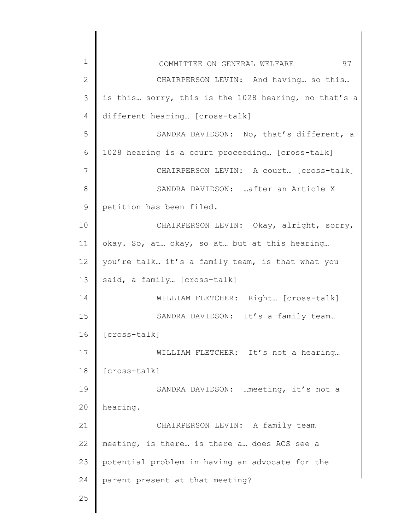| 1             | 97<br>COMMITTEE ON GENERAL WELFARE                   |
|---------------|------------------------------------------------------|
| $\mathbf{2}$  | CHAIRPERSON LEVIN: And having so this                |
| 3             | is this sorry, this is the 1028 hearing, no that's a |
| 4             | different hearing [cross-talk]                       |
| 5             | SANDRA DAVIDSON: No, that's different, a             |
| 6             | 1028 hearing is a court proceeding [cross-talk]      |
| 7             | CHAIRPERSON LEVIN: A court [cross-talk]              |
| 8             | SANDRA DAVIDSON:  after an Article X                 |
| $\mathcal{G}$ | petition has been filed.                             |
| 10            | CHAIRPERSON LEVIN: Okay, alright, sorry,             |
| 11            | okay. So, at okay, so at but at this hearing         |
| 12            | you're talk it's a family team, is that what you     |
| 13            | said, a family [cross-talk]                          |
| 14            | WILLIAM FLETCHER: Right [cross-talk]                 |
| 15            | SANDRA DAVIDSON: It's a family team                  |
| 16            | [cross-talk]                                         |
| 17            | WILLIAM FLETCHER: It's not a hearing                 |
| 18            | [cross-talk]                                         |
| 19            | SANDRA DAVIDSON:  meeting, it's not a                |
| 20            | hearing.                                             |
| 21            | CHAIRPERSON LEVIN: A family team                     |
| 22            | meeting, is there is there a does ACS see a          |
| 23            | potential problem in having an advocate for the      |
| 24            | parent present at that meeting?                      |
| 25            |                                                      |
|               |                                                      |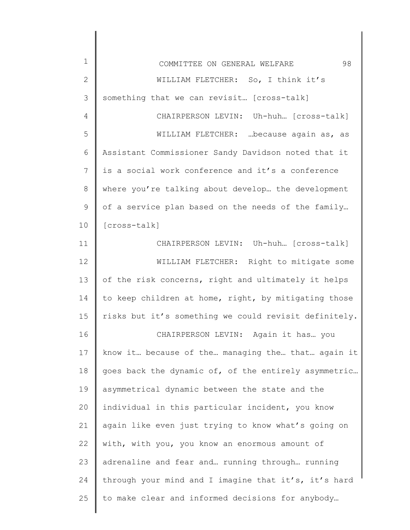| $\mathbf 1$  | 98<br>COMMITTEE ON GENERAL WELFARE                    |
|--------------|-------------------------------------------------------|
| $\mathbf{2}$ | WILLIAM FLETCHER: So, I think it's                    |
| 3            | something that we can revisit [cross-talk]            |
| 4            | CHAIRPERSON LEVIN: Uh-huh [cross-talk]                |
| 5            | WILLIAM FLETCHER:  because again as, as               |
| 6            | Assistant Commissioner Sandy Davidson noted that it   |
| 7            | is a social work conference and it's a conference     |
| $8\,$        | where you're talking about develop the development    |
| 9            | of a service plan based on the needs of the family    |
| 10           | [cross-talk]                                          |
| 11           | CHAIRPERSON LEVIN: Uh-huh [cross-talk]                |
| 12           | WILLIAM FLETCHER: Right to mitigate some              |
| 13           | of the risk concerns, right and ultimately it helps   |
| 14           | to keep children at home, right, by mitigating those  |
| 15           | risks but it's something we could revisit definitely. |
| 16           | CHAIRPERSON LEVIN: Again it has you                   |
| 17           | know it because of the managing the that again it     |
| 18           | goes back the dynamic of, of the entirely asymmetric  |
| 19           | asymmetrical dynamic between the state and the        |
| 20           | individual in this particular incident, you know      |
| 21           | again like even just trying to know what's going on   |
| 22           | with, with you, you know an enormous amount of        |
| 23           | adrenaline and fear and running through running       |
| 24           | through your mind and I imagine that it's, it's hard  |
| 25           | to make clear and informed decisions for anybody      |
|              |                                                       |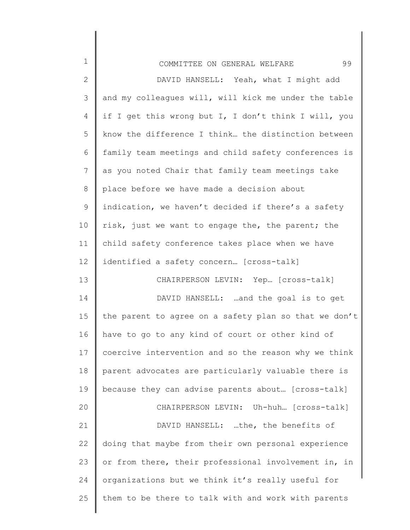| $\mathbf 1$    | 99<br>COMMITTEE ON GENERAL WELFARE                    |
|----------------|-------------------------------------------------------|
| $\overline{2}$ | DAVID HANSELL: Yeah, what I might add                 |
| 3              | and my colleagues will, will kick me under the table  |
| 4              | if I get this wrong but I, I don't think I will, you  |
| 5              | know the difference I think the distinction between   |
| 6              | family team meetings and child safety conferences is  |
| 7              | as you noted Chair that family team meetings take     |
| 8              | place before we have made a decision about            |
| 9              | indication, we haven't decided if there's a safety    |
| 10             | risk, just we want to engage the, the parent; the     |
| 11             | child safety conference takes place when we have      |
| 12             | identified a safety concern [cross-talk]              |
| 13             | CHAIRPERSON LEVIN: Yep [cross-talk]                   |
| 14             | DAVID HANSELL:  and the goal is to get                |
| 15             | the parent to agree on a safety plan so that we don't |
| 16             | have to go to any kind of court or other kind of      |
| 17             | coercive intervention and so the reason why we think  |
| 18             | parent advocates are particularly valuable there is   |
| 19             | because they can advise parents about [cross-talk]    |
| 20             | CHAIRPERSON LEVIN: Uh-huh [cross-talk]                |
| 21             | DAVID HANSELL: the, the benefits of                   |
| 22             | doing that maybe from their own personal experience   |
| 23             | or from there, their professional involvement in, in  |
| 24             | organizations but we think it's really useful for     |
| 25             | them to be there to talk with and work with parents   |

 $\mathsf{l}$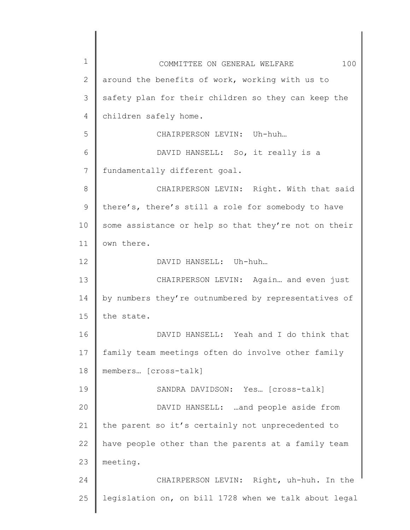1 2 3 4 5 6 7 8 9 10 11 12 13 14 15 16 17 18 19 20 21 22 23 24 25 COMMITTEE ON GENERAL WELFARE 100 around the benefits of work, working with us to safety plan for their children so they can keep the children safely home. CHAIRPERSON LEVIN: Uh-huh… DAVID HANSELL: So, it really is a fundamentally different goal. CHAIRPERSON LEVIN: Right. With that said there's, there's still a role for somebody to have some assistance or help so that they're not on their own there. DAVID HANSELL: Uh-huh… CHAIRPERSON LEVIN: Again… and even just by numbers they're outnumbered by representatives of the state. DAVID HANSELL: Yeah and I do think that family team meetings often do involve other family members… [cross-talk] SANDRA DAVIDSON: Yes… [cross-talk] DAVID HANSELL: …and people aside from the parent so it's certainly not unprecedented to have people other than the parents at a family team meeting. CHAIRPERSON LEVIN: Right, uh-huh. In the legislation on, on bill 1728 when we talk about legal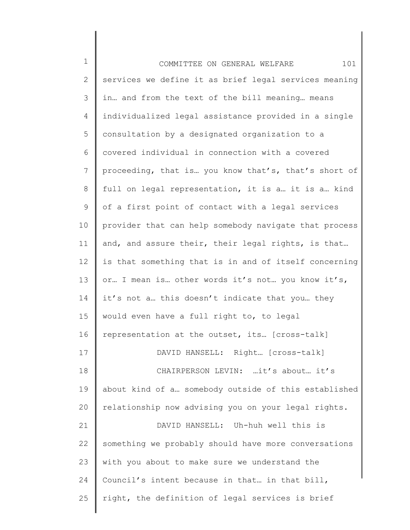1 2 3 4 5 6 7 8 9 10 11 12 13 14 15 16 17 18 19 20 21 22 23 24 25 COMMITTEE ON GENERAL WELFARE 101 services we define it as brief legal services meaning in… and from the text of the bill meaning… means individualized legal assistance provided in a single consultation by a designated organization to a covered individual in connection with a covered proceeding, that is… you know that's, that's short of full on legal representation, it is a… it is a… kind of a first point of contact with a legal services provider that can help somebody navigate that process and, and assure their, their legal rights, is that… is that something that is in and of itself concerning or… I mean is… other words it's not… you know it's, it's not a… this doesn't indicate that you… they would even have a full right to, to legal representation at the outset, its… [cross-talk] DAVID HANSELL: Right… [cross-talk] CHAIRPERSON LEVIN: …it's about… it's about kind of a… somebody outside of this established relationship now advising you on your legal rights. DAVID HANSELL: Uh-huh well this is something we probably should have more conversations with you about to make sure we understand the Council's intent because in that… in that bill, right, the definition of legal services is brief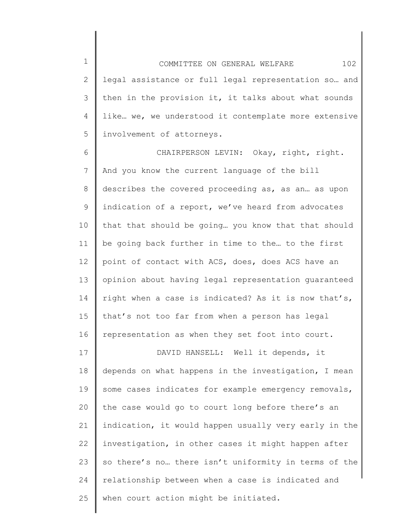1 2 3 4 5 COMMITTEE ON GENERAL WELFARE 102 legal assistance or full legal representation so… and then in the provision it, it talks about what sounds like… we, we understood it contemplate more extensive involvement of attorneys.

6 7 8 9 10 11 12 13 14 15 16 CHAIRPERSON LEVIN: Okay, right, right. And you know the current language of the bill describes the covered proceeding as, as an… as upon indication of a report, we've heard from advocates that that should be going… you know that that should be going back further in time to the… to the first point of contact with ACS, does, does ACS have an opinion about having legal representation guaranteed right when a case is indicated? As it is now that's, that's not too far from when a person has legal representation as when they set foot into court.

17 18 19 20 21 22 23 24 25 DAVID HANSELL: Well it depends, it depends on what happens in the investigation, I mean some cases indicates for example emergency removals, the case would go to court long before there's an indication, it would happen usually very early in the investigation, in other cases it might happen after so there's no… there isn't uniformity in terms of the relationship between when a case is indicated and when court action might be initiated.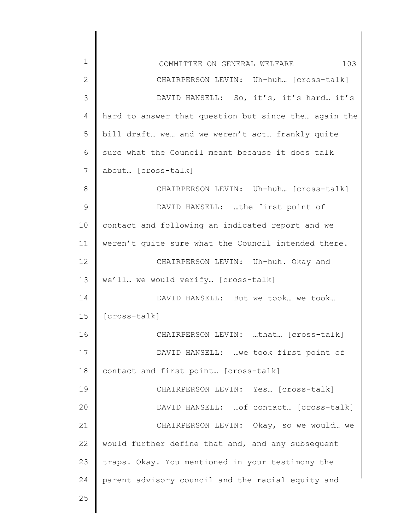| $\mathbf 1$    | 103<br>COMMITTEE ON GENERAL WELFARE                  |
|----------------|------------------------------------------------------|
| $\overline{2}$ | CHAIRPERSON LEVIN: Uh-huh [cross-talk]               |
| 3              | DAVID HANSELL: So, it's, it's hard it's              |
| 4              | hard to answer that question but since the again the |
| 5              | bill draft we and we weren't act frankly quite       |
| 6              | sure what the Council meant because it does talk     |
| 7              | about [cross-talk]                                   |
| 8              | CHAIRPERSON LEVIN: Uh-huh [cross-talk]               |
| $\mathcal{G}$  | DAVID HANSELL: the first point of                    |
| 10             | contact and following an indicated report and we     |
| 11             | weren't quite sure what the Council intended there.  |
| 12             | CHAIRPERSON LEVIN: Uh-huh. Okay and                  |
| 13             | we'll we would verify [cross-talk]                   |
| 14             | DAVID HANSELL: But we took we took                   |
| 15             | [cross-talk]                                         |
| 16             | CHAIRPERSON LEVIN: that [cross-talk]                 |
| 17             | DAVID HANSELL: we took first point of                |
| 18             | contact and first point [cross-talk]                 |
| 19             | CHAIRPERSON LEVIN: Yes [cross-talk]                  |
| 20             | DAVID HANSELL:  of contact [cross-talk]              |
| 21             | CHAIRPERSON LEVIN: Okay, so we would we              |
| 22             | would further define that and, and any subsequent    |
| 23             | traps. Okay. You mentioned in your testimony the     |
| 24             | parent advisory council and the racial equity and    |
| 25             |                                                      |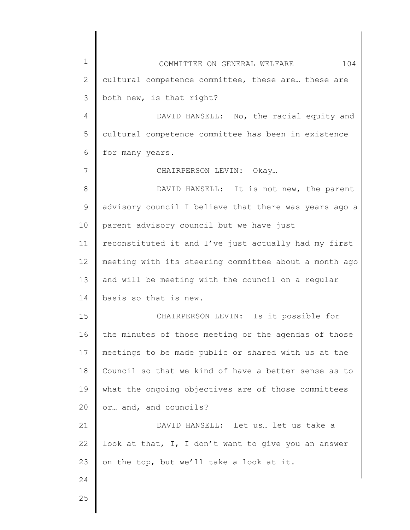| $\mathbf 1$    | 104<br>COMMITTEE ON GENERAL WELFARE                   |
|----------------|-------------------------------------------------------|
| $\overline{2}$ | cultural competence committee, these are these are    |
| 3              | both new, is that right?                              |
| 4              | DAVID HANSELL: No, the racial equity and              |
| 5              | cultural competence committee has been in existence   |
| 6              | for many years.                                       |
| 7              | CHAIRPERSON LEVIN: Okay                               |
| 8              | DAVID HANSELL: It is not new, the parent              |
| 9              | advisory council I believe that there was years ago a |
| 10             | parent advisory council but we have just              |
| 11             | reconstituted it and I've just actually had my first  |
| 12             | meeting with its steering committee about a month ago |
| 13             | and will be meeting with the council on a regular     |
| 14             | basis so that is new.                                 |
| 15             | CHAIRPERSON LEVIN: Is it possible for                 |
| 16             | the minutes of those meeting or the agendas of those  |
| 17             | meetings to be made public or shared with us at the   |
| 18             | Council so that we kind of have a better sense as to  |
| 19             | what the ongoing objectives are of those committees   |
| 20             | or and, and councils?                                 |
| 21             | DAVID HANSELL: Let us let us take a                   |
| 22             | look at that, I, I don't want to give you an answer   |
| 23             | on the top, but we'll take a look at it.              |
| 24             |                                                       |
| 25             |                                                       |
|                |                                                       |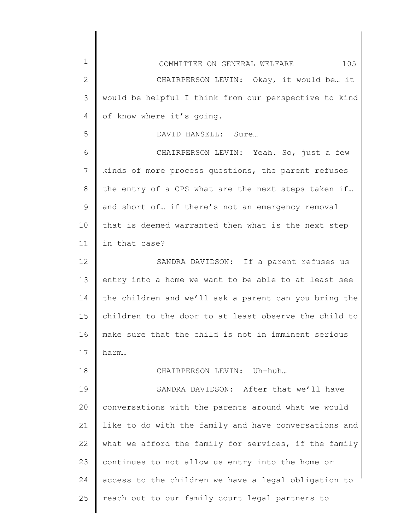| $\mathbf 1$  | 105<br>COMMITTEE ON GENERAL WELFARE                   |
|--------------|-------------------------------------------------------|
| $\mathbf{2}$ | CHAIRPERSON LEVIN: Okay, it would be it               |
| 3            | would be helpful I think from our perspective to kind |
| 4            | of know where it's going.                             |
| 5            | DAVID HANSELL: Sure                                   |
| 6            | CHAIRPERSON LEVIN: Yeah. So, just a few               |
| 7            | kinds of more process questions, the parent refuses   |
| 8            | the entry of a CPS what are the next steps taken if   |
| 9            | and short of if there's not an emergency removal      |
| 10           | that is deemed warranted then what is the next step   |
| 11           | in that case?                                         |
| 12           | SANDRA DAVIDSON: If a parent refuses us               |
| 13           | entry into a home we want to be able to at least see  |
| 14           | the children and we'll ask a parent can you bring the |
| 15           | children to the door to at least observe the child to |
| 16           | make sure that the child is not in imminent serious   |
| 17           | harm                                                  |
| 18           | CHAIRPERSON LEVIN: Uh-huh                             |
| 19           | SANDRA DAVIDSON: After that we'll have                |
| 20           | conversations with the parents around what we would   |
| 21           | like to do with the family and have conversations and |
| 22           | what we afford the family for services, if the family |
| 23           | continues to not allow us entry into the home or      |
| 24           | access to the children we have a legal obligation to  |
| 25           | reach out to our family court legal partners to       |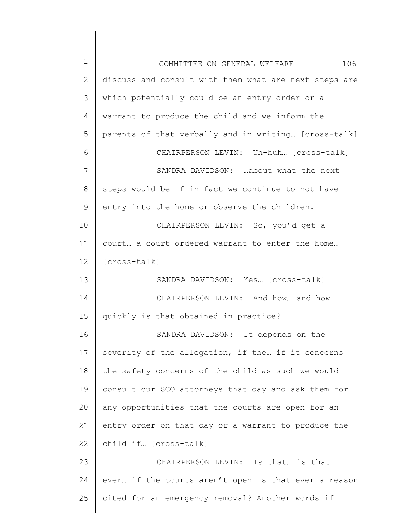| $\mathbf 1$ | 106<br>COMMITTEE ON GENERAL WELFARE                   |
|-------------|-------------------------------------------------------|
| 2           | discuss and consult with them what are next steps are |
| 3           | which potentially could be an entry order or a        |
| 4           | warrant to produce the child and we inform the        |
| 5           | parents of that verbally and in writing [cross-talk]  |
| 6           | CHAIRPERSON LEVIN: Uh-huh [cross-talk]                |
| 7           | SANDRA DAVIDSON: about what the next                  |
| $8\,$       | steps would be if in fact we continue to not have     |
| 9           | entry into the home or observe the children.          |
| 10          | CHAIRPERSON LEVIN: So, you'd get a                    |
| 11          | court a court ordered warrant to enter the home       |
| 12          | [cross-talk]                                          |
| 13          | SANDRA DAVIDSON: Yes [cross-talk]                     |
| 14          | CHAIRPERSON LEVIN: And how and how                    |
| 15          | quickly is that obtained in practice?                 |
| 16          | SANDRA DAVIDSON: It depends on the                    |
| 17          | severity of the allegation, if the if it concerns     |
| 18          | the safety concerns of the child as such we would     |
| 19          | consult our SCO attorneys that day and ask them for   |
| 20          | any opportunities that the courts are open for an     |
| 21          | entry order on that day or a warrant to produce the   |
| 22          | child if [cross-talk]                                 |
| 23          | CHAIRPERSON LEVIN: Is that is that                    |
| 24          | ever if the courts aren't open is that ever a reason  |
| 25          | cited for an emergency removal? Another words if      |
|             |                                                       |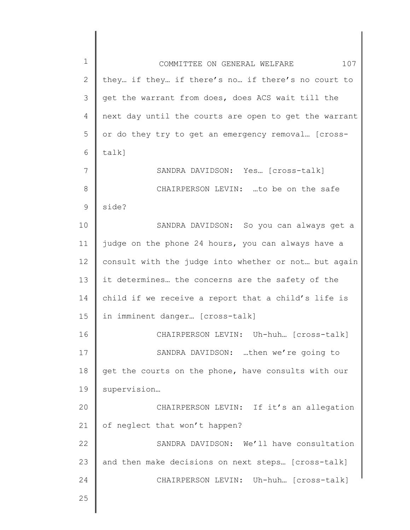| $\mathbf 1$     | COMMITTEE ON GENERAL WELFARE<br>107                   |
|-----------------|-------------------------------------------------------|
| $\mathbf{2}$    | they if they if there's no if there's no court to     |
| 3               | get the warrant from does, does ACS wait till the     |
| $\overline{4}$  | next day until the courts are open to get the warrant |
| 5               | or do they try to get an emergency removal [cross-    |
| 6               | $talk$ ]                                              |
| 7               | SANDRA DAVIDSON: Yes [Cross-talk]                     |
| 8               | CHAIRPERSON LEVIN: to be on the safe                  |
| 9               | side?                                                 |
| 10              | SANDRA DAVIDSON: So you can always get a              |
| 11              | judge on the phone 24 hours, you can always have a    |
| 12 <sup>°</sup> | consult with the judge into whether or not but again  |
| 13              | it determines the concerns are the safety of the      |
| 14              | child if we receive a report that a child's life is   |
| 15              | in imminent danger [cross-talk]                       |
| 16              | CHAIRPERSON LEVIN: Uh-huh [cross-talk]                |
| 17              | SANDRA DAVIDSON: then we're going to                  |
| 18              | get the courts on the phone, have consults with our   |
| 19              | supervision                                           |
| 20              | CHAIRPERSON LEVIN: If it's an allegation              |
| 21              | of neglect that won't happen?                         |
| 22              | SANDRA DAVIDSON: We'll have consultation              |
| 23              | and then make decisions on next steps [cross-talk]    |
| 24              | CHAIRPERSON LEVIN: Uh-huh [cross-talk]                |
| 25              |                                                       |
|                 |                                                       |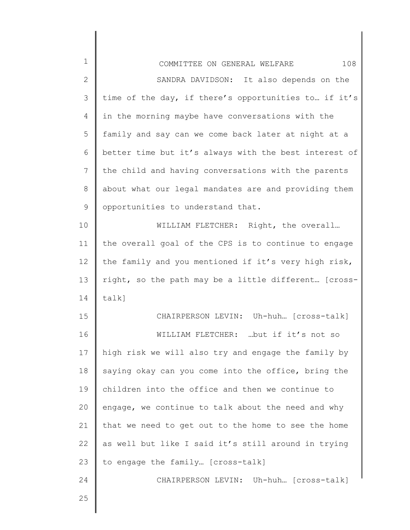| $\mathbf 1$   | 108<br>COMMITTEE ON GENERAL WELFARE                   |
|---------------|-------------------------------------------------------|
| $\mathbf{2}$  | SANDRA DAVIDSON: It also depends on the               |
| $\mathcal{S}$ | time of the day, if there's opportunities to if it's  |
| 4             | in the morning maybe have conversations with the      |
| 5             | family and say can we come back later at night at a   |
| 6             | better time but it's always with the best interest of |
| 7             | the child and having conversations with the parents   |
| $\,8\,$       | about what our legal mandates are and providing them  |
| $\mathsf 9$   | opportunities to understand that.                     |
| 10            | WILLIAM FLETCHER: Right, the overall                  |
| 11            | the overall goal of the CPS is to continue to engage  |
| 12            | the family and you mentioned if it's very high risk,  |
| 13            | right, so the path may be a little different [cross-  |
| 14            | $talk$ ]                                              |
| 15            | CHAIRPERSON LEVIN: Uh-huh [cross-talk]                |
| 16            | WILLIAM FLETCHER: but if it's not so                  |
| 17            | high risk we will also try and engage the family by   |
| 18            | saying okay can you come into the office, bring the   |
| 19            | children into the office and then we continue to      |
| 20            | engage, we continue to talk about the need and why    |
| 21            | that we need to get out to the home to see the home   |
| 22            | as well but like I said it's still around in trying   |
| 23            | to engage the family [cross-talk]                     |
| 24            | CHAIRPERSON LEVIN: Uh-huh [cross-talk]                |
| 25            |                                                       |
|               |                                                       |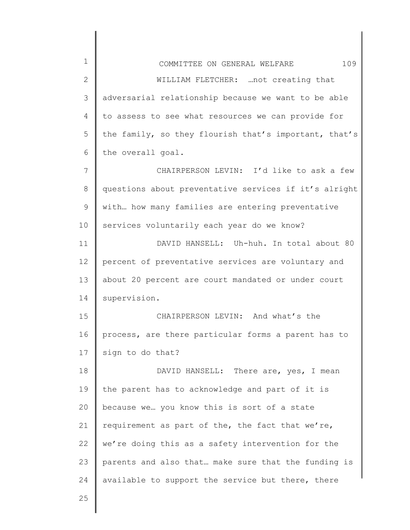| $\mathbf 1$     | 109<br>COMMITTEE ON GENERAL WELFARE                   |
|-----------------|-------------------------------------------------------|
| $\overline{2}$  | WILLIAM FLETCHER:  not creating that                  |
| 3               | adversarial relationship because we want to be able   |
| 4               | to assess to see what resources we can provide for    |
| 5               | the family, so they flourish that's important, that's |
| 6               | the overall goal.                                     |
| 7               | CHAIRPERSON LEVIN: I'd like to ask a few              |
| 8               | questions about preventative services if it's alright |
| 9               | with how many families are entering preventative      |
| 10              | services voluntarily each year do we know?            |
| 11              | DAVID HANSELL: Uh-huh. In total about 80              |
| 12 <sup>°</sup> | percent of preventative services are voluntary and    |
| 13              | about 20 percent are court mandated or under court    |
| 14              | supervision.                                          |
| 15              | CHAIRPERSON LEVIN: And what's the                     |
| 16              | process, are there particular forms a parent has to   |
| 17              | sign to do that?                                      |
| 18              | DAVID HANSELL: There are, yes, I mean                 |
| 19              | the parent has to acknowledge and part of it is       |
| 20              | because we you know this is sort of a state           |
| 21              | requirement as part of the, the fact that we're,      |
| 22              | we're doing this as a safety intervention for the     |
| 23              | parents and also that make sure that the funding is   |
| 24              | available to support the service but there, there     |
| 25              |                                                       |
|                 |                                                       |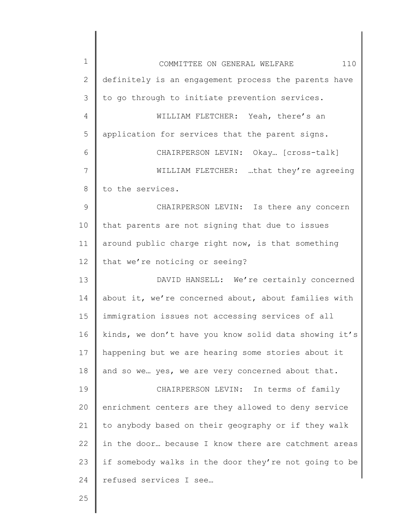| $\mathbf 1$   | 110<br>COMMITTEE ON GENERAL WELFARE                   |
|---------------|-------------------------------------------------------|
| $\mathbf{2}$  | definitely is an engagement process the parents have  |
| 3             | to go through to initiate prevention services.        |
| 4             | WILLIAM FLETCHER: Yeah, there's an                    |
| 5             | application for services that the parent signs.       |
| 6             | CHAIRPERSON LEVIN: Okay [cross-talk]                  |
| 7             | WILLIAM FLETCHER: that they're agreeing               |
| 8             | to the services.                                      |
| $\mathcal{G}$ | CHAIRPERSON LEVIN: Is there any concern               |
| 10            | that parents are not signing that due to issues       |
| 11            | around public charge right now, is that something     |
| 12            | that we're noticing or seeing?                        |
| 13            | DAVID HANSELL: We're certainly concerned              |
| 14            | about it, we're concerned about, about families with  |
| 15            | immigration issues not accessing services of all      |
| 16            | kinds, we don't have you know solid data showing it's |
| 17            | happening but we are hearing some stories about it    |
| 18            | and so we yes, we are very concerned about that.      |
| 19            | CHAIRPERSON LEVIN: In terms of family                 |
| 20            | enrichment centers are they allowed to deny service   |
| 21            | to anybody based on their geography or if they walk   |
| 22            | in the door because I know there are catchment areas  |
| 23            | if somebody walks in the door they're not going to be |
| 24            | refused services I see                                |
| 25            |                                                       |
|               |                                                       |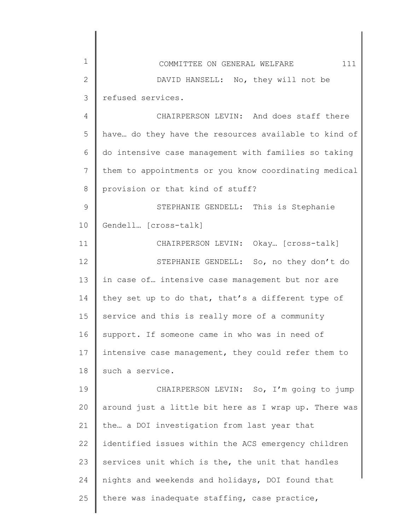| $\mathbf 1$   | 111<br>COMMITTEE ON GENERAL WELFARE                   |
|---------------|-------------------------------------------------------|
| $\mathbf{2}$  | DAVID HANSELL: No, they will not be                   |
| 3             | refused services.                                     |
| 4             | CHAIRPERSON LEVIN: And does staff there               |
| 5             | have do they have the resources available to kind of  |
| 6             | do intensive case management with families so taking  |
| 7             | them to appointments or you know coordinating medical |
| 8             | provision or that kind of stuff?                      |
| $\mathcal{G}$ | STEPHANIE GENDELL: This is Stephanie                  |
| 10            | Gendell [cross-talk]                                  |
| 11            | CHAIRPERSON LEVIN: Okay [Cross-talk]                  |
| 12            | STEPHANIE GENDELL: So, no they don't do               |
| 13            | in case of intensive case management but nor are      |
| 14            | they set up to do that, that's a different type of    |
| 15            | service and this is really more of a community        |
| 16            | support. If someone came in who was in need of        |
| 17            | intensive case management, they could refer them to   |
| 18            | such a service.                                       |
| 19            | CHAIRPERSON LEVIN: So, I'm going to jump              |
| 20            | around just a little bit here as I wrap up. There was |
| 21            | the a DOI investigation from last year that           |
| 22            | identified issues within the ACS emergency children   |
| 23            | services unit which is the, the unit that handles     |
| 24            | nights and weekends and holidays, DOI found that      |
| 25            | there was inadequate staffing, case practice,         |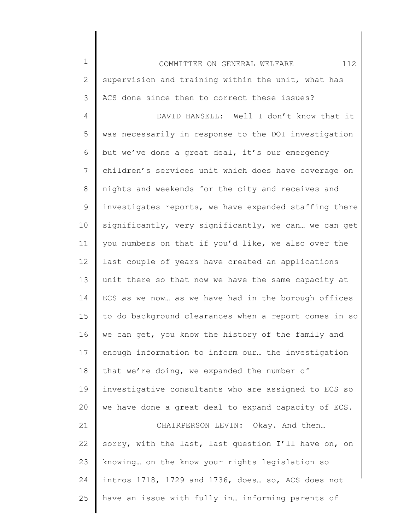1 2 3 4 5 6 7 8 9 10 11 12 13 14 15 16 17 18 19 20 21 22 23 24 25 COMMITTEE ON GENERAL WELFARE 112 supervision and training within the unit, what has ACS done since then to correct these issues? DAVID HANSELL: Well I don't know that it was necessarily in response to the DOI investigation but we've done a great deal, it's our emergency children's services unit which does have coverage on nights and weekends for the city and receives and investigates reports, we have expanded staffing there significantly, very significantly, we can… we can get you numbers on that if you'd like, we also over the last couple of years have created an applications unit there so that now we have the same capacity at ECS as we now… as we have had in the borough offices to do background clearances when a report comes in so we can get, you know the history of the family and enough information to inform our… the investigation that we're doing, we expanded the number of investigative consultants who are assigned to ECS so we have done a great deal to expand capacity of ECS. CHAIRPERSON LEVIN: Okay. And then… sorry, with the last, last question I'll have on, on knowing… on the know your rights legislation so intros 1718, 1729 and 1736, does… so, ACS does not have an issue with fully in… informing parents of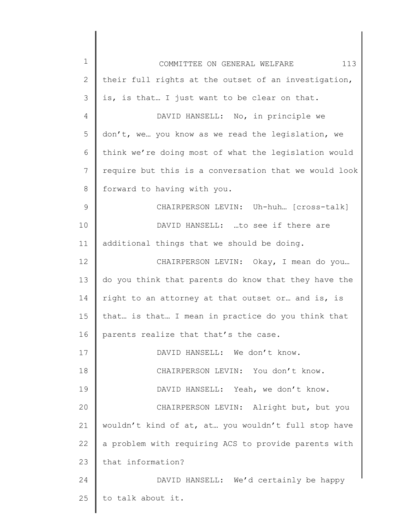| $\mathbf 1$    | 113<br>COMMITTEE ON GENERAL WELFARE                   |
|----------------|-------------------------------------------------------|
| $\mathbf{2}$   | their full rights at the outset of an investigation,  |
| 3              | is, is that I just want to be clear on that.          |
| $\overline{4}$ | DAVID HANSELL: No, in principle we                    |
| 5              | don't, we you know as we read the legislation, we     |
| 6              | think we're doing most of what the legislation would  |
| $7\phantom{.}$ | require but this is a conversation that we would look |
| 8              | forward to having with you.                           |
| 9              | CHAIRPERSON LEVIN: Uh-huh [cross-talk]                |
| 10             | DAVID HANSELL: to see if there are                    |
| 11             | additional things that we should be doing.            |
| 12             | CHAIRPERSON LEVIN: Okay, I mean do you                |
| 13             | do you think that parents do know that they have the  |
| 14             | right to an attorney at that outset or and is, is     |
| 15             | that is that I mean in practice do you think that     |
| 16             | parents realize that that's the case.                 |
| 17             | DAVID HANSELL: We don't know.                         |
| 18             | CHAIRPERSON LEVIN: You don't know.                    |
| 19             | DAVID HANSELL: Yeah, we don't know.                   |
| 20             | CHAIRPERSON LEVIN: Alright but, but you               |
| 21             | wouldn't kind of at, at you wouldn't full stop have   |
| 22             | a problem with requiring ACS to provide parents with  |
| 23             | that information?                                     |
| 24             | DAVID HANSELL: We'd certainly be happy                |
| 25             | to talk about it.                                     |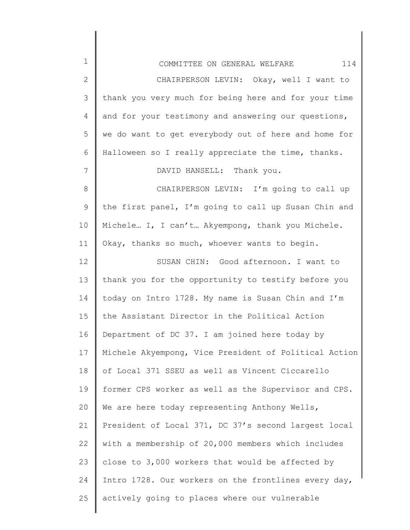| $\mathbf 1$   | 114<br>COMMITTEE ON GENERAL WELFARE                   |
|---------------|-------------------------------------------------------|
| $\mathbf{2}$  | CHAIRPERSON LEVIN: Okay, well I want to               |
| $\mathcal{S}$ | thank you very much for being here and for your time  |
| 4             | and for your testimony and answering our questions,   |
| 5             | we do want to get everybody out of here and home for  |
| 6             | Halloween so I really appreciate the time, thanks.    |
| 7             | DAVID HANSELL: Thank you.                             |
| $8\,$         | CHAIRPERSON LEVIN: I'm going to call up               |
| 9             | the first panel, I'm going to call up Susan Chin and  |
| 10            | Michele I, I can't Akyempong, thank you Michele.      |
| 11            | Okay, thanks so much, whoever wants to begin.         |
| 12            | SUSAN CHIN: Good afternoon. I want to                 |
| 13            | thank you for the opportunity to testify before you   |
| 14            | today on Intro 1728. My name is Susan Chin and I'm    |
| 15            | the Assistant Director in the Political Action        |
| 16            | Department of DC 37. I am joined here today by        |
| 17            | Michele Akyempong, Vice President of Political Action |
| 18            | of Local 371 SSEU as well as Vincent Ciccarello       |
| 19            | former CPS worker as well as the Supervisor and CPS.  |
| 20            | We are here today representing Anthony Wells,         |
| 21            | President of Local 371, DC 37's second largest local  |
| 22            | with a membership of 20,000 members which includes    |
| 23            | close to 3,000 workers that would be affected by      |
| 24            | Intro 1728. Our workers on the frontlines every day,  |
| 25            | actively going to places where our vulnerable         |
|               |                                                       |

 $\begin{array}{c} \hline \end{array}$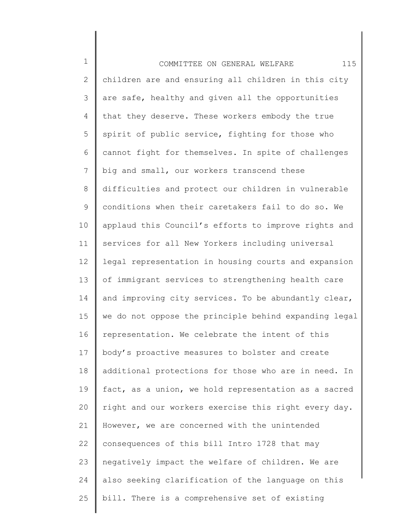1 2 3 4 5 6 7 8 9 10 11 12 13 14 15 16 17 18 19 20 21 22 23 24 25 COMMITTEE ON GENERAL WELFARE 115 children are and ensuring all children in this city are safe, healthy and given all the opportunities that they deserve. These workers embody the true spirit of public service, fighting for those who cannot fight for themselves. In spite of challenges big and small, our workers transcend these difficulties and protect our children in vulnerable conditions when their caretakers fail to do so. We applaud this Council's efforts to improve rights and services for all New Yorkers including universal legal representation in housing courts and expansion of immigrant services to strengthening health care and improving city services. To be abundantly clear, we do not oppose the principle behind expanding legal representation. We celebrate the intent of this body's proactive measures to bolster and create additional protections for those who are in need. In fact, as a union, we hold representation as a sacred right and our workers exercise this right every day. However, we are concerned with the unintended consequences of this bill Intro 1728 that may negatively impact the welfare of children. We are also seeking clarification of the language on this bill. There is a comprehensive set of existing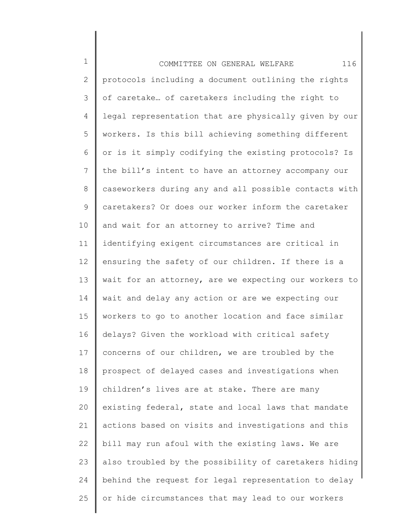| $\mathbf 1$  | 116<br>COMMITTEE ON GENERAL WELFARE                   |
|--------------|-------------------------------------------------------|
| $\mathbf{2}$ | protocols including a document outlining the rights   |
| 3            | of caretake of caretakers including the right to      |
| 4            | legal representation that are physically given by our |
| 5            | workers. Is this bill achieving something different   |
| 6            | or is it simply codifying the existing protocols? Is  |
| 7            | the bill's intent to have an attorney accompany our   |
| 8            | caseworkers during any and all possible contacts with |
| 9            | caretakers? Or does our worker inform the caretaker   |
| 10           | and wait for an attorney to arrive? Time and          |
| 11           | identifying exigent circumstances are critical in     |
| 12           | ensuring the safety of our children. If there is a    |
| 13           | wait for an attorney, are we expecting our workers to |
| 14           | wait and delay any action or are we expecting our     |
| 15           | workers to go to another location and face similar    |
| 16           | delays? Given the workload with critical safety       |
| 17           | concerns of our children, we are troubled by the      |
| 18           | prospect of delayed cases and investigations when     |
| 19           | children's lives are at stake. There are many         |
| 20           | existing federal, state and local laws that mandate   |
| 21           | actions based on visits and investigations and this   |
| 22           | bill may run afoul with the existing laws. We are     |
| 23           | also troubled by the possibility of caretakers hiding |
| 24           | behind the request for legal representation to delay  |
| 25           | or hide circumstances that may lead to our workers    |
|              |                                                       |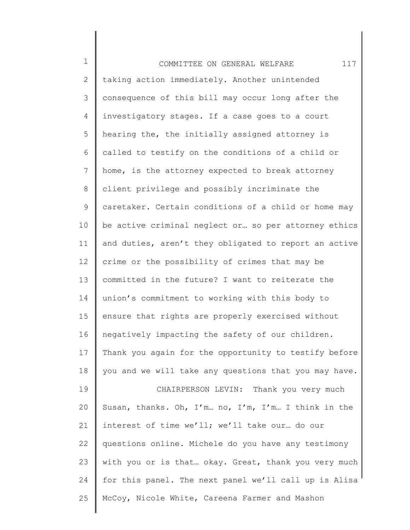1 2 3 4 5 6 7 8 9 10 11 12 13 14 15 16 17 18 19 20 21 22 23 24 25 COMMITTEE ON GENERAL WELFARE 117 taking action immediately. Another unintended consequence of this bill may occur long after the investigatory stages. If a case goes to a court hearing the, the initially assigned attorney is called to testify on the conditions of a child or home, is the attorney expected to break attorney client privilege and possibly incriminate the caretaker. Certain conditions of a child or home may be active criminal neglect or… so per attorney ethics and duties, aren't they obligated to report an active crime or the possibility of crimes that may be committed in the future? I want to reiterate the union's commitment to working with this body to ensure that rights are properly exercised without negatively impacting the safety of our children. Thank you again for the opportunity to testify before you and we will take any questions that you may have. CHAIRPERSON LEVIN: Thank you very much Susan, thanks. Oh, I'm… no, I'm, I'm… I think in the interest of time we'll; we'll take our… do our questions online. Michele do you have any testimony with you or is that… okay. Great, thank you very much for this panel. The next panel we'll call up is Alisa McCoy, Nicole White, Careena Farmer and Mashon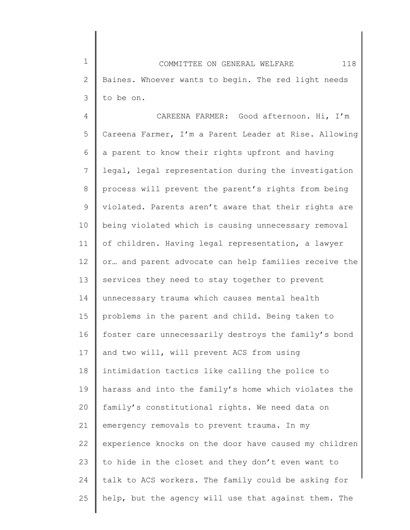1 2 3 COMMITTEE ON GENERAL WELFARE 118 Baines. Whoever wants to begin. The red light needs to be on.

4 5 6 7 8 9 10 11 12 13 14 15 16 17 18 19 20 21 22 23 24 25 CAREENA FARMER: Good afternoon. Hi, I'm Careena Farmer, I'm a Parent Leader at Rise. Allowing a parent to know their rights upfront and having legal, legal representation during the investigation process will prevent the parent's rights from being violated. Parents aren't aware that their rights are being violated which is causing unnecessary removal of children. Having legal representation, a lawyer or… and parent advocate can help families receive the services they need to stay together to prevent unnecessary trauma which causes mental health problems in the parent and child. Being taken to foster care unnecessarily destroys the family's bond and two will, will prevent ACS from using intimidation tactics like calling the police to harass and into the family's home which violates the family's constitutional rights. We need data on emergency removals to prevent trauma. In my experience knocks on the door have caused my children to hide in the closet and they don't even want to talk to ACS workers. The family could be asking for help, but the agency will use that against them. The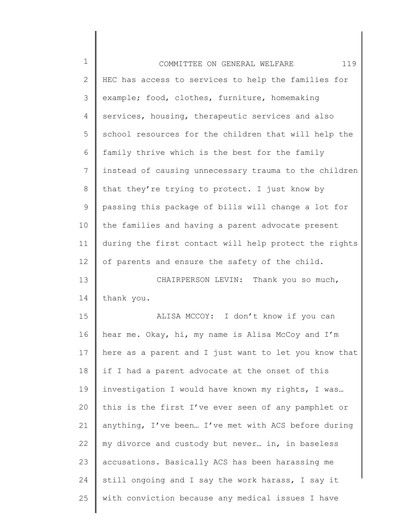| 119<br>COMMITTEE ON GENERAL WELFARE                   |
|-------------------------------------------------------|
| HEC has access to services to help the families for   |
| example; food, clothes, furniture, homemaking         |
| services, housing, therapeutic services and also      |
| school resources for the children that will help the  |
| family thrive which is the best for the family        |
| instead of causing unnecessary trauma to the children |
| that they're trying to protect. I just know by        |
| passing this package of bills will change a lot for   |
| the families and having a parent advocate present     |
| during the first contact will help protect the rights |
| of parents and ensure the safety of the child.        |
| CHAIRPERSON LEVIN: Thank you so much,                 |
| thank you.                                            |
| ALISA MCCOY: I don't know if you can                  |
| hear me. Okay, hi, my name is Alisa McCoy and I'm     |
| here as a parent and I just want to let you know that |
| if I had a parent advocate at the onset of this       |
| investigation I would have known my rights, I was     |
| this is the first I've ever seen of any pamphlet or   |
| anything, I've been I've met with ACS before during   |
| my divorce and custody but never in, in baseless      |
| accusations. Basically ACS has been harassing me      |
|                                                       |
| still ongoing and I say the work harass, I say it     |
|                                                       |

║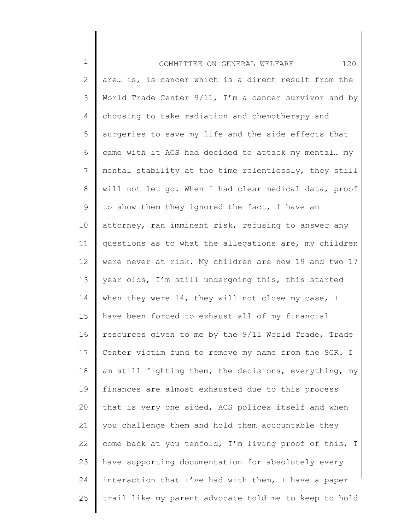| $\mathbf 1$ | 120<br>COMMITTEE ON GENERAL WELFARE                   |
|-------------|-------------------------------------------------------|
| 2           | are is, is cancer which is a direct result from the   |
| 3           | World Trade Center 9/11, I'm a cancer survivor and by |
| 4           | choosing to take radiation and chemotherapy and       |
| 5           | surgeries to save my life and the side effects that   |
| 6           | came with it ACS had decided to attack my mental my   |
| 7           | mental stability at the time relentlessly, they still |
| 8           | will not let go. When I had clear medical data, proof |
| 9           | to show them they ignored the fact, I have an         |
| $10 \,$     | attorney, ran imminent risk, refusing to answer any   |
| 11          | questions as to what the allegations are, my children |
| 12          | were never at risk. My children are now 19 and two 17 |
| 13          | year olds, I'm still undergoing this, this started    |
| 14          | when they were 14, they will not close my case, I     |
| 15          | have been forced to exhaust all of my financial       |
| 16          | resources given to me by the 9/11 World Trade, Trade  |
| 17          | Center victim fund to remove my name from the SCR. I  |
| 18          | am still fighting them, the decisions, everything, my |
| 19          | finances are almost exhausted due to this process     |
| 20          | that is very one sided, ACS polices itself and when   |
| 21          | you challenge them and hold them accountable they     |
| 22          | come back at you tenfold, I'm living proof of this, I |
| 23          | have supporting documentation for absolutely every    |
| 24          | interaction that I've had with them, I have a paper   |
| 25          | trail like my parent advocate told me to keep to hold |
|             |                                                       |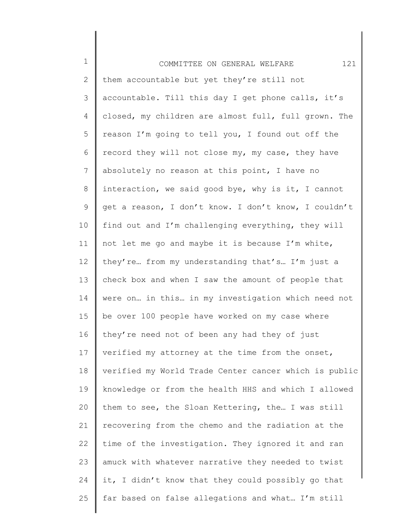| $1\,$        | 121<br>COMMITTEE ON GENERAL WELFARE                   |
|--------------|-------------------------------------------------------|
| $\mathbf{2}$ | them accountable but yet they're still not            |
| 3            | accountable. Till this day I get phone calls, it's    |
| 4            | closed, my children are almost full, full grown. The  |
| 5            | reason I'm going to tell you, I found out off the     |
| 6            | record they will not close my, my case, they have     |
| 7            | absolutely no reason at this point, I have no         |
| 8            | interaction, we said good bye, why is it, I cannot    |
| 9            | get a reason, I don't know. I don't know, I couldn't  |
| 10           | find out and I'm challenging everything, they will    |
| 11           | not let me go and maybe it is because I'm white,      |
| 12           | they're from my understanding that's I'm just a       |
| 13           | check box and when I saw the amount of people that    |
| 14           | were on in this in my investigation which need not    |
| 15           | be over 100 people have worked on my case where       |
| 16           | they're need not of been any had they of just         |
| 17           | verified my attorney at the time from the onset,      |
| 18           | verified my World Trade Center cancer which is public |
| 19           | knowledge or from the health HHS and which I allowed  |
| 20           | them to see, the Sloan Kettering, the I was still     |
| 21           | recovering from the chemo and the radiation at the    |
| 22           | time of the investigation. They ignored it and ran    |
| 23           | amuck with whatever narrative they needed to twist    |
| 24           | it, I didn't know that they could possibly go that    |
| 25           | far based on false allegations and what I'm still     |
|              |                                                       |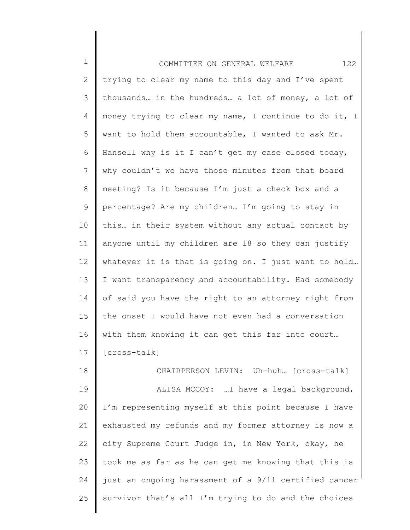1 2 3 4 5 6 7 8 9 10 11 12 13 14 15 16 17 COMMITTEE ON GENERAL WELFARE 122 trying to clear my name to this day and I've spent thousands… in the hundreds… a lot of money, a lot of money trying to clear my name, I continue to do it, I want to hold them accountable, I wanted to ask Mr. Hansell why is it I can't get my case closed today, why couldn't we have those minutes from that board meeting? Is it because I'm just a check box and a percentage? Are my children… I'm going to stay in this… in their system without any actual contact by anyone until my children are 18 so they can justify whatever it is that is going on. I just want to hold… I want transparency and accountability. Had somebody of said you have the right to an attorney right from the onset I would have not even had a conversation with them knowing it can get this far into court… [cross-talk]

18 19 20 21 22 23 24 25 CHAIRPERSON LEVIN: Uh-huh… [cross-talk] ALISA MCCOY: …I have a legal background, I'm representing myself at this point because I have exhausted my refunds and my former attorney is now a city Supreme Court Judge in, in New York, okay, he took me as far as he can get me knowing that this is just an ongoing harassment of a 9/11 certified cancer survivor that's all I'm trying to do and the choices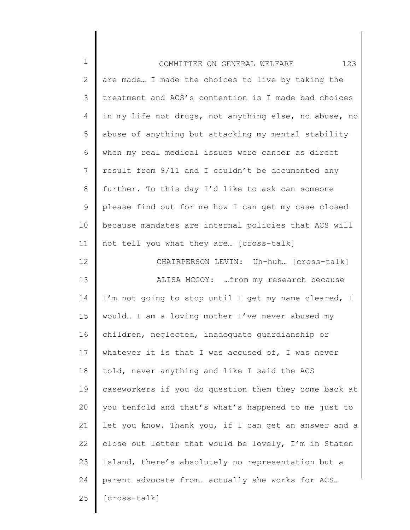| $\mathbf 1$   | 123<br>COMMITTEE ON GENERAL WELFARE                   |
|---------------|-------------------------------------------------------|
| $\mathbf{2}$  | are made I made the choices to live by taking the     |
| $\mathcal{S}$ | treatment and ACS's contention is I made bad choices  |
| 4             | in my life not drugs, not anything else, no abuse, no |
| 5             | abuse of anything but attacking my mental stability   |
| 6             | when my real medical issues were cancer as direct     |
| 7             | result from 9/11 and I couldn't be documented any     |
| 8             | further. To this day I'd like to ask can someone      |
| 9             | please find out for me how I can get my case closed   |
| 10            | because mandates are internal policies that ACS will  |
| 11            | not tell you what they are [cross-talk]               |
| 12            | CHAIRPERSON LEVIN: Uh-huh [cross-talk]                |
| 13            | ALISA MCCOY:  from my research because                |
| 14            | I'm not going to stop until I get my name cleared, I  |
| 15            | would I am a loving mother I've never abused my       |
| 16            | children, neglected, inadequate guardianship or       |
| 17            | whatever it is that I was accused of, I was never     |
| 18            | told, never anything and like I said the ACS          |
| 19            | caseworkers if you do question them they come back at |
| 20            | you tenfold and that's what's happened to me just to  |
| 21            | let you know. Thank you, if I can get an answer and a |
| 22            | close out letter that would be lovely, I'm in Staten  |
| 23            | Island, there's absolutely no representation but a    |
| 24            | parent advocate from actually she works for ACS       |
| 25            | [cross-talk]                                          |
|               |                                                       |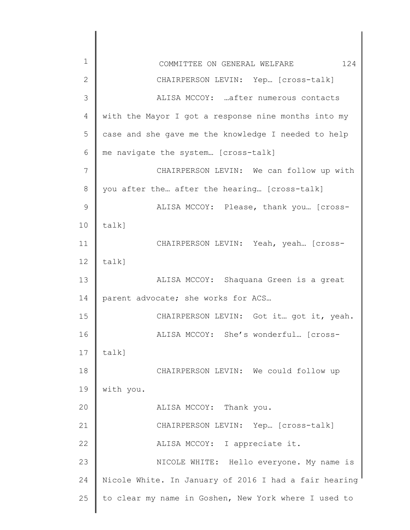| $\mathbf 1$ | 124<br>COMMITTEE ON GENERAL WELFARE                   |
|-------------|-------------------------------------------------------|
| 2           | CHAIRPERSON LEVIN: Yep [cross-talk]                   |
| 3           | ALISA MCCOY:  after numerous contacts                 |
| 4           | with the Mayor I got a response nine months into my   |
| 5           | case and she gave me the knowledge I needed to help   |
| 6           | me navigate the system [cross-talk]                   |
| 7           | CHAIRPERSON LEVIN: We can follow up with              |
| 8           | you after the after the hearing [cross-talk]          |
| 9           | ALISA MCCOY: Please, thank you [cross-                |
| 10          | $talk$ ]                                              |
| 11          | CHAIRPERSON LEVIN: Yeah, yeah [cross-                 |
| 12          | $talk$ ]                                              |
| 13          | ALISA MCCOY: Shaquana Green is a great                |
| 14          | parent advocate; she works for ACS                    |
| 15          | CHAIRPERSON LEVIN: Got it. got it, yeah.              |
| 16          | ALISA MCCOY: She's wonderful [cross-                  |
| 17          | talk]                                                 |
| 18          | CHAIRPERSON LEVIN: We could follow up                 |
| 19          | with you.                                             |
| 20          | ALISA MCCOY: Thank you.                               |
| 21          | CHAIRPERSON LEVIN: Yep [cross-talk]                   |
| 22          | ALISA MCCOY: I appreciate it.                         |
| 23          | NICOLE WHITE: Hello everyone. My name is              |
| 24          | Nicole White. In January of 2016 I had a fair hearing |
| 25          | to clear my name in Goshen, New York where I used to  |
|             |                                                       |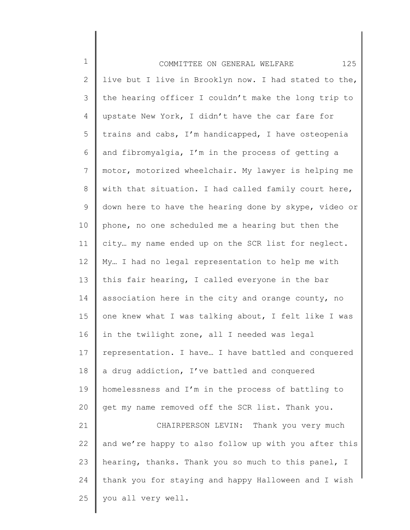1 2 3 4 5 6 7 8 9 10 11 12 13 14 15 16 17 18 19 20 21 22 23 24 25 COMMITTEE ON GENERAL WELFARE 125 live but I live in Brooklyn now. I had stated to the, the hearing officer I couldn't make the long trip to upstate New York, I didn't have the car fare for trains and cabs, I'm handicapped, I have osteopenia and fibromyalgia, I'm in the process of getting a motor, motorized wheelchair. My lawyer is helping me with that situation. I had called family court here, down here to have the hearing done by skype, video or phone, no one scheduled me a hearing but then the city… my name ended up on the SCR list for neglect. My… I had no legal representation to help me with this fair hearing, I called everyone in the bar association here in the city and orange county, no one knew what I was talking about, I felt like I was in the twilight zone, all I needed was legal representation. I have… I have battled and conquered a drug addiction, I've battled and conquered homelessness and I'm in the process of battling to get my name removed off the SCR list. Thank you. CHAIRPERSON LEVIN: Thank you very much and we're happy to also follow up with you after this hearing, thanks. Thank you so much to this panel, I thank you for staying and happy Halloween and I wish you all very well.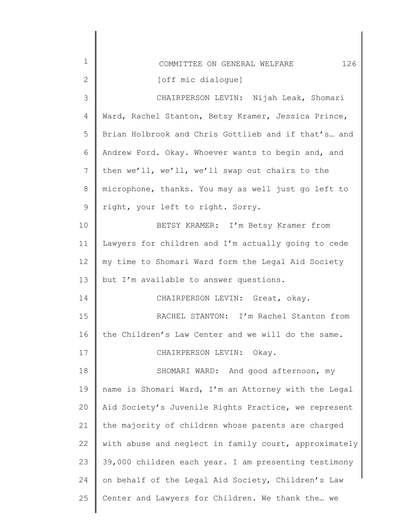| 1            | 126<br>COMMITTEE ON GENERAL WELFARE                   |
|--------------|-------------------------------------------------------|
| $\mathbf{2}$ | [off mic dialoque]                                    |
| 3            | CHAIRPERSON LEVIN: Nijah Leak, Shomari                |
| 4            | Ward, Rachel Stanton, Betsy Kramer, Jessica Prince,   |
| 5            | Brian Holbrook and Chris Gottlieb and if that's and   |
| 6            | Andrew Ford. Okay. Whoever wants to begin and, and    |
| 7            | then we'll, we'll, we'll swap out chairs to the       |
| 8            | microphone, thanks. You may as well just go left to   |
| 9            | right, your left to right. Sorry.                     |
| 10           | BETSY KRAMER: I'm Betsy Kramer from                   |
| 11           | Lawyers for children and I'm actually going to cede   |
| 12           | my time to Shomari Ward form the Legal Aid Society    |
| 13           | but I'm available to answer questions.                |
| 14           | CHAIRPERSON LEVIN: Great, okay.                       |
| 15           | RACHEL STANTON: I'm Rachel Stanton from               |
| 16           | the Children's Law Center and we will do the same.    |
| 17           | CHAIRPERSON LEVIN: Okay.                              |
| 18           | SHOMARI WARD: And good afternoon, my                  |
| 19           | name is Shomari Ward, I'm an Attorney with the Legal  |
| 20           | Aid Society's Juvenile Rights Practice, we represent  |
| 21           | the majority of children whose parents are charged    |
| 22           | with abuse and neglect in family court, approximately |
| 23           | 39,000 children each year. I am presenting testimony  |
| 24           | on behalf of the Legal Aid Society, Children's Law    |
| 25           | Center and Lawyers for Children. We thank the we      |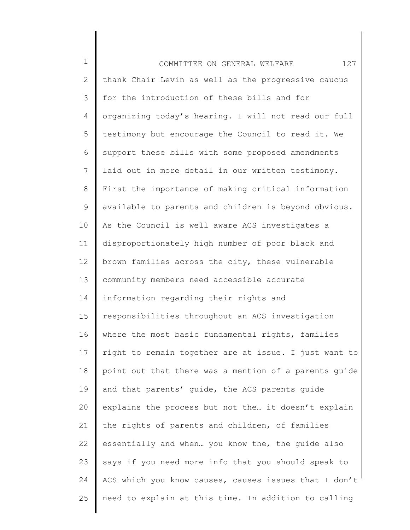1 2 3 4 5 6 7 8 9 10 11 12 13 14 15 16 17 18 19 20 21 22 23 24 25 COMMITTEE ON GENERAL WELFARE 127 thank Chair Levin as well as the progressive caucus for the introduction of these bills and for organizing today's hearing. I will not read our full testimony but encourage the Council to read it. We support these bills with some proposed amendments laid out in more detail in our written testimony. First the importance of making critical information available to parents and children is beyond obvious. As the Council is well aware ACS investigates a disproportionately high number of poor black and brown families across the city, these vulnerable community members need accessible accurate information regarding their rights and responsibilities throughout an ACS investigation where the most basic fundamental rights, families right to remain together are at issue. I just want to point out that there was a mention of a parents guide and that parents' guide, the ACS parents guide explains the process but not the… it doesn't explain the rights of parents and children, of families essentially and when… you know the, the guide also says if you need more info that you should speak to ACS which you know causes, causes issues that I don't need to explain at this time. In addition to calling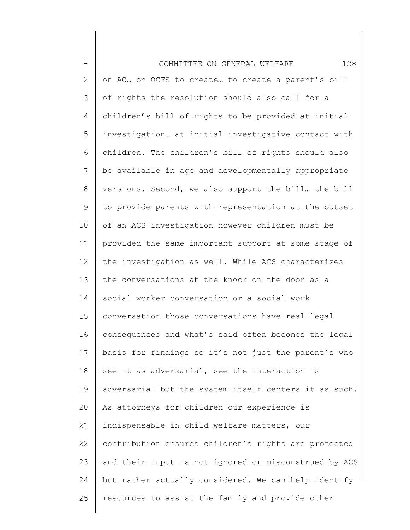| $\mathbf 1$  | 128<br>COMMITTEE ON GENERAL WELFARE                   |
|--------------|-------------------------------------------------------|
| $\mathbf{2}$ | on AC on OCFS to create to create a parent's bill     |
| 3            | of rights the resolution should also call for a       |
| 4            | children's bill of rights to be provided at initial   |
| 5            | investigation at initial investigative contact with   |
| 6            | children. The children's bill of rights should also   |
| 7            | be available in age and developmentally appropriate   |
| $8\,$        | versions. Second, we also support the bill the bill   |
| 9            | to provide parents with representation at the outset  |
| 10           | of an ACS investigation however children must be      |
| 11           | provided the same important support at some stage of  |
| 12           | the investigation as well. While ACS characterizes    |
| 13           | the conversations at the knock on the door as a       |
| 14           | social worker conversation or a social work           |
| 15           | conversation those conversations have real legal      |
| 16           | consequences and what's said often becomes the legal  |
| 17           | basis for findings so it's not just the parent's who  |
| 18           | see it as adversarial, see the interaction is         |
| 19           | adversarial but the system itself centers it as such. |
| 20           | As attorneys for children our experience is           |
| 21           | indispensable in child welfare matters, our           |
| 22           | contribution ensures children's rights are protected  |
| 23           | and their input is not ignored or misconstrued by ACS |
| 24           | but rather actually considered. We can help identify  |
| 25           | resources to assist the family and provide other      |
|              |                                                       |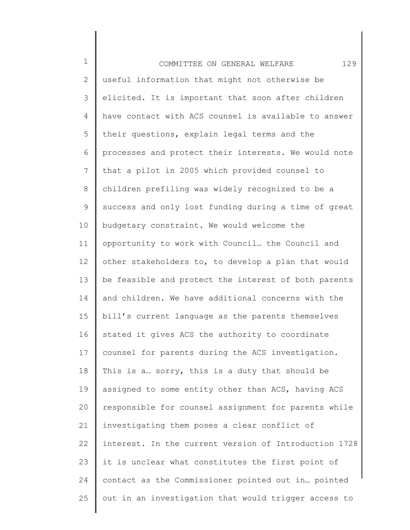1 2 3 4 5 6 7 8 9 10 11 12 13 14 15 16 17 18 19 20 21 22 23 24 25 COMMITTEE ON GENERAL WELFARE 129 useful information that might not otherwise be elicited. It is important that soon after children have contact with ACS counsel is available to answer their questions, explain legal terms and the processes and protect their interests. We would note that a pilot in 2005 which provided counsel to children prefiling was widely recognized to be a success and only lost funding during a time of great budgetary constraint. We would welcome the opportunity to work with Council… the Council and other stakeholders to, to develop a plan that would be feasible and protect the interest of both parents and children. We have additional concerns with the bill's current language as the parents themselves stated it gives ACS the authority to coordinate counsel for parents during the ACS investigation. This is a… sorry, this is a duty that should be assigned to some entity other than ACS, having ACS responsible for counsel assignment for parents while investigating them poses a clear conflict of interest. In the current version of Introduction 1728 it is unclear what constitutes the first point of contact as the Commissioner pointed out in… pointed out in an investigation that would trigger access to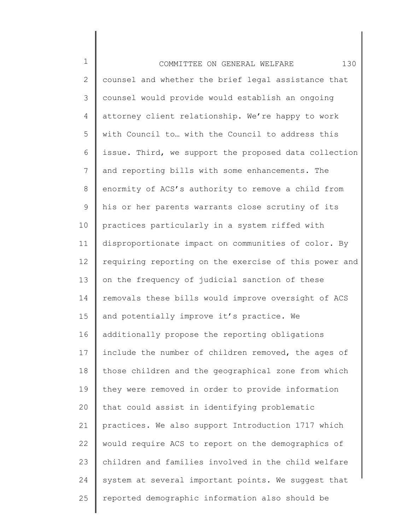1 2 3 4 5 6 7 8 9 10 11 12 13 14 15 16 17 18 19 20 21 22 23 24 25 COMMITTEE ON GENERAL WELFARE 130 counsel and whether the brief legal assistance that counsel would provide would establish an ongoing attorney client relationship. We're happy to work with Council to… with the Council to address this issue. Third, we support the proposed data collection and reporting bills with some enhancements. The enormity of ACS's authority to remove a child from his or her parents warrants close scrutiny of its practices particularly in a system riffed with disproportionate impact on communities of color. By requiring reporting on the exercise of this power and on the frequency of judicial sanction of these removals these bills would improve oversight of ACS and potentially improve it's practice. We additionally propose the reporting obligations include the number of children removed, the ages of those children and the geographical zone from which they were removed in order to provide information that could assist in identifying problematic practices. We also support Introduction 1717 which would require ACS to report on the demographics of children and families involved in the child welfare system at several important points. We suggest that reported demographic information also should be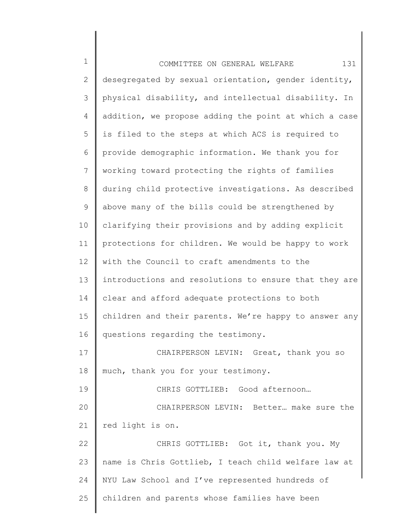| $\mathbf 1$     | 131<br>COMMITTEE ON GENERAL WELFARE                   |
|-----------------|-------------------------------------------------------|
| $\mathbf{2}$    | desegregated by sexual orientation, gender identity,  |
| 3               | physical disability, and intellectual disability. In  |
| 4               | addition, we propose adding the point at which a case |
| 5               | is filed to the steps at which ACS is required to     |
| 6               | provide demographic information. We thank you for     |
| $7\phantom{.0}$ | working toward protecting the rights of families      |
| 8               | during child protective investigations. As described  |
| 9               | above many of the bills could be strengthened by      |
| 10              | clarifying their provisions and by adding explicit    |
| 11              | protections for children. We would be happy to work   |
| 12              | with the Council to craft amendments to the           |
| 13              | introductions and resolutions to ensure that they are |
| 14              | clear and afford adequate protections to both         |
| 15              | children and their parents. We're happy to answer any |
| 16              | questions regarding the testimony.                    |
| 17              | CHAIRPERSON LEVIN:<br>Great, thank you so             |
| 18              | much, thank you for your testimony.                   |
| 19              | CHRIS GOTTLIEB: Good afternoon                        |
| 20              | CHAIRPERSON LEVIN: Better make sure the               |
| 21              | red light is on.                                      |
| 22              | CHRIS GOTTLIEB: Got it, thank you. My                 |
| 23              | name is Chris Gottlieb, I teach child welfare law at  |
| 24              | NYU Law School and I've represented hundreds of       |
| 25              | children and parents whose families have been         |
|                 |                                                       |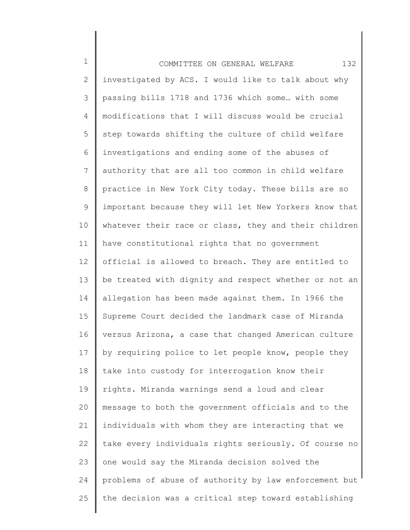1 2 3 4 5 6 7 8 9 10 11 12 13 14 15 16 17 18 19 20 21 22 23 24 25 COMMITTEE ON GENERAL WELFARE 132 investigated by ACS. I would like to talk about why passing bills 1718 and 1736 which some… with some modifications that I will discuss would be crucial step towards shifting the culture of child welfare investigations and ending some of the abuses of authority that are all too common in child welfare practice in New York City today. These bills are so important because they will let New Yorkers know that whatever their race or class, they and their children have constitutional rights that no government official is allowed to breach. They are entitled to be treated with dignity and respect whether or not an allegation has been made against them. In 1966 the Supreme Court decided the landmark case of Miranda versus Arizona, a case that changed American culture by requiring police to let people know, people they take into custody for interrogation know their rights. Miranda warnings send a loud and clear message to both the government officials and to the individuals with whom they are interacting that we take every individuals rights seriously. Of course no one would say the Miranda decision solved the problems of abuse of authority by law enforcement but the decision was a critical step toward establishing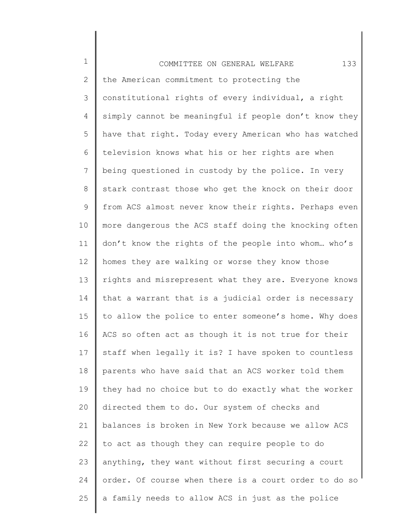1 2 3 4 5 6 7 8 9 10 11 12 13 14 15 16 17 18 19 20 21 22 23 24 25 COMMITTEE ON GENERAL WELFARE 133 the American commitment to protecting the constitutional rights of every individual, a right simply cannot be meaningful if people don't know they have that right. Today every American who has watched television knows what his or her rights are when being questioned in custody by the police. In very stark contrast those who get the knock on their door from ACS almost never know their rights. Perhaps even more dangerous the ACS staff doing the knocking often don't know the rights of the people into whom… who's homes they are walking or worse they know those rights and misrepresent what they are. Everyone knows that a warrant that is a judicial order is necessary to allow the police to enter someone's home. Why does ACS so often act as though it is not true for their staff when legally it is? I have spoken to countless parents who have said that an ACS worker told them they had no choice but to do exactly what the worker directed them to do. Our system of checks and balances is broken in New York because we allow ACS to act as though they can require people to do anything, they want without first securing a court order. Of course when there is a court order to do so a family needs to allow ACS in just as the police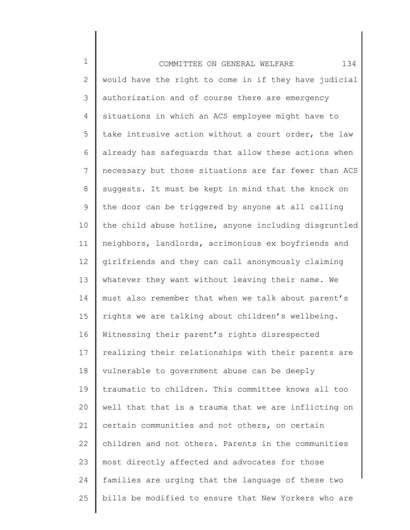1 2 3 4 5 6 7 8 9 10 11 12 13 14 15 16 17 18 19 20 21 22 23 24 25 COMMITTEE ON GENERAL WELFARE 134 would have the right to come in if they have judicial authorization and of course there are emergency situations in which an ACS employee might have to take intrusive action without a court order, the law already has safeguards that allow these actions when necessary but those situations are far fewer than ACS suggests. It must be kept in mind that the knock on the door can be triggered by anyone at all calling the child abuse hotline, anyone including disgruntled neighbors, landlords, acrimonious ex boyfriends and girlfriends and they can call anonymously claiming whatever they want without leaving their name. We must also remember that when we talk about parent's rights we are talking about children's wellbeing. Witnessing their parent's rights disrespected realizing their relationships with their parents are vulnerable to government abuse can be deeply traumatic to children. This committee knows all too well that that is a trauma that we are inflicting on certain communities and not others, on certain children and not others. Parents in the communities most directly affected and advocates for those families are urging that the language of these two bills be modified to ensure that New Yorkers who are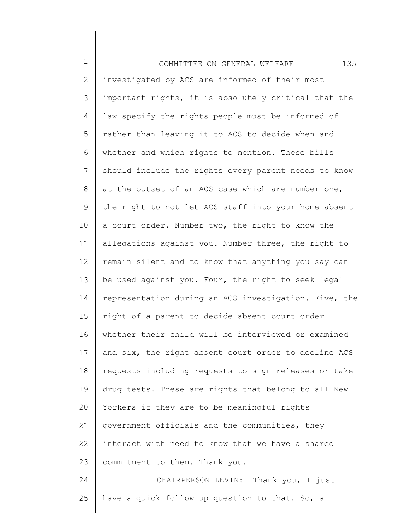| $\mathbf 1$ | 135<br>COMMITTEE ON GENERAL WELFARE                   |
|-------------|-------------------------------------------------------|
| 2           | investigated by ACS are informed of their most        |
| 3           | important rights, it is absolutely critical that the  |
| 4           | law specify the rights people must be informed of     |
| 5           | rather than leaving it to ACS to decide when and      |
| 6           | whether and which rights to mention. These bills      |
| 7           | should include the rights every parent needs to know  |
| $8\,$       | at the outset of an ACS case which are number one,    |
| 9           | the right to not let ACS staff into your home absent  |
| 10          | a court order. Number two, the right to know the      |
| 11          | allegations against you. Number three, the right to   |
| 12          | remain silent and to know that anything you say can   |
| 13          | be used against you. Four, the right to seek legal    |
| 14          | representation during an ACS investigation. Five, the |
| 15          | right of a parent to decide absent court order        |
| 16          | whether their child will be interviewed or examined   |
| 17          | and six, the right absent court order to decline ACS  |
| 18          | requests including requests to sign releases or take  |
| 19          | drug tests. These are rights that belong to all New   |
| 20          | Yorkers if they are to be meaningful rights           |
| 21          | government officials and the communities, they        |
| 22          | interact with need to know that we have a shared      |
| 23          | commitment to them. Thank you.                        |
| 24          | CHAIRPERSON LEVIN: Thank you, I just                  |
| 25          | have a quick follow up question to that. So, a        |
|             |                                                       |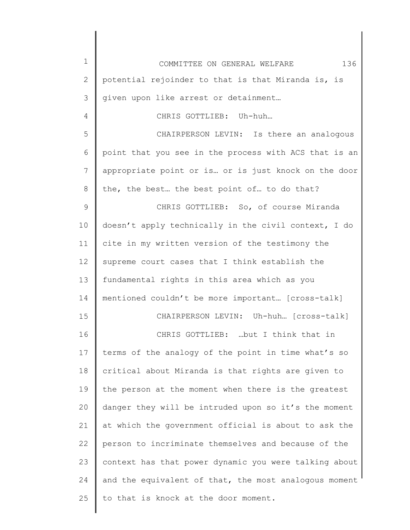1 2 3 4 5 6 7 8 9 10 11 12 13 14 15 16 17 18 19 20 21 22 23 24 25 COMMITTEE ON GENERAL WELFARE 136 potential rejoinder to that is that Miranda is, is given upon like arrest or detainment… CHRIS GOTTLIEB: Uh-huh… CHAIRPERSON LEVIN: Is there an analogous point that you see in the process with ACS that is an appropriate point or is… or is just knock on the door the, the best… the best point of… to do that? CHRIS GOTTLIEB: So, of course Miranda doesn't apply technically in the civil context, I do cite in my written version of the testimony the supreme court cases that I think establish the fundamental rights in this area which as you mentioned couldn't be more important… [cross-talk] CHAIRPERSON LEVIN: Uh-huh… [cross-talk] CHRIS GOTTLIEB: …but I think that in terms of the analogy of the point in time what's so critical about Miranda is that rights are given to the person at the moment when there is the greatest danger they will be intruded upon so it's the moment at which the government official is about to ask the person to incriminate themselves and because of the context has that power dynamic you were talking about and the equivalent of that, the most analogous moment to that is knock at the door moment.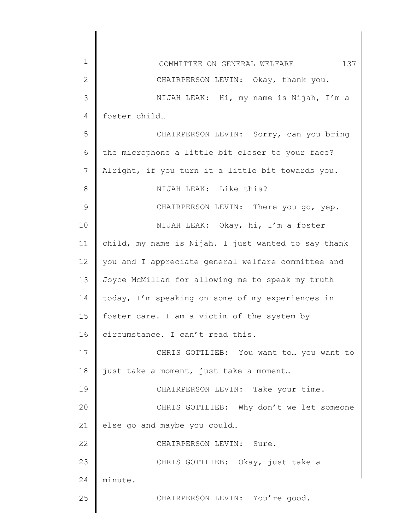| $\mathbf 1$    | 137<br>COMMITTEE ON GENERAL WELFARE                 |
|----------------|-----------------------------------------------------|
| $\mathbf{2}$   | CHAIRPERSON LEVIN: Okay, thank you.                 |
| 3              | NIJAH LEAK: Hi, my name is Nijah, I'm a             |
| $\overline{4}$ | foster child                                        |
| 5              | CHAIRPERSON LEVIN: Sorry, can you bring             |
| 6              | the microphone a little bit closer to your face?    |
| 7              | Alright, if you turn it a little bit towards you.   |
| 8              | NIJAH LEAK: Like this?                              |
| $\mathcal{G}$  | CHAIRPERSON LEVIN: There you go, yep.               |
| 10             | NIJAH LEAK: Okay, hi, I'm a foster                  |
| 11             | child, my name is Nijah. I just wanted to say thank |
| 12             | you and I appreciate general welfare committee and  |
| 13             | Joyce McMillan for allowing me to speak my truth    |
| 14             | today, I'm speaking on some of my experiences in    |
| 15             | foster care. I am a victim of the system by         |
| 16             | circumstance. I can't read this.                    |
| 17             | CHRIS GOTTLIEB: You want to  you want to            |
| 18             | just take a moment, just take a moment              |
| 19             | CHAIRPERSON LEVIN: Take your time.                  |
| 20             | CHRIS GOTTLIEB: Why don't we let someone            |
| 21             | else go and maybe you could                         |
| 22             | CHAIRPERSON LEVIN: Sure.                            |
| 23             | CHRIS GOTTLIEB: Okay, just take a                   |
| 24             | minute.                                             |
| 25             | CHAIRPERSON LEVIN: You're good.                     |
|                |                                                     |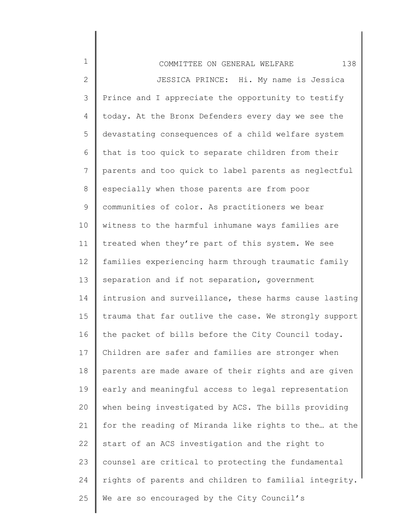| $\mathbf 1$  | 138<br>COMMITTEE ON GENERAL WELFARE                   |
|--------------|-------------------------------------------------------|
| $\mathbf{2}$ | JESSICA PRINCE: Hi. My name is Jessica                |
| 3            | Prince and I appreciate the opportunity to testify    |
| 4            | today. At the Bronx Defenders every day we see the    |
| 5            | devastating consequences of a child welfare system    |
| 6            | that is too quick to separate children from their     |
| 7            | parents and too quick to label parents as neglectful  |
| 8            | especially when those parents are from poor           |
| 9            | communities of color. As practitioners we bear        |
| 10           | witness to the harmful inhumane ways families are     |
| 11           | treated when they're part of this system. We see      |
| 12           | families experiencing harm through traumatic family   |
| 13           | separation and if not separation, government          |
| 14           | intrusion and surveillance, these harms cause lasting |
| 15           | trauma that far outlive the case. We strongly support |
| 16           | the packet of bills before the City Council today.    |
| 17           | Children are safer and families are stronger when     |
| 18           | parents are made aware of their rights and are given  |
| 19           | early and meaningful access to legal representation   |
| 20           | when being investigated by ACS. The bills providing   |
| 21           | for the reading of Miranda like rights to the at the  |
| 22           | start of an ACS investigation and the right to        |
| 23           | counsel are critical to protecting the fundamental    |
| 24           | rights of parents and children to familial integrity. |
| 25           | We are so encouraged by the City Council's            |
|              |                                                       |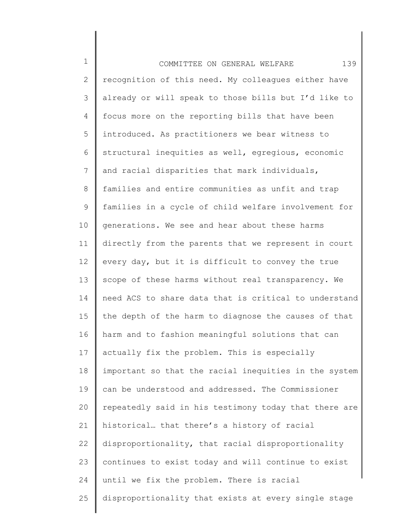| $\mathbf 1$  | 139<br>COMMITTEE ON GENERAL WELFARE                   |
|--------------|-------------------------------------------------------|
| $\mathbf{2}$ | recognition of this need. My colleagues either have   |
| 3            | already or will speak to those bills but I'd like to  |
| 4            | focus more on the reporting bills that have been      |
| 5            | introduced. As practitioners we bear witness to       |
| 6            | structural inequities as well, egregious, economic    |
| 7            | and racial disparities that mark individuals,         |
| 8            | families and entire communities as unfit and trap     |
| 9            | families in a cycle of child welfare involvement for  |
| 10           | generations. We see and hear about these harms        |
| 11           | directly from the parents that we represent in court  |
| 12           | every day, but it is difficult to convey the true     |
| 13           | scope of these harms without real transparency. We    |
| 14           | need ACS to share data that is critical to understand |
| 15           | the depth of the harm to diagnose the causes of that  |
| 16           | harm and to fashion meaningful solutions that can     |
| 17           | actually fix the problem. This is especially          |
| 18           | important so that the racial inequities in the system |
| 19           | can be understood and addressed. The Commissioner     |
| 20           | repeatedly said in his testimony today that there are |
| 21           | historical that there's a history of racial           |
| 22           | disproportionality, that racial disproportionality    |
| 23           | continues to exist today and will continue to exist   |
| 24           | until we fix the problem. There is racial             |
| 25           | disproportionality that exists at every single stage  |
|              |                                                       |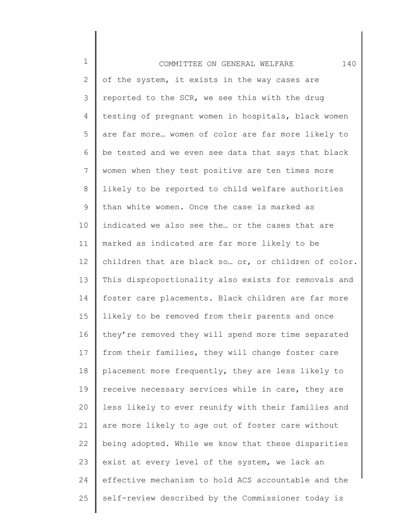| $\mathbf 1$     | 140<br>COMMITTEE ON GENERAL WELFARE                  |
|-----------------|------------------------------------------------------|
| 2               | of the system, it exists in the way cases are        |
| 3               | reported to the SCR, we see this with the drug       |
| 4               | testing of pregnant women in hospitals, black women  |
| 5               | are far more women of color are far more likely to   |
| 6               | be tested and we even see data that says that black  |
| 7               | women when they test positive are ten times more     |
| 8               | likely to be reported to child welfare authorities   |
| 9               | than white women. Once the case is marked as         |
| 10 <sub>o</sub> | indicated we also see the or the cases that are      |
| 11              | marked as indicated are far more likely to be        |
| 12              | children that are black so or, or children of color. |
| 13              | This disproportionality also exists for removals and |
| 14              | foster care placements. Black children are far more  |
| 15              | likely to be removed from their parents and once     |
| 16              | they're removed they will spend more time separated  |
| 17              | from their families, they will change foster care    |
| 18              | placement more frequently, they are less likely to   |
| 19              | receive necessary services while in care, they are   |
| 20              | less likely to ever reunify with their families and  |
| 21              | are more likely to age out of foster care without    |
| 22              | being adopted. While we know that these disparities  |
| 23              | exist at every level of the system, we lack an       |
| 24              | effective mechanism to hold ACS accountable and the  |
| 25              | self-review described by the Commissioner today is   |
|                 |                                                      |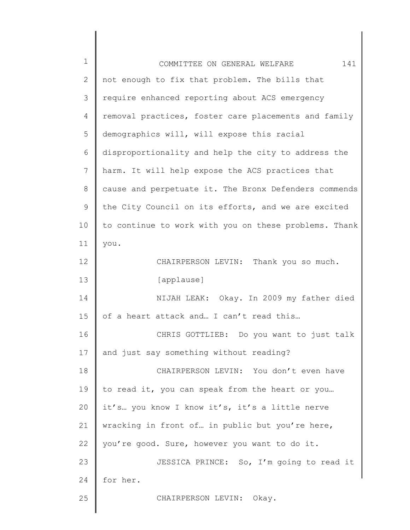| $1\,$ | 141<br>COMMITTEE ON GENERAL WELFARE                   |
|-------|-------------------------------------------------------|
| 2     | not enough to fix that problem. The bills that        |
| 3     | require enhanced reporting about ACS emergency        |
| 4     | removal practices, foster care placements and family  |
| 5     | demographics will, will expose this racial            |
| 6     | disproportionality and help the city to address the   |
| 7     | harm. It will help expose the ACS practices that      |
| $8\,$ | cause and perpetuate it. The Bronx Defenders commends |
| 9     | the City Council on its efforts, and we are excited   |
| 10    | to continue to work with you on these problems. Thank |
| 11    | you.                                                  |
| 12    | CHAIRPERSON LEVIN: Thank you so much.                 |
| 13    | [applause]                                            |
| 14    | NIJAH LEAK: Okay. In 2009 my father died              |
| 15    | of a heart attack and I can't read this               |
| 16    | CHRIS GOTTLIEB: Do you want to just talk              |
| 17    | and just say something without reading?               |
| 18    | CHAIRPERSON LEVIN: You don't even have                |
| 19    | to read it, you can speak from the heart or you       |
| 20    | it's you know I know it's, it's a little nerve        |
| 21    | wracking in front of in public but you're here,       |
| 22    | you're good. Sure, however you want to do it.         |
| 23    | JESSICA PRINCE: So, I'm going to read it              |
| 24    | for her.                                              |
| 25    | CHAIRPERSON LEVIN: Okay.                              |
|       |                                                       |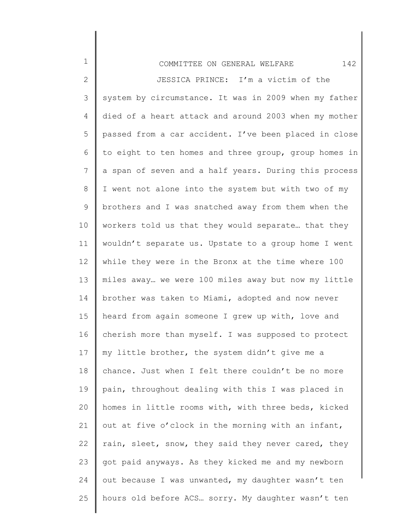2 3 4 5 6 7 8 9 10 11 12 13 14 15 16 17 18 19 20 21 22 23 24 25 JESSICA PRINCE: I'm a victim of the system by circumstance. It was in 2009 when my father died of a heart attack and around 2003 when my mother passed from a car accident. I've been placed in close to eight to ten homes and three group, group homes in a span of seven and a half years. During this process I went not alone into the system but with two of my brothers and I was snatched away from them when the workers told us that they would separate… that they wouldn't separate us. Upstate to a group home I went while they were in the Bronx at the time where 100 miles away… we were 100 miles away but now my little brother was taken to Miami, adopted and now never heard from again someone I grew up with, love and cherish more than myself. I was supposed to protect my little brother, the system didn't give me a chance. Just when I felt there couldn't be no more pain, throughout dealing with this I was placed in homes in little rooms with, with three beds, kicked out at five o'clock in the morning with an infant, rain, sleet, snow, they said they never cared, they got paid anyways. As they kicked me and my newborn out because I was unwanted, my daughter wasn't ten hours old before ACS… sorry. My daughter wasn't ten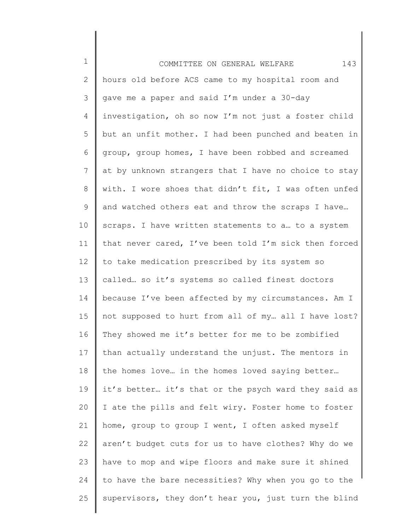| $\mathbf 1$     | 143<br>COMMITTEE ON GENERAL WELFARE                   |
|-----------------|-------------------------------------------------------|
| 2               | hours old before ACS came to my hospital room and     |
| 3               | gave me a paper and said I'm under a 30-day           |
| 4               | investigation, oh so now I'm not just a foster child  |
| 5               | but an unfit mother. I had been punched and beaten in |
| 6               | group, group homes, I have been robbed and screamed   |
| $7\phantom{.}$  | at by unknown strangers that I have no choice to stay |
| 8               | with. I wore shoes that didn't fit, I was often unfed |
| 9               | and watched others eat and throw the scraps I have    |
| 10 <sub>o</sub> | scraps. I have written statements to a to a system    |
| 11              | that never cared, I've been told I'm sick then forced |
| 12              | to take medication prescribed by its system so        |
| 13              | called so it's systems so called finest doctors       |
| 14              | because I've been affected by my circumstances. Am I  |
| 15              | not supposed to hurt from all of my all I have lost?  |
| 16              | They showed me it's better for me to be zombified     |
| 17              | than actually understand the unjust. The mentors in   |
| 18              | the homes love in the homes loved saying better       |
| 19              | it's better it's that or the psych ward they said as  |
| 20              | I ate the pills and felt wiry. Foster home to foster  |
| 21              | home, group to group I went, I often asked myself     |
| 22              | aren't budget cuts for us to have clothes? Why do we  |
| 23              | have to mop and wipe floors and make sure it shined   |
| 24              | to have the bare necessities? Why when you go to the  |
| 25              | supervisors, they don't hear you, just turn the blind |
|                 |                                                       |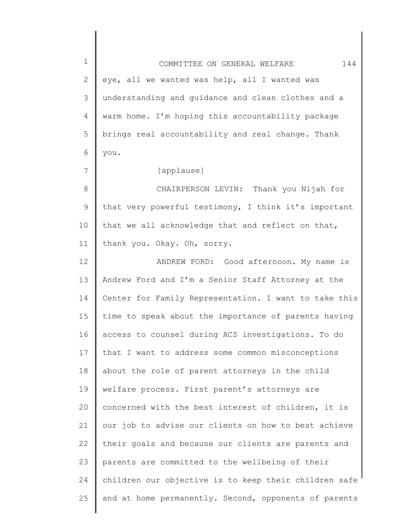| $\mathbf 1$     | 144<br>COMMITTEE ON GENERAL WELFARE                   |
|-----------------|-------------------------------------------------------|
| $\mathbf{2}$    | eye, all we wanted was help, all I wanted was         |
| 3               | understanding and guidance and clean clothes and a    |
| 4               | warm home. I'm hoping this accountability package     |
| 5               | brings real accountability and real change. Thank     |
| 6               | you.                                                  |
| 7               | [applause]                                            |
| $8\,$           | CHAIRPERSON LEVIN: Thank you Nijah for                |
| $\mathsf 9$     | that very powerful testimony, I think it's important  |
| 10 <sub>o</sub> | that we all acknowledge that and reflect on that,     |
| 11              | thank you. Okay. Oh, sorry.                           |
| 12              | ANDREW FORD: Good afternoon. My name is               |
| 13              | Andrew Ford and I'm a Senior Staff Attorney at the    |
| 14              | Center for Family Representation. I want to take this |
| 15              | time to speak about the importance of parents having  |
| 16              | access to counsel during ACS investigations. To do    |
| 17              | that I want to address some common misconceptions     |
| 18              | about the role of parent attorneys in the child       |
| 19              | welfare process. First parent's attorneys are         |
| 20              | concerned with the best interest of children, it is   |
| 21              | our job to advise our clients on how to best achieve  |
| 22              | their goals and because our clients are parents and   |
| 23              | parents are committed to the wellbeing of their       |
| 24              | children our objective is to keep their children safe |
| 25              | and at home permanently. Second, opponents of parents |
|                 |                                                       |

║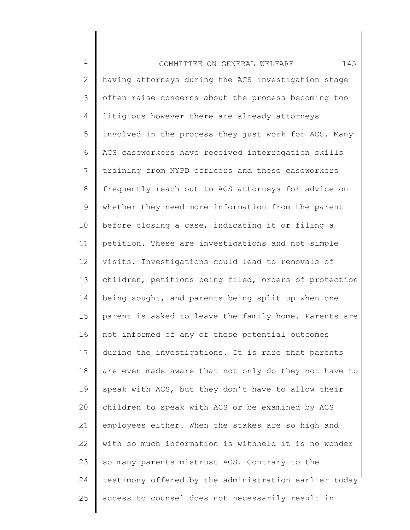1 2 3 4 5 6 7 8 9 10 11 12 13 14 15 16 17 18 19 20 21 22 23 24 25 COMMITTEE ON GENERAL WELFARE 145 having attorneys during the ACS investigation stage often raise concerns about the process becoming too litigious however there are already attorneys involved in the process they just work for ACS. Many ACS caseworkers have received interrogation skills training from NYPD officers and these caseworkers frequently reach out to ACS attorneys for advice on whether they need more information from the parent before closing a case, indicating it or filing a petition. These are investigations and not simple visits. Investigations could lead to removals of children, petitions being filed, orders of protection being sought, and parents being split up when one parent is asked to leave the family home. Parents are not informed of any of these potential outcomes during the investigations. It is rare that parents are even made aware that not only do they not have to speak with ACS, but they don't have to allow their children to speak with ACS or be examined by ACS employees either. When the stakes are so high and with so much information is withheld it is no wonder so many parents mistrust ACS. Contrary to the testimony offered by the administration earlier today access to counsel does not necessarily result in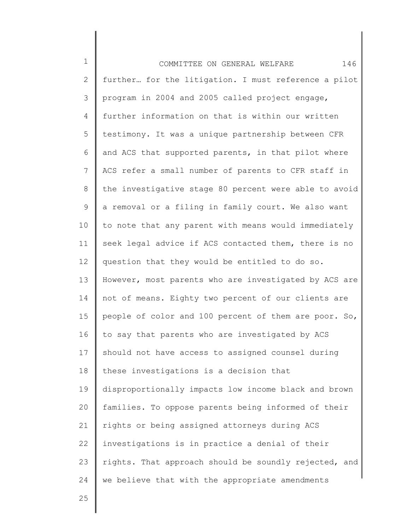1 2 3 4 5 6 7 8 9 10 11 12 13 14 15 16 17 18 19 20 21 22 23 24 COMMITTEE ON GENERAL WELFARE 146 further… for the litigation. I must reference a pilot program in 2004 and 2005 called project engage, further information on that is within our written testimony. It was a unique partnership between CFR and ACS that supported parents, in that pilot where ACS refer a small number of parents to CFR staff in the investigative stage 80 percent were able to avoid a removal or a filing in family court. We also want to note that any parent with means would immediately seek legal advice if ACS contacted them, there is no question that they would be entitled to do so. However, most parents who are investigated by ACS are not of means. Eighty two percent of our clients are people of color and 100 percent of them are poor. So, to say that parents who are investigated by ACS should not have access to assigned counsel during these investigations is a decision that disproportionally impacts low income black and brown families. To oppose parents being informed of their rights or being assigned attorneys during ACS investigations is in practice a denial of their rights. That approach should be soundly rejected, and we believe that with the appropriate amendments

25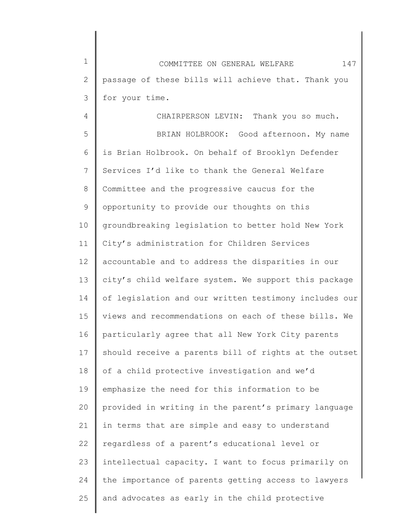1 2 3 COMMITTEE ON GENERAL WELFARE 147 passage of these bills will achieve that. Thank you for your time.

4 5 6 7 8 9 10 11 12 13 14 15 16 17 18 19 20 21 22 23 24 25 CHAIRPERSON LEVIN: Thank you so much. BRIAN HOLBROOK: Good afternoon. My name is Brian Holbrook. On behalf of Brooklyn Defender Services I'd like to thank the General Welfare Committee and the progressive caucus for the opportunity to provide our thoughts on this groundbreaking legislation to better hold New York City's administration for Children Services accountable and to address the disparities in our city's child welfare system. We support this package of legislation and our written testimony includes our views and recommendations on each of these bills. We particularly agree that all New York City parents should receive a parents bill of rights at the outset of a child protective investigation and we'd emphasize the need for this information to be provided in writing in the parent's primary language in terms that are simple and easy to understand regardless of a parent's educational level or intellectual capacity. I want to focus primarily on the importance of parents getting access to lawyers and advocates as early in the child protective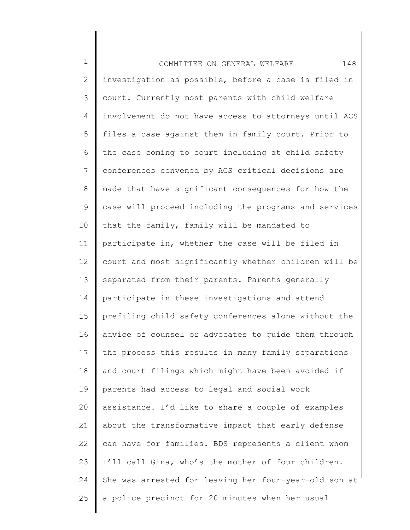| $\mathbf 1$    | 148<br>COMMITTEE ON GENERAL WELFARE                   |
|----------------|-------------------------------------------------------|
| 2              | investigation as possible, before a case is filed in  |
| 3              | court. Currently most parents with child welfare      |
| 4              | involvement do not have access to attorneys until ACS |
| 5              | files a case against them in family court. Prior to   |
| 6              | the case coming to court including at child safety    |
| $\overline{7}$ | conferences convened by ACS critical decisions are    |
| $8\,$          | made that have significant consequences for how the   |
| 9              | case will proceed including the programs and services |
| 10             | that the family, family will be mandated to           |
| 11             | participate in, whether the case will be filed in     |
| 12             | court and most significantly whether children will be |
| 13             | separated from their parents. Parents generally       |
| 14             | participate in these investigations and attend        |
| 15             | prefiling child safety conferences alone without the  |
| 16             | advice of counsel or advocates to quide them through  |
| 17             | the process this results in many family separations   |
| 18             | and court filings which might have been avoided if    |
| 19             | parents had access to legal and social work           |
| 20             | assistance. I'd like to share a couple of examples    |
| 21             | about the transformative impact that early defense    |
| 22             | can have for families. BDS represents a client whom   |
| 23             | I'll call Gina, who's the mother of four children.    |
| 24             | She was arrested for leaving her four-year-old son at |
| 25             | a police precinct for 20 minutes when her usual       |
|                |                                                       |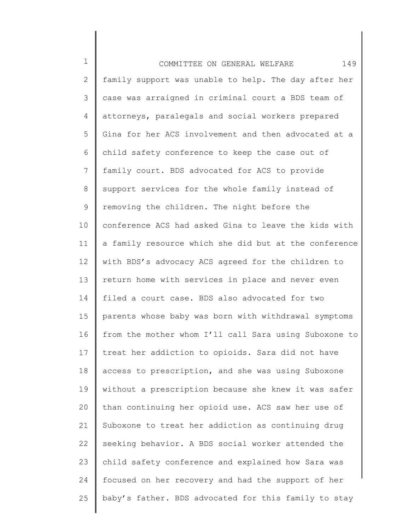1 2 3 4 5 6 7 8 9 10 11 12 13 14 15 16 17 18 19 20 21 22 23 24 25 COMMITTEE ON GENERAL WELFARE 149 family support was unable to help. The day after her case was arraigned in criminal court a BDS team of attorneys, paralegals and social workers prepared Gina for her ACS involvement and then advocated at a child safety conference to keep the case out of family court. BDS advocated for ACS to provide support services for the whole family instead of removing the children. The night before the conference ACS had asked Gina to leave the kids with a family resource which she did but at the conference with BDS's advocacy ACS agreed for the children to return home with services in place and never even filed a court case. BDS also advocated for two parents whose baby was born with withdrawal symptoms from the mother whom I'll call Sara using Suboxone to treat her addiction to opioids. Sara did not have access to prescription, and she was using Suboxone without a prescription because she knew it was safer than continuing her opioid use. ACS saw her use of Suboxone to treat her addiction as continuing drug seeking behavior. A BDS social worker attended the child safety conference and explained how Sara was focused on her recovery and had the support of her baby's father. BDS advocated for this family to stay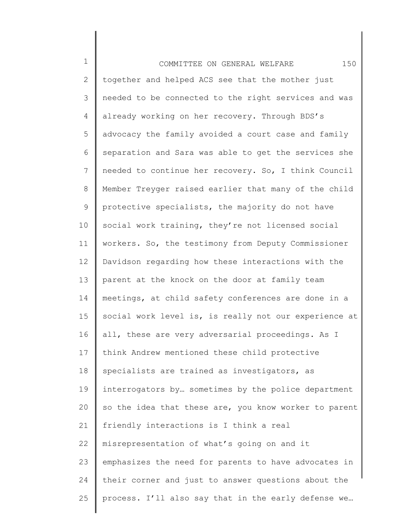1 2 3 4 5 6 7 8 9 10 11 12 13 14 15 16 17 18 19 20 21 22 23 24 25 COMMITTEE ON GENERAL WELFARE 150 together and helped ACS see that the mother just needed to be connected to the right services and was already working on her recovery. Through BDS's advocacy the family avoided a court case and family separation and Sara was able to get the services she needed to continue her recovery. So, I think Council Member Treyger raised earlier that many of the child protective specialists, the majority do not have social work training, they're not licensed social workers. So, the testimony from Deputy Commissioner Davidson regarding how these interactions with the parent at the knock on the door at family team meetings, at child safety conferences are done in a social work level is, is really not our experience at all, these are very adversarial proceedings. As I think Andrew mentioned these child protective specialists are trained as investigators, as interrogators by… sometimes by the police department so the idea that these are, you know worker to parent friendly interactions is I think a real misrepresentation of what's going on and it emphasizes the need for parents to have advocates in their corner and just to answer questions about the process. I'll also say that in the early defense we…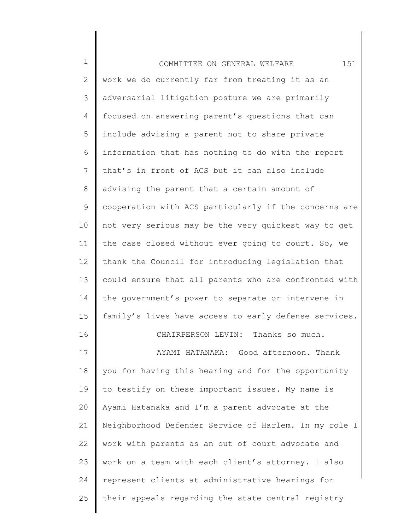| $\mathbf 1$  | 151<br>COMMITTEE ON GENERAL WELFARE                   |
|--------------|-------------------------------------------------------|
| $\mathbf{2}$ | work we do currently far from treating it as an       |
| 3            | adversarial litigation posture we are primarily       |
| 4            | focused on answering parent's questions that can      |
| 5            | include advising a parent not to share private        |
| 6            | information that has nothing to do with the report    |
| 7            | that's in front of ACS but it can also include        |
| $8\,$        | advising the parent that a certain amount of          |
| 9            | cooperation with ACS particularly if the concerns are |
| 10           | not very serious may be the very quickest way to get  |
| 11           | the case closed without ever going to court. So, we   |
| 12           | thank the Council for introducing legislation that    |
| 13           | could ensure that all parents who are confronted with |
| 14           | the government's power to separate or intervene in    |
| 15           | family's lives have access to early defense services. |
| 16           | CHAIRPERSON LEVIN: Thanks so much.                    |
| 17           | Good afternoon. Thank<br>AYAMI HATANAKA:              |
| 18           | you for having this hearing and for the opportunity   |
| 19           | to testify on these important issues. My name is      |
| 20           | Ayami Hatanaka and I'm a parent advocate at the       |
| 21           | Neighborhood Defender Service of Harlem. In my role I |
| 22           | work with parents as an out of court advocate and     |
| 23           | work on a team with each client's attorney. I also    |
| 24           | represent clients at administrative hearings for      |
| 25           | their appeals regarding the state central registry    |
|              |                                                       |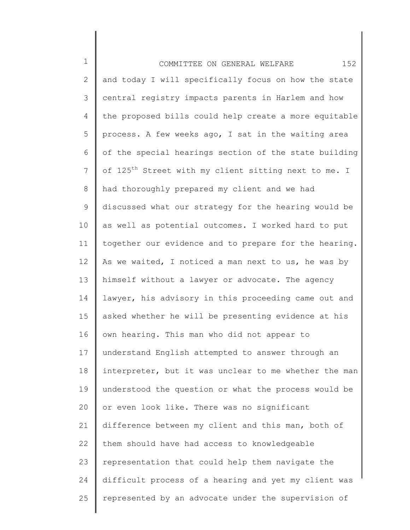1 2 3 4 5 6 7 8 9 10 11 12 13 14 15 16 17 18 19 20 21 22 23 24 25 COMMITTEE ON GENERAL WELFARE 152 and today I will specifically focus on how the state central registry impacts parents in Harlem and how the proposed bills could help create a more equitable process. A few weeks ago, I sat in the waiting area of the special hearings section of the state building of 125<sup>th</sup> Street with my client sitting next to me. I had thoroughly prepared my client and we had discussed what our strategy for the hearing would be as well as potential outcomes. I worked hard to put together our evidence and to prepare for the hearing. As we waited, I noticed a man next to us, he was by himself without a lawyer or advocate. The agency lawyer, his advisory in this proceeding came out and asked whether he will be presenting evidence at his own hearing. This man who did not appear to understand English attempted to answer through an interpreter, but it was unclear to me whether the man understood the question or what the process would be or even look like. There was no significant difference between my client and this man, both of them should have had access to knowledgeable representation that could help them navigate the difficult process of a hearing and yet my client was represented by an advocate under the supervision of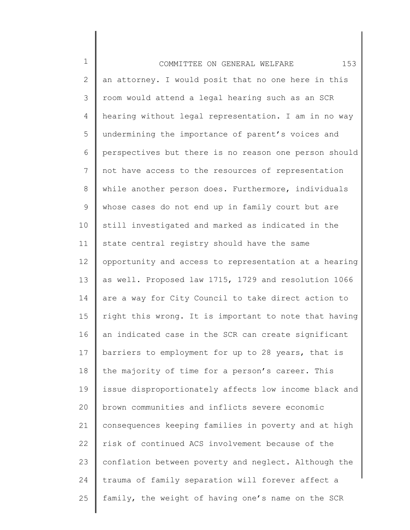1 2 3 4 5 6 7 8 9 10 11 12 13 14 15 16 17 18 19 20 21 22 23 24 25 COMMITTEE ON GENERAL WELFARE 153 an attorney. I would posit that no one here in this room would attend a legal hearing such as an SCR hearing without legal representation. I am in no way undermining the importance of parent's voices and perspectives but there is no reason one person should not have access to the resources of representation while another person does. Furthermore, individuals whose cases do not end up in family court but are still investigated and marked as indicated in the state central registry should have the same opportunity and access to representation at a hearing as well. Proposed law 1715, 1729 and resolution 1066 are a way for City Council to take direct action to right this wrong. It is important to note that having an indicated case in the SCR can create significant barriers to employment for up to 28 years, that is the majority of time for a person's career. This issue disproportionately affects low income black and brown communities and inflicts severe economic consequences keeping families in poverty and at high risk of continued ACS involvement because of the conflation between poverty and neglect. Although the trauma of family separation will forever affect a family, the weight of having one's name on the SCR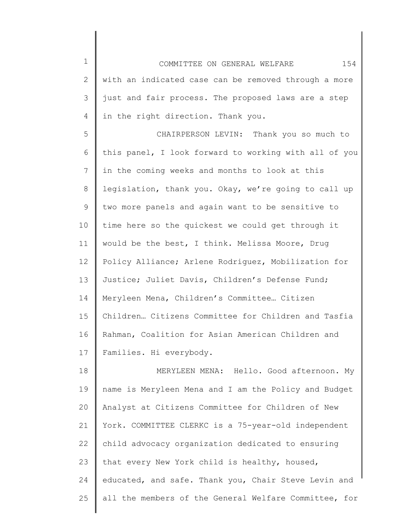1 2 3 4 COMMITTEE ON GENERAL WELFARE 154 with an indicated case can be removed through a more just and fair process. The proposed laws are a step in the right direction. Thank you.

5 6 7 8 9 10 11 12 13 14 15 16 17 CHAIRPERSON LEVIN: Thank you so much to this panel, I look forward to working with all of you in the coming weeks and months to look at this legislation, thank you. Okay, we're going to call up two more panels and again want to be sensitive to time here so the quickest we could get through it would be the best, I think. Melissa Moore, Drug Policy Alliance; Arlene Rodriguez, Mobilization for Justice; Juliet Davis, Children's Defense Fund; Meryleen Mena, Children's Committee… Citizen Children… Citizens Committee for Children and Tasfia Rahman, Coalition for Asian American Children and Families. Hi everybody.

18 19 20 21 22 23 24 25 MERYLEEN MENA: Hello. Good afternoon. My name is Meryleen Mena and I am the Policy and Budget Analyst at Citizens Committee for Children of New York. COMMITTEE CLERKC is a 75-year-old independent child advocacy organization dedicated to ensuring that every New York child is healthy, housed, educated, and safe. Thank you, Chair Steve Levin and all the members of the General Welfare Committee, for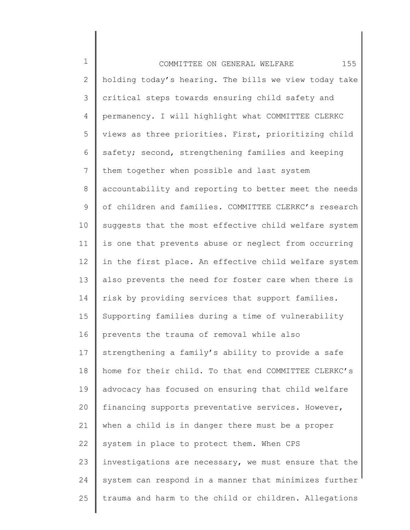1 2 3 4 5 6 7 8 9 10 11 12 13 14 15 16 17 18 19 20 21 22 23 24 25 COMMITTEE ON GENERAL WELFARE 155 holding today's hearing. The bills we view today take critical steps towards ensuring child safety and permanency. I will highlight what COMMITTEE CLERKC views as three priorities. First, prioritizing child safety; second, strengthening families and keeping them together when possible and last system accountability and reporting to better meet the needs of children and families. COMMITTEE CLERKC's research suggests that the most effective child welfare system is one that prevents abuse or neglect from occurring in the first place. An effective child welfare system also prevents the need for foster care when there is risk by providing services that support families. Supporting families during a time of vulnerability prevents the trauma of removal while also strengthening a family's ability to provide a safe home for their child. To that end COMMITTEE CLERKC's advocacy has focused on ensuring that child welfare financing supports preventative services. However, when a child is in danger there must be a proper system in place to protect them. When CPS investigations are necessary, we must ensure that the system can respond in a manner that minimizes further trauma and harm to the child or children. Allegations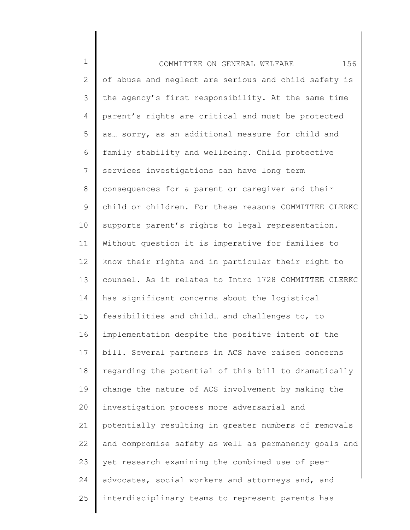1 2 3 4 5 6 7 8 9 10 11 12 13 14 15 16 17 18 19 20 21 22 23 24 25 COMMITTEE ON GENERAL WELFARE 156 of abuse and neglect are serious and child safety is the agency's first responsibility. At the same time parent's rights are critical and must be protected as… sorry, as an additional measure for child and family stability and wellbeing. Child protective services investigations can have long term consequences for a parent or caregiver and their child or children. For these reasons COMMITTEE CLERKC supports parent's rights to legal representation. Without question it is imperative for families to know their rights and in particular their right to counsel. As it relates to Intro 1728 COMMITTEE CLERKC has significant concerns about the logistical feasibilities and child… and challenges to, to implementation despite the positive intent of the bill. Several partners in ACS have raised concerns regarding the potential of this bill to dramatically change the nature of ACS involvement by making the investigation process more adversarial and potentially resulting in greater numbers of removals and compromise safety as well as permanency goals and yet research examining the combined use of peer advocates, social workers and attorneys and, and interdisciplinary teams to represent parents has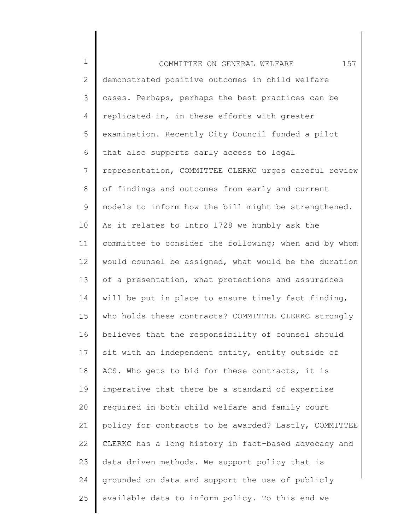1 2 3 4 5 6 7 8 9 10 11 12 13 14 15 16 17 18 19 20 21 22 23 24 25 COMMITTEE ON GENERAL WELFARE 157 demonstrated positive outcomes in child welfare cases. Perhaps, perhaps the best practices can be replicated in, in these efforts with greater examination. Recently City Council funded a pilot that also supports early access to legal representation, COMMITTEE CLERKC urges careful review of findings and outcomes from early and current models to inform how the bill might be strengthened. As it relates to Intro 1728 we humbly ask the committee to consider the following; when and by whom would counsel be assigned, what would be the duration of a presentation, what protections and assurances will be put in place to ensure timely fact finding, who holds these contracts? COMMITTEE CLERKC strongly believes that the responsibility of counsel should sit with an independent entity, entity outside of ACS. Who gets to bid for these contracts, it is imperative that there be a standard of expertise required in both child welfare and family court policy for contracts to be awarded? Lastly, COMMITTEE CLERKC has a long history in fact-based advocacy and data driven methods. We support policy that is grounded on data and support the use of publicly available data to inform policy. To this end we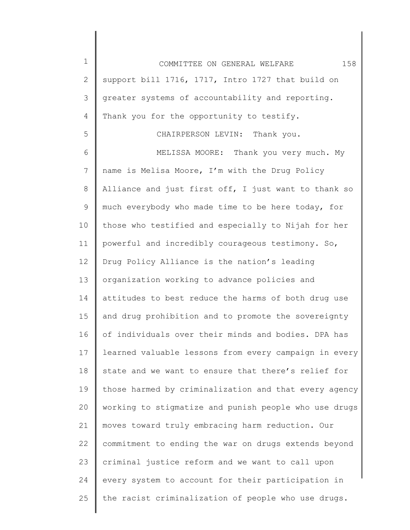1 2 3 4 5 6 7 8 9 10 11 12 13 14 15 16 17 18 19 20 21 22 23 24 25 COMMITTEE ON GENERAL WELFARE 158 support bill 1716, 1717, Intro 1727 that build on greater systems of accountability and reporting. Thank you for the opportunity to testify. CHAIRPERSON LEVIN: Thank you. MELISSA MOORE: Thank you very much. My name is Melisa Moore, I'm with the Drug Policy Alliance and just first off, I just want to thank so much everybody who made time to be here today, for those who testified and especially to Nijah for her powerful and incredibly courageous testimony. So, Drug Policy Alliance is the nation's leading organization working to advance policies and attitudes to best reduce the harms of both drug use and drug prohibition and to promote the sovereignty of individuals over their minds and bodies. DPA has learned valuable lessons from every campaign in every state and we want to ensure that there's relief for those harmed by criminalization and that every agency working to stigmatize and punish people who use drugs moves toward truly embracing harm reduction. Our commitment to ending the war on drugs extends beyond criminal justice reform and we want to call upon every system to account for their participation in the racist criminalization of people who use drugs.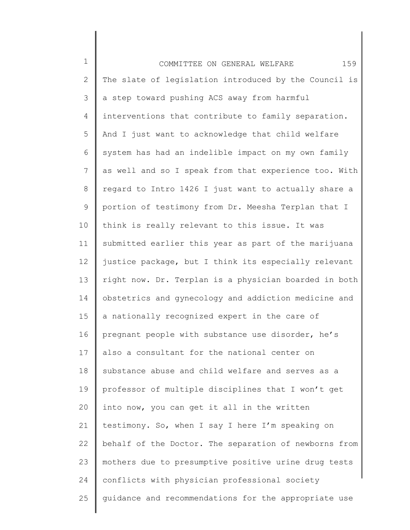| $\mathbf 1$    | 159<br>COMMITTEE ON GENERAL WELFARE                   |
|----------------|-------------------------------------------------------|
| 2              | The slate of legislation introduced by the Council is |
| 3              | a step toward pushing ACS away from harmful           |
| 4              | interventions that contribute to family separation.   |
| 5              | And I just want to acknowledge that child welfare     |
| 6              | system has had an indelible impact on my own family   |
| $\overline{7}$ | as well and so I speak from that experience too. With |
| 8              | regard to Intro 1426 I just want to actually share a  |
| 9              | portion of testimony from Dr. Meesha Terplan that I   |
| 10             | think is really relevant to this issue. It was        |
| 11             | submitted earlier this year as part of the marijuana  |
| 12             | justice package, but I think its especially relevant  |
| 13             | right now. Dr. Terplan is a physician boarded in both |
| 14             | obstetrics and gynecology and addiction medicine and  |
| 15             | a nationally recognized expert in the care of         |
| 16             | pregnant people with substance use disorder, he's     |
| 17             | also a consultant for the national center on          |
| 18             | substance abuse and child welfare and serves as a     |
| 19             | professor of multiple disciplines that I won't get    |
| 20             | into now, you can get it all in the written           |
| 21             | testimony. So, when I say I here I'm speaking on      |
| 22             | behalf of the Doctor. The separation of newborns from |
| 23             | mothers due to presumptive positive urine drug tests  |
| 24             | conflicts with physician professional society         |
| 25             | guidance and recommendations for the appropriate use  |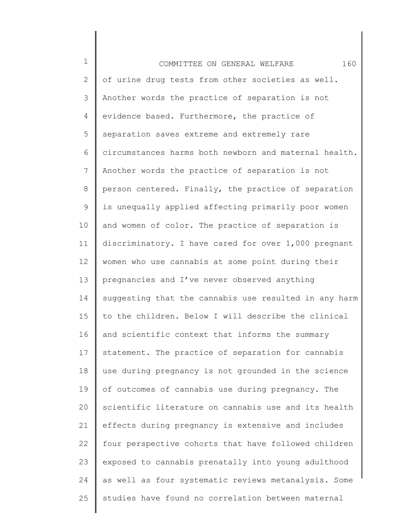1 2 3 4 5 6 7 8 9 10 11 12 13 14 15 16 17 18 19 20 21 22 23 24 25 COMMITTEE ON GENERAL WELFARE 160 of urine drug tests from other societies as well. Another words the practice of separation is not evidence based. Furthermore, the practice of separation saves extreme and extremely rare circumstances harms both newborn and maternal health. Another words the practice of separation is not person centered. Finally, the practice of separation is unequally applied affecting primarily poor women and women of color. The practice of separation is discriminatory. I have cared for over 1,000 pregnant women who use cannabis at some point during their pregnancies and I've never observed anything suggesting that the cannabis use resulted in any harm to the children. Below I will describe the clinical and scientific context that informs the summary statement. The practice of separation for cannabis use during pregnancy is not grounded in the science of outcomes of cannabis use during pregnancy. The scientific literature on cannabis use and its health effects during pregnancy is extensive and includes four perspective cohorts that have followed children exposed to cannabis prenatally into young adulthood as well as four systematic reviews metanalysis. Some studies have found no correlation between maternal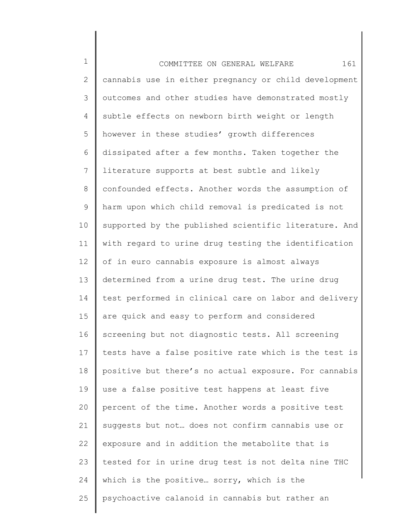1 2 3 4 5 6 7 8 9 10 11 12 13 14 15 16 17 18 19 20 21 22 23 24 25 COMMITTEE ON GENERAL WELFARE 161 cannabis use in either pregnancy or child development outcomes and other studies have demonstrated mostly subtle effects on newborn birth weight or length however in these studies' growth differences dissipated after a few months. Taken together the literature supports at best subtle and likely confounded effects. Another words the assumption of harm upon which child removal is predicated is not supported by the published scientific literature. And with regard to urine drug testing the identification of in euro cannabis exposure is almost always determined from a urine drug test. The urine drug test performed in clinical care on labor and delivery are quick and easy to perform and considered screening but not diagnostic tests. All screening tests have a false positive rate which is the test is positive but there's no actual exposure. For cannabis use a false positive test happens at least five percent of the time. Another words a positive test suggests but not… does not confirm cannabis use or exposure and in addition the metabolite that is tested for in urine drug test is not delta nine THC which is the positive… sorry, which is the psychoactive calanoid in cannabis but rather an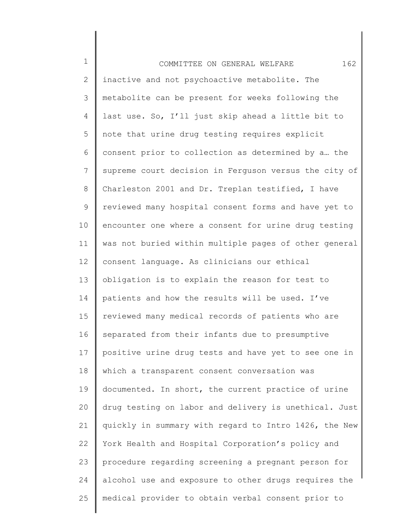1 2 3 4 5 6 7 8 9 10 11 12 13 14 15 16 17 18 19 20 21 22 23 24 25 COMMITTEE ON GENERAL WELFARE 162 inactive and not psychoactive metabolite. The metabolite can be present for weeks following the last use. So, I'll just skip ahead a little bit to note that urine drug testing requires explicit consent prior to collection as determined by a… the supreme court decision in Ferguson versus the city of Charleston 2001 and Dr. Treplan testified, I have reviewed many hospital consent forms and have yet to encounter one where a consent for urine drug testing was not buried within multiple pages of other general consent language. As clinicians our ethical obligation is to explain the reason for test to patients and how the results will be used. I've reviewed many medical records of patients who are separated from their infants due to presumptive positive urine drug tests and have yet to see one in which a transparent consent conversation was documented. In short, the current practice of urine drug testing on labor and delivery is unethical. Just quickly in summary with regard to Intro 1426, the New York Health and Hospital Corporation's policy and procedure regarding screening a pregnant person for alcohol use and exposure to other drugs requires the medical provider to obtain verbal consent prior to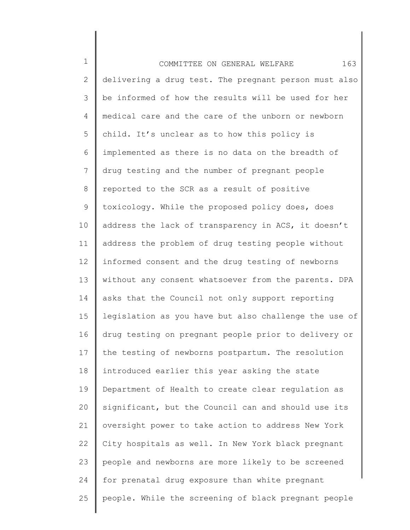1 2 3 4 5 6 7 8 9 10 11 12 13 14 15 16 17 18 19 20 21 22 23 24 25 COMMITTEE ON GENERAL WELFARE 163 delivering a drug test. The pregnant person must also be informed of how the results will be used for her medical care and the care of the unborn or newborn child. It's unclear as to how this policy is implemented as there is no data on the breadth of drug testing and the number of pregnant people reported to the SCR as a result of positive toxicology. While the proposed policy does, does address the lack of transparency in ACS, it doesn't address the problem of drug testing people without informed consent and the drug testing of newborns without any consent whatsoever from the parents. DPA asks that the Council not only support reporting legislation as you have but also challenge the use of drug testing on pregnant people prior to delivery or the testing of newborns postpartum. The resolution introduced earlier this year asking the state Department of Health to create clear regulation as significant, but the Council can and should use its oversight power to take action to address New York City hospitals as well. In New York black pregnant people and newborns are more likely to be screened for prenatal drug exposure than white pregnant people. While the screening of black pregnant people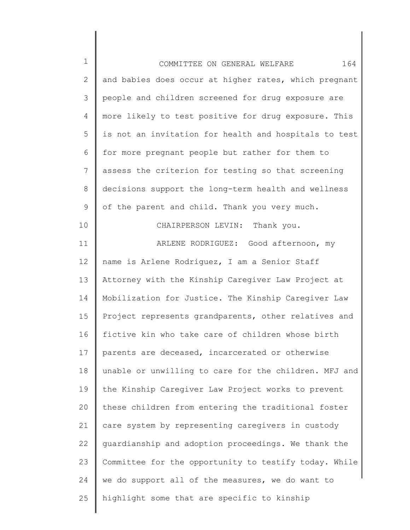| $\mathbf 1$  | 164<br>COMMITTEE ON GENERAL WELFARE                   |
|--------------|-------------------------------------------------------|
| $\mathbf{2}$ | and babies does occur at higher rates, which pregnant |
| 3            | people and children screened for drug exposure are    |
| 4            | more likely to test positive for drug exposure. This  |
| 5            | is not an invitation for health and hospitals to test |
| 6            | for more pregnant people but rather for them to       |
| 7            | assess the criterion for testing so that screening    |
| 8            | decisions support the long-term health and wellness   |
| 9            | of the parent and child. Thank you very much.         |
| 10           | CHAIRPERSON LEVIN: Thank you.                         |
| 11           | ARLENE RODRIGUEZ: Good afternoon, my                  |
| 12           | name is Arlene Rodriguez, I am a Senior Staff         |
| 13           | Attorney with the Kinship Caregiver Law Project at    |
| 14           | Mobilization for Justice. The Kinship Caregiver Law   |
| 15           | Project represents grandparents, other relatives and  |
| 16           | fictive kin who take care of children whose birth     |
| 17           | parents are deceased, incarcerated or otherwise       |
| 18           | unable or unwilling to care for the children. MFJ and |
| 19           | the Kinship Caregiver Law Project works to prevent    |
| 20           | these children from entering the traditional foster   |
| 21           | care system by representing caregivers in custody     |
| 22           | guardianship and adoption proceedings. We thank the   |
| 23           | Committee for the opportunity to testify today. While |
| 24           | we do support all of the measures, we do want to      |
| 25           | highlight some that are specific to kinship           |
|              |                                                       |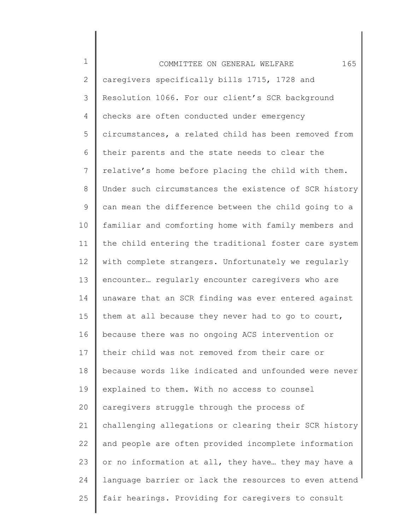| $\mathbf 1$    | 165<br>COMMITTEE ON GENERAL WELFARE                   |
|----------------|-------------------------------------------------------|
| 2              | caregivers specifically bills 1715, 1728 and          |
| 3              | Resolution 1066. For our client's SCR background      |
| 4              | checks are often conducted under emergency            |
| 5              | circumstances, a related child has been removed from  |
| 6              | their parents and the state needs to clear the        |
| $7\phantom{.}$ | relative's home before placing the child with them.   |
| 8              | Under such circumstances the existence of SCR history |
| 9              | can mean the difference between the child going to a  |
| 10             | familiar and comforting home with family members and  |
| 11             | the child entering the traditional foster care system |
| 12             | with complete strangers. Unfortunately we regularly   |
| 13             | encounter regularly encounter caregivers who are      |
| 14             | unaware that an SCR finding was ever entered against  |
| 15             | them at all because they never had to go to court,    |
| 16             | because there was no ongoing ACS intervention or      |
| 17             | their child was not removed from their care or        |
| 18             | because words like indicated and unfounded were never |
| 19             | explained to them. With no access to counsel          |
| 20             | caregivers struggle through the process of            |
| 21             | challenging allegations or clearing their SCR history |
| 22             | and people are often provided incomplete information  |
| 23             | or no information at all, they have they may have a   |
| 24             | language barrier or lack the resources to even attend |
| 25             | fair hearings. Providing for caregivers to consult    |
|                |                                                       |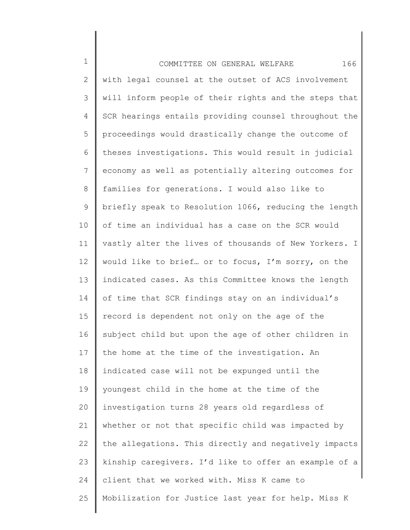| $\mathbf 1$ | 166<br>COMMITTEE ON GENERAL WELFARE                   |
|-------------|-------------------------------------------------------|
| 2           | with legal counsel at the outset of ACS involvement   |
| 3           | will inform people of their rights and the steps that |
| 4           | SCR hearings entails providing counsel throughout the |
| 5           | proceedings would drastically change the outcome of   |
| 6           | theses investigations. This would result in judicial  |
| 7           | economy as well as potentially altering outcomes for  |
| $8\,$       | families for generations. I would also like to        |
| $\mathsf 9$ | briefly speak to Resolution 1066, reducing the length |
| 10          | of time an individual has a case on the SCR would     |
| 11          | vastly alter the lives of thousands of New Yorkers. I |
| 12          | would like to brief or to focus, I'm sorry, on the    |
| 13          | indicated cases. As this Committee knows the length   |
| 14          | of time that SCR findings stay on an individual's     |
| 15          | record is dependent not only on the age of the        |
| 16          | subject child but upon the age of other children in   |
| 17          | the home at the time of the investigation. An         |
| 18          | indicated case will not be expunged until the         |
| 19          | youngest child in the home at the time of the         |
| 20          | investigation turns 28 years old regardless of        |
| 21          | whether or not that specific child was impacted by    |
| 22          | the allegations. This directly and negatively impacts |
| 23          | kinship caregivers. I'd like to offer an example of a |
| 24          | client that we worked with. Miss K came to            |
| 25          | Mobilization for Justice last year for help. Miss K   |
|             |                                                       |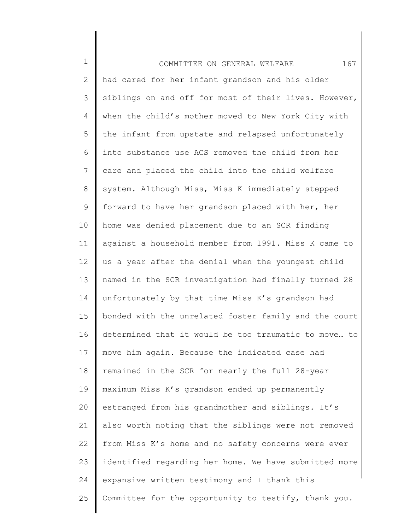| $\mathbf 1$     | 167<br>COMMITTEE ON GENERAL WELFARE                   |
|-----------------|-------------------------------------------------------|
| $\mathbf{2}$    | had cared for her infant grandson and his older       |
| 3               | siblings on and off for most of their lives. However, |
| 4               | when the child's mother moved to New York City with   |
| 5               | the infant from upstate and relapsed unfortunately    |
| 6               | into substance use ACS removed the child from her     |
| $7\phantom{.0}$ | care and placed the child into the child welfare      |
| 8               | system. Although Miss, Miss K immediately stepped     |
| 9               | forward to have her grandson placed with her, her     |
| 10              | home was denied placement due to an SCR finding       |
| 11              | against a household member from 1991. Miss K came to  |
| 12              | us a year after the denial when the youngest child    |
| 13              | named in the SCR investigation had finally turned 28  |
| 14              | unfortunately by that time Miss K's grandson had      |
| 15              | bonded with the unrelated foster family and the court |
| 16              | determined that it would be too traumatic to move to  |
| 17              | move him again. Because the indicated case had        |
| 18              | remained in the SCR for nearly the full 28-year       |
| 19              | maximum Miss K's grandson ended up permanently        |
| 20              | estranged from his grandmother and siblings. It's     |
| 21              | also worth noting that the siblings were not removed  |
| 22              | from Miss K's home and no safety concerns were ever   |
| 23              | identified regarding her home. We have submitted more |
| 24              | expansive written testimony and I thank this          |
| 25              | Committee for the opportunity to testify, thank you.  |
|                 |                                                       |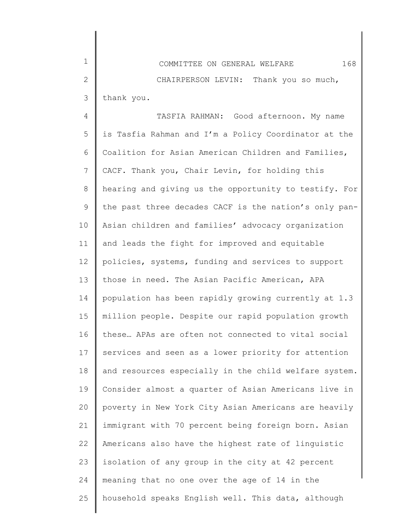4 5 6 7 8 9 10 11 12 13 14 15 16 17 18 19 20 21 22 23 24 25 TASFIA RAHMAN: Good afternoon. My name is Tasfia Rahman and I'm a Policy Coordinator at the Coalition for Asian American Children and Families, CACF. Thank you, Chair Levin, for holding this hearing and giving us the opportunity to testify. For the past three decades CACF is the nation's only pan-Asian children and families' advocacy organization and leads the fight for improved and equitable policies, systems, funding and services to support those in need. The Asian Pacific American, APA population has been rapidly growing currently at 1.3 million people. Despite our rapid population growth these… APAs are often not connected to vital social services and seen as a lower priority for attention and resources especially in the child welfare system. Consider almost a quarter of Asian Americans live in poverty in New York City Asian Americans are heavily immigrant with 70 percent being foreign born. Asian Americans also have the highest rate of linguistic isolation of any group in the city at 42 percent meaning that no one over the age of 14 in the household speaks English well. This data, although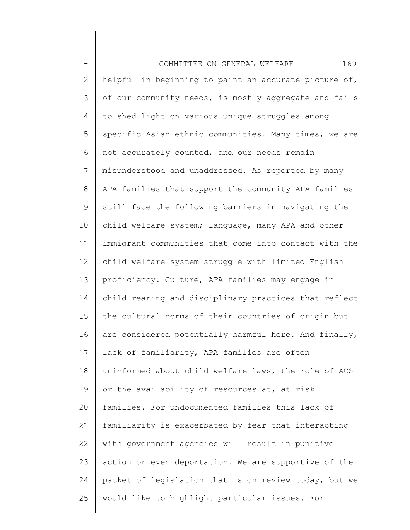| $\mathbf 1$ | 169<br>COMMITTEE ON GENERAL WELFARE                   |
|-------------|-------------------------------------------------------|
| 2           | helpful in beginning to paint an accurate picture of, |
| 3           | of our community needs, is mostly aggregate and fails |
| 4           | to shed light on various unique struggles among       |
| 5           | specific Asian ethnic communities. Many times, we are |
| 6           | not accurately counted, and our needs remain          |
| 7           | misunderstood and unaddressed. As reported by many    |
| 8           | APA families that support the community APA families  |
| 9           | still face the following barriers in navigating the   |
| 10          | child welfare system; language, many APA and other    |
| 11          | immigrant communities that come into contact with the |
| 12          | child welfare system struggle with limited English    |
| 13          | proficiency. Culture, APA families may engage in      |
| 14          | child rearing and disciplinary practices that reflect |
| 15          | the cultural norms of their countries of origin but   |
| 16          | are considered potentially harmful here. And finally, |
| 17          | lack of familiarity, APA families are often           |
| 18          | uninformed about child welfare laws, the role of ACS  |
| 19          | or the availability of resources at, at risk          |
| 20          | families. For undocumented families this lack of      |
| 21          | familiarity is exacerbated by fear that interacting   |
| 22          | with government agencies will result in punitive      |
| 23          | action or even deportation. We are supportive of the  |
| 24          | packet of legislation that is on review today, but we |
| 25          | would like to highlight particular issues. For        |
|             |                                                       |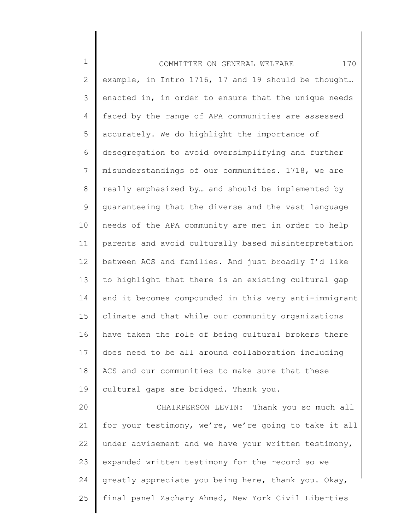1 2 3 4 5 6 7 8 9 10 11 12 13 14 15 16 17 18 19 20 21 22 23 24 25 COMMITTEE ON GENERAL WELFARE 170 example, in Intro 1716, 17 and 19 should be thought… enacted in, in order to ensure that the unique needs faced by the range of APA communities are assessed accurately. We do highlight the importance of desegregation to avoid oversimplifying and further misunderstandings of our communities. 1718, we are really emphasized by… and should be implemented by guaranteeing that the diverse and the vast language needs of the APA community are met in order to help parents and avoid culturally based misinterpretation between ACS and families. And just broadly I'd like to highlight that there is an existing cultural gap and it becomes compounded in this very anti-immigrant climate and that while our community organizations have taken the role of being cultural brokers there does need to be all around collaboration including ACS and our communities to make sure that these cultural gaps are bridged. Thank you. CHAIRPERSON LEVIN: Thank you so much all for your testimony, we're, we're going to take it all under advisement and we have your written testimony, expanded written testimony for the record so we greatly appreciate you being here, thank you. Okay, final panel Zachary Ahmad, New York Civil Liberties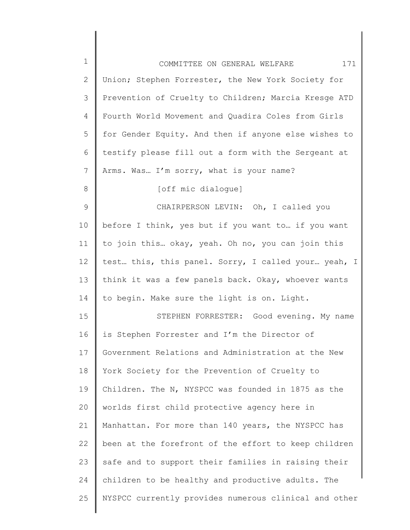| $\mathbf 1$   | 171<br>COMMITTEE ON GENERAL WELFARE                   |
|---------------|-------------------------------------------------------|
| 2             | Union; Stephen Forrester, the New York Society for    |
| $\mathcal{S}$ | Prevention of Cruelty to Children; Marcia Kresge ATD  |
| 4             | Fourth World Movement and Quadira Coles from Girls    |
| 5             | for Gender Equity. And then if anyone else wishes to  |
| 6             | testify please fill out a form with the Sergeant at   |
| 7             | Arms. Was I'm sorry, what is your name?               |
| 8             | [off mic dialogue]                                    |
| 9             | CHAIRPERSON LEVIN: Oh, I called you                   |
| 10            | before I think, yes but if you want to  if you want   |
| 11            | to join this okay, yeah. Oh no, you can join this     |
| 12            | test this, this panel. Sorry, I called your yeah, I   |
| 13            | think it was a few panels back. Okay, whoever wants   |
| 14            | to begin. Make sure the light is on. Light.           |
| 15            | STEPHEN FORRESTER: Good evening. My name              |
| 16            | is Stephen Forrester and I'm the Director of          |
| 17            | Government Relations and Administration at the New    |
| 18            | York Society for the Prevention of Cruelty to         |
| 19            | Children. The N, NYSPCC was founded in 1875 as the    |
| 20            | worlds first child protective agency here in          |
| 21            | Manhattan. For more than 140 years, the NYSPCC has    |
| 22            | been at the forefront of the effort to keep children  |
| 23            | safe and to support their families in raising their   |
| 24            | children to be healthy and productive adults. The     |
| 25            | NYSPCC currently provides numerous clinical and other |

║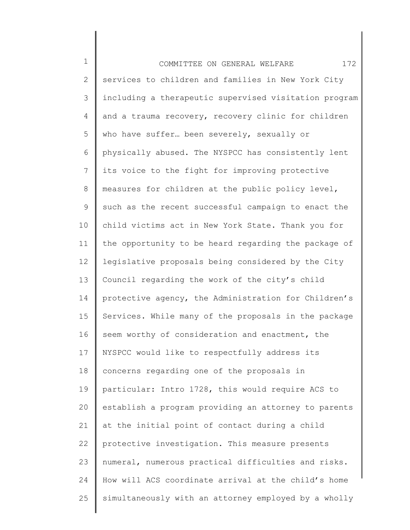1 2 3 4 5 6 7 8 9 10 11 12 13 14 15 16 17 18 19 20 21 22 23 24 25 COMMITTEE ON GENERAL WELFARE 172 services to children and families in New York City including a therapeutic supervised visitation program and a trauma recovery, recovery clinic for children who have suffer... been severely, sexually or physically abused. The NYSPCC has consistently lent its voice to the fight for improving protective measures for children at the public policy level, such as the recent successful campaign to enact the child victims act in New York State. Thank you for the opportunity to be heard regarding the package of legislative proposals being considered by the City Council regarding the work of the city's child protective agency, the Administration for Children's Services. While many of the proposals in the package seem worthy of consideration and enactment, the NYSPCC would like to respectfully address its concerns regarding one of the proposals in particular: Intro 1728, this would require ACS to establish a program providing an attorney to parents at the initial point of contact during a child protective investigation. This measure presents numeral, numerous practical difficulties and risks. How will ACS coordinate arrival at the child's home simultaneously with an attorney employed by a wholly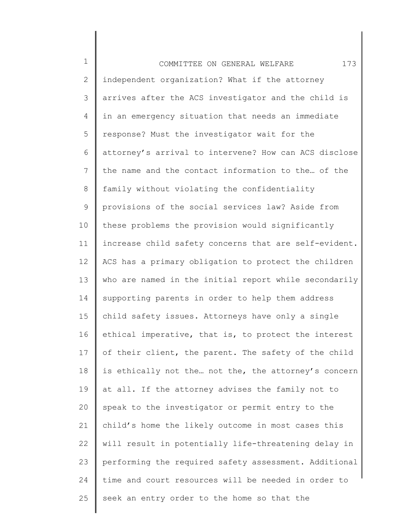1 2 3 4 5 6 7 8 9 10 11 12 13 14 15 16 17 18 19 20 21 22 23 24 25 COMMITTEE ON GENERAL WELFARE 173 independent organization? What if the attorney arrives after the ACS investigator and the child is in an emergency situation that needs an immediate response? Must the investigator wait for the attorney's arrival to intervene? How can ACS disclose the name and the contact information to the… of the family without violating the confidentiality provisions of the social services law? Aside from these problems the provision would significantly increase child safety concerns that are self-evident. ACS has a primary obligation to protect the children who are named in the initial report while secondarily supporting parents in order to help them address child safety issues. Attorneys have only a single ethical imperative, that is, to protect the interest of their client, the parent. The safety of the child is ethically not the… not the, the attorney's concern at all. If the attorney advises the family not to speak to the investigator or permit entry to the child's home the likely outcome in most cases this will result in potentially life-threatening delay in performing the required safety assessment. Additional time and court resources will be needed in order to seek an entry order to the home so that the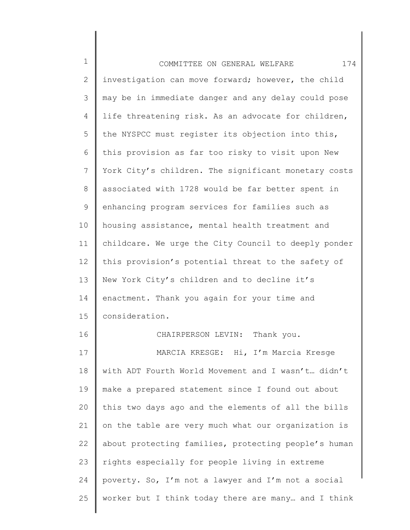| $\mathbf 1$    | 174<br>COMMITTEE ON GENERAL WELFARE                  |
|----------------|------------------------------------------------------|
| $\overline{2}$ | investigation can move forward; however, the child   |
| 3              | may be in immediate danger and any delay could pose  |
| 4              | life threatening risk. As an advocate for children,  |
| 5              | the NYSPCC must register its objection into this,    |
| 6              | this provision as far too risky to visit upon New    |
| $7\phantom{.}$ | York City's children. The significant monetary costs |
| 8              | associated with 1728 would be far better spent in    |
| 9              | enhancing program services for families such as      |
| 10             | housing assistance, mental health treatment and      |
| 11             | childcare. We urge the City Council to deeply ponder |
| 12             | this provision's potential threat to the safety of   |
| 13             | New York City's children and to decline it's         |
| 14             | enactment. Thank you again for your time and         |
| 15             | consideration.                                       |
| 16             | CHAIRPERSON LEVIN: Thank you.                        |
| 17             | MARCIA KRESGE: Hi, I'm Marcia Kresge                 |
| 18             | with ADT Fourth World Movement and I wasn't didn't   |
| 19             | make a prepared statement since I found out about    |
| 20             | this two days ago and the elements of all the bills  |
| 21             | on the table are very much what our organization is  |
| 22             | about protecting families, protecting people's human |
| 23             | rights especially for people living in extreme       |
| 24             | poverty. So, I'm not a lawyer and I'm not a social   |
| 25             | worker but I think today there are many and I think  |
|                |                                                      |

∥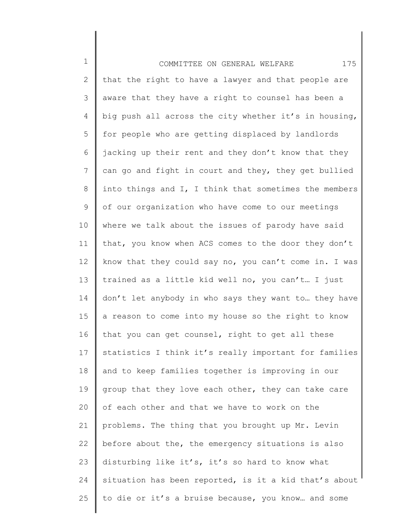1 2 3 4 5 6 7 8 9 10 11 12 13 14 15 16 17 18 19 20 21 22 23 24 25 COMMITTEE ON GENERAL WELFARE 175 that the right to have a lawyer and that people are aware that they have a right to counsel has been a big push all across the city whether it's in housing, for people who are getting displaced by landlords jacking up their rent and they don't know that they can go and fight in court and they, they get bullied into things and I, I think that sometimes the members of our organization who have come to our meetings where we talk about the issues of parody have said that, you know when ACS comes to the door they don't know that they could say no, you can't come in. I was trained as a little kid well no, you can't… I just don't let anybody in who says they want to… they have a reason to come into my house so the right to know that you can get counsel, right to get all these statistics I think it's really important for families and to keep families together is improving in our group that they love each other, they can take care of each other and that we have to work on the problems. The thing that you brought up Mr. Levin before about the, the emergency situations is also disturbing like it's, it's so hard to know what situation has been reported, is it a kid that's about to die or it's a bruise because, you know… and some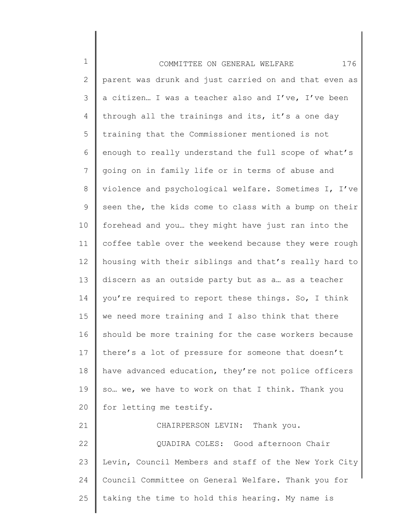1 2 3 4 5 6 7 8 9 10 11 12 13 14 15 16 17 18 19 20 21 22 23 24 25 COMMITTEE ON GENERAL WELFARE 176 parent was drunk and just carried on and that even as a citizen… I was a teacher also and I've, I've been through all the trainings and its, it's a one day training that the Commissioner mentioned is not enough to really understand the full scope of what's going on in family life or in terms of abuse and violence and psychological welfare. Sometimes I, I've seen the, the kids come to class with a bump on their forehead and you… they might have just ran into the coffee table over the weekend because they were rough housing with their siblings and that's really hard to discern as an outside party but as a… as a teacher you're required to report these things. So, I think we need more training and I also think that there should be more training for the case workers because there's a lot of pressure for someone that doesn't have advanced education, they're not police officers so… we, we have to work on that I think. Thank you for letting me testify. CHAIRPERSON LEVIN: Thank you. QUADIRA COLES: Good afternoon Chair Levin, Council Members and staff of the New York City Council Committee on General Welfare. Thank you for taking the time to hold this hearing. My name is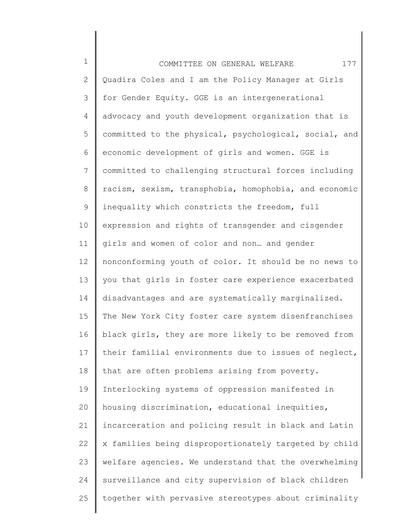1 2 3 4 5 6 7 8 9 10 11 12 13 14 15 16 17 18 19 20 21 22 23 24 25 COMMITTEE ON GENERAL WELFARE 177 Quadira Coles and I am the Policy Manager at Girls for Gender Equity. GGE is an intergenerational advocacy and youth development organization that is committed to the physical, psychological, social, and economic development of girls and women. GGE is committed to challenging structural forces including racism, sexism, transphobia, homophobia, and economic inequality which constricts the freedom, full expression and rights of transgender and cisgender girls and women of color and non… and gender nonconforming youth of color. It should be no news to you that girls in foster care experience exacerbated disadvantages and are systematically marginalized. The New York City foster care system disenfranchises black girls, they are more likely to be removed from their familial environments due to issues of neglect, that are often problems arising from poverty. Interlocking systems of oppression manifested in housing discrimination, educational inequities, incarceration and policing result in black and Latin x families being disproportionately targeted by child welfare agencies. We understand that the overwhelming surveillance and city supervision of black children together with pervasive stereotypes about criminality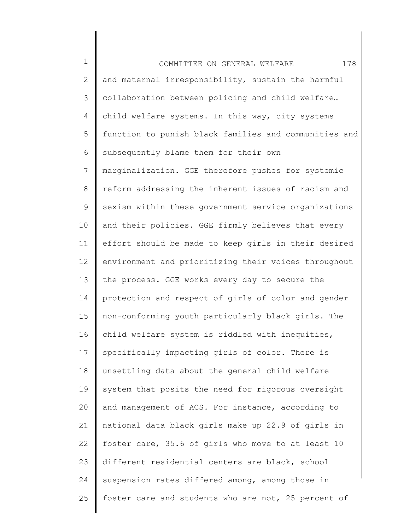1 2 3 4 5 6 7 8 9 10 11 12 13 14 15 16 17 18 19 20 21 22 23 24 25 COMMITTEE ON GENERAL WELFARE 178 and maternal irresponsibility, sustain the harmful collaboration between policing and child welfare… child welfare systems. In this way, city systems function to punish black families and communities and subsequently blame them for their own marginalization. GGE therefore pushes for systemic reform addressing the inherent issues of racism and sexism within these government service organizations and their policies. GGE firmly believes that every effort should be made to keep girls in their desired environment and prioritizing their voices throughout the process. GGE works every day to secure the protection and respect of girls of color and gender non-conforming youth particularly black girls. The child welfare system is riddled with inequities, specifically impacting girls of color. There is unsettling data about the general child welfare system that posits the need for rigorous oversight and management of ACS. For instance, according to national data black girls make up 22.9 of girls in foster care, 35.6 of girls who move to at least 10 different residential centers are black, school suspension rates differed among, among those in foster care and students who are not, 25 percent of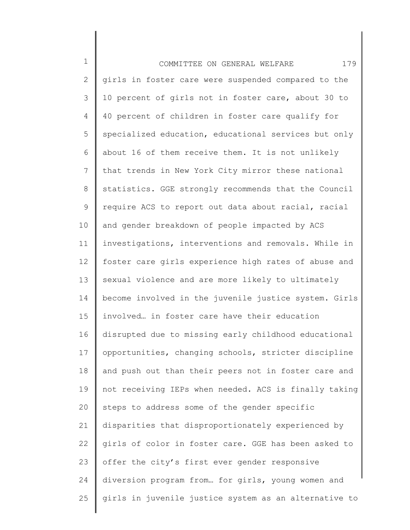| $\mathbf 1$    | 179<br>COMMITTEE ON GENERAL WELFARE                   |
|----------------|-------------------------------------------------------|
| 2              | girls in foster care were suspended compared to the   |
| 3              | 10 percent of girls not in foster care, about 30 to   |
| 4              | 40 percent of children in foster care qualify for     |
| 5              | specialized education, educational services but only  |
| 6              | about 16 of them receive them. It is not unlikely     |
| $\overline{7}$ | that trends in New York City mirror these national    |
| 8              | statistics. GGE strongly recommends that the Council  |
| $\mathsf 9$    | require ACS to report out data about racial, racial   |
| 10             | and gender breakdown of people impacted by ACS        |
| 11             | investigations, interventions and removals. While in  |
| 12             | foster care girls experience high rates of abuse and  |
| 13             | sexual violence and are more likely to ultimately     |
| 14             | become involved in the juvenile justice system. Girls |
| 15             | involved in foster care have their education          |
| 16             | disrupted due to missing early childhood educational  |
| 17             | opportunities, changing schools, stricter discipline  |
| 18             | and push out than their peers not in foster care and  |
| 19             | not receiving IEPs when needed. ACS is finally taking |
| 20             | steps to address some of the gender specific          |
| 21             | disparities that disproportionately experienced by    |
| 22             | girls of color in foster care. GGE has been asked to  |
| 23             | offer the city's first ever gender responsive         |
| 24             | diversion program from for girls, young women and     |
| 25             | girls in juvenile justice system as an alternative to |
|                |                                                       |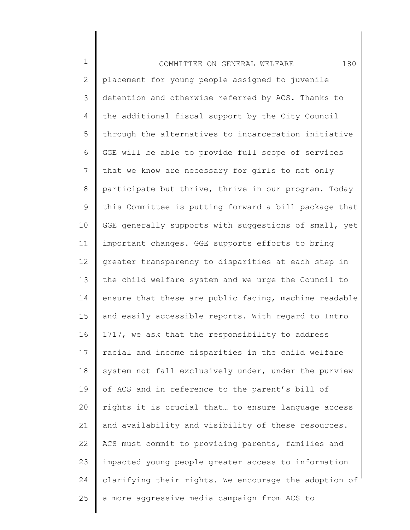1 2 3 4 5 6 7 8 9 10 11 12 13 14 15 16 17 18 19 20 21 22 23 24 25 COMMITTEE ON GENERAL WELFARE 180 placement for young people assigned to juvenile detention and otherwise referred by ACS. Thanks to the additional fiscal support by the City Council through the alternatives to incarceration initiative GGE will be able to provide full scope of services that we know are necessary for girls to not only participate but thrive, thrive in our program. Today this Committee is putting forward a bill package that GGE generally supports with suggestions of small, yet important changes. GGE supports efforts to bring greater transparency to disparities at each step in the child welfare system and we urge the Council to ensure that these are public facing, machine readable and easily accessible reports. With regard to Intro 1717, we ask that the responsibility to address racial and income disparities in the child welfare system not fall exclusively under, under the purview of ACS and in reference to the parent's bill of rights it is crucial that… to ensure language access and availability and visibility of these resources. ACS must commit to providing parents, families and impacted young people greater access to information clarifying their rights. We encourage the adoption of a more aggressive media campaign from ACS to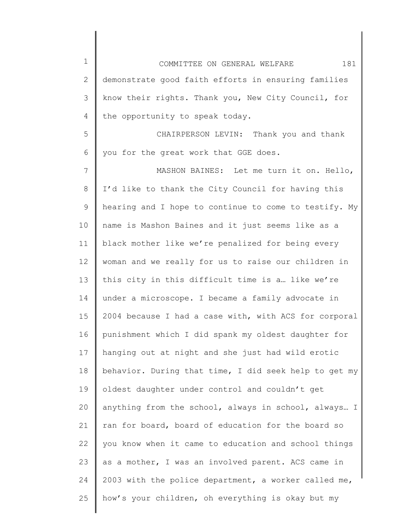1 2 3 4 5 6 COMMITTEE ON GENERAL WELFARE 181 demonstrate good faith efforts in ensuring families know their rights. Thank you, New City Council, for the opportunity to speak today. CHAIRPERSON LEVIN: Thank you and thank you for the great work that GGE does.

7 8 9 10 11 12 13 14 15 16 17 18 19 20 21 22 23 24 25 MASHON BAINES: Let me turn it on. Hello, I'd like to thank the City Council for having this hearing and I hope to continue to come to testify. My name is Mashon Baines and it just seems like as a black mother like we're penalized for being every woman and we really for us to raise our children in this city in this difficult time is a… like we're under a microscope. I became a family advocate in 2004 because I had a case with, with ACS for corporal punishment which I did spank my oldest daughter for hanging out at night and she just had wild erotic behavior. During that time, I did seek help to get my oldest daughter under control and couldn't get anything from the school, always in school, always… I ran for board, board of education for the board so you know when it came to education and school things as a mother, I was an involved parent. ACS came in 2003 with the police department, a worker called me, how's your children, oh everything is okay but my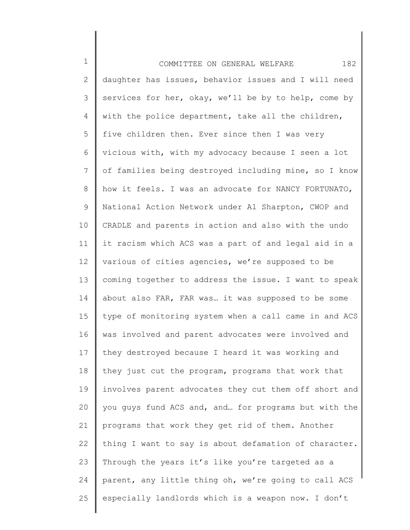1 2 3 4 5 6 7 8 9 10 11 12 13 14 15 16 17 18 19 20 21 22 23 24 25 COMMITTEE ON GENERAL WELFARE 182 daughter has issues, behavior issues and I will need services for her, okay, we'll be by to help, come by with the police department, take all the children, five children then. Ever since then I was very vicious with, with my advocacy because I seen a lot of families being destroyed including mine, so I know how it feels. I was an advocate for NANCY FORTUNATO, National Action Network under Al Sharpton, CWOP and CRADLE and parents in action and also with the undo it racism which ACS was a part of and legal aid in a various of cities agencies, we're supposed to be coming together to address the issue. I want to speak about also FAR, FAR was… it was supposed to be some type of monitoring system when a call came in and ACS was involved and parent advocates were involved and they destroyed because I heard it was working and they just cut the program, programs that work that involves parent advocates they cut them off short and you guys fund ACS and, and… for programs but with the programs that work they get rid of them. Another thing I want to say is about defamation of character. Through the years it's like you're targeted as a parent, any little thing oh, we're going to call ACS especially landlords which is a weapon now. I don't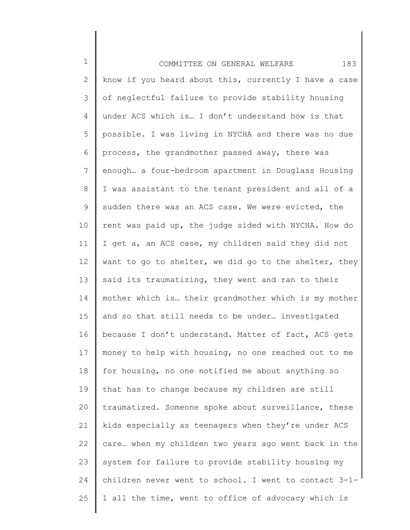1 2 3 4 5 6 7 8 9 10 11 12 13 14 15 16 17 18 19 20 21 22 23 24 25 COMMITTEE ON GENERAL WELFARE 183 know if you heard about this, currently I have a case of neglectful failure to provide stability housing under ACS which is… I don't understand how is that possible. I was living in NYCHA and there was no due process, the grandmother passed away, there was enough… a four-bedroom apartment in Douglass Housing I was assistant to the tenant president and all of a sudden there was an ACS case. We were evicted, the rent was paid up, the judge sided with NYCHA. How do I get a, an ACS case, my children said they did not want to go to shelter, we did go to the shelter, they said its traumatizing, they went and ran to their mother which is… their grandmother which is my mother and so that still needs to be under… investigated because I don't understand. Matter of fact, ACS gets money to help with housing, no one reached out to me for housing, no one notified me about anything so that has to change because my children are still traumatized. Someone spoke about surveillance, these kids especially as teenagers when they're under ACS care… when my children two years ago went back in the system for failure to provide stability housing my children never went to school. I went to contact 3-1- 1 all the time, went to office of advocacy which is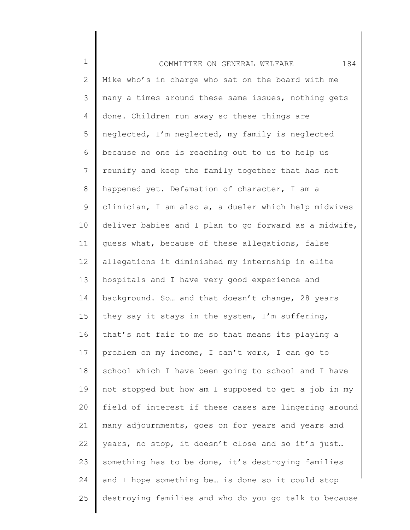| $\mathbf 1$     | 184<br>COMMITTEE ON GENERAL WELFARE                   |
|-----------------|-------------------------------------------------------|
| $\mathbf{2}$    | Mike who's in charge who sat on the board with me     |
| 3               | many a times around these same issues, nothing gets   |
| 4               | done. Children run away so these things are           |
| 5               | neglected, I'm neglected, my family is neglected      |
| 6               | because no one is reaching out to us to help us       |
| 7               | reunify and keep the family together that has not     |
| 8               | happened yet. Defamation of character, I am a         |
| 9               | clinician, I am also a, a dueler which help midwives  |
| 10 <sup>°</sup> | deliver babies and I plan to go forward as a midwife, |
| 11              | guess what, because of these allegations, false       |
| 12              | allegations it diminished my internship in elite      |
| 13              | hospitals and I have very good experience and         |
| 14              | background. So and that doesn't change, 28 years      |
| 15              | they say it stays in the system, I'm suffering,       |
| 16              | that's not fair to me so that means its playing a     |
| 17              | problem on my income, I can't work, I can go to       |
| 18              | school which I have been going to school and I have   |
| 19              | not stopped but how am I supposed to get a job in my  |
| 20              | field of interest if these cases are lingering around |
| 21              | many adjournments, goes on for years and years and    |
| 22              | years, no stop, it doesn't close and so it's just     |
| 23              | something has to be done, it's destroying families    |
| 24              | and I hope something be is done so it could stop      |
| 25              | destroying families and who do you go talk to because |
|                 |                                                       |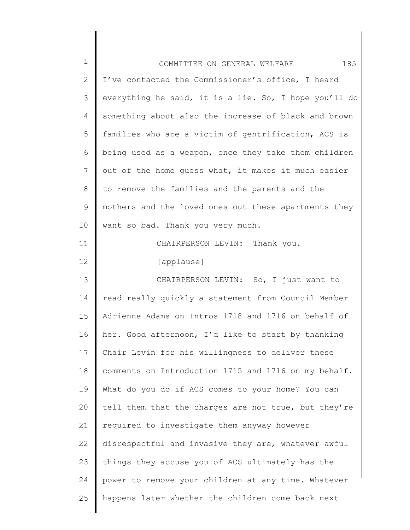| $\mathbf 1$ | 185<br>COMMITTEE ON GENERAL WELFARE                   |
|-------------|-------------------------------------------------------|
| 2           | I've contacted the Commissioner's office, I heard     |
| 3           | everything he said, it is a lie. So, I hope you'll do |
| 4           | something about also the increase of black and brown  |
| 5           | families who are a victim of gentrification, ACS is   |
| 6           | being used as a weapon, once they take them children  |
| 7           | out of the home guess what, it makes it much easier   |
| 8           | to remove the families and the parents and the        |
| 9           | mothers and the loved ones out these apartments they  |
| 10          | want so bad. Thank you very much.                     |
| 11          | CHAIRPERSON LEVIN: Thank you.                         |
| 12          | [applause]                                            |
| 13          | CHAIRPERSON LEVIN: So, I just want to                 |
| 14          | read really quickly a statement from Council Member   |
| 15          | Adrienne Adams on Intros 1718 and 1716 on behalf of   |
| 16          | her. Good afternoon, I'd like to start by thanking    |
| 17          | Chair Levin for his willingness to deliver these      |
| 18          | comments on Introduction 1715 and 1716 on my behalf.  |
| 19          | What do you do if ACS comes to your home? You can     |
| 20          | tell them that the charges are not true, but they're  |
| 21          | required to investigate them anyway however           |
| 22          | disrespectful and invasive they are, whatever awful   |
| 23          | things they accuse you of ACS ultimately has the      |
| 24          | power to remove your children at any time. Whatever   |
| 25          | happens later whether the children come back next     |

║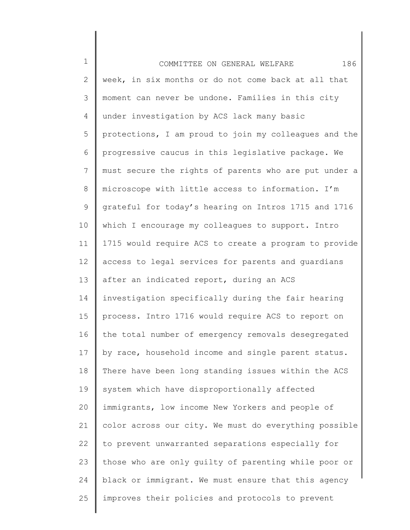| $\mathbf 1$  | 186<br>COMMITTEE ON GENERAL WELFARE                   |
|--------------|-------------------------------------------------------|
| $\mathbf{2}$ | week, in six months or do not come back at all that   |
| 3            | moment can never be undone. Families in this city     |
| 4            | under investigation by ACS lack many basic            |
| 5            | protections, I am proud to join my colleagues and the |
| 6            | progressive caucus in this legislative package. We    |
| 7            | must secure the rights of parents who are put under a |
| 8            | microscope with little access to information. I'm     |
| 9            | grateful for today's hearing on Intros 1715 and 1716  |
| 10           | which I encourage my colleagues to support. Intro     |
| 11           | 1715 would require ACS to create a program to provide |
| 12           | access to legal services for parents and guardians    |
| 13           | after an indicated report, during an ACS              |
| 14           | investigation specifically during the fair hearing    |
| 15           | process. Intro 1716 would require ACS to report on    |
| 16           | the total number of emergency removals desegregated   |
| 17           | by race, household income and single parent status.   |
| 18           | There have been long standing issues within the ACS   |
| 19           | system which have disproportionally affected          |
| 20           | immigrants, low income New Yorkers and people of      |
| 21           | color across our city. We must do everything possible |
| 22           | to prevent unwarranted separations especially for     |
| 23           | those who are only guilty of parenting while poor or  |
| 24           | black or immigrant. We must ensure that this agency   |
| 25           | improves their policies and protocols to prevent      |
|              |                                                       |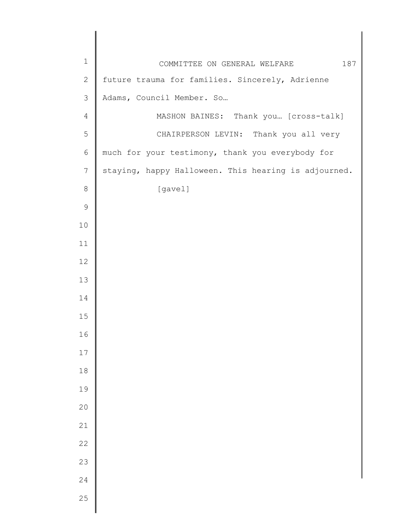| $\mathbf 1$    | 187<br>COMMITTEE ON GENERAL WELFARE                  |
|----------------|------------------------------------------------------|
| $\sqrt{2}$     | future trauma for families. Sincerely, Adrienne      |
| $\mathcal{S}$  | Adams, Council Member. So                            |
| $\overline{4}$ | MASHON BAINES: Thank you [cross-talk]                |
| 5              | CHAIRPERSON LEVIN: Thank you all very                |
| $\epsilon$     | much for your testimony, thank you everybody for     |
| 7              | staying, happy Halloween. This hearing is adjourned. |
| $\,8\,$        | [gavel]                                              |
| $\mathsf 9$    |                                                      |
| 10             |                                                      |
| 11             |                                                      |
| 12             |                                                      |
| 13             |                                                      |
| 14             |                                                      |
| 15             |                                                      |
| 16             |                                                      |
| 17             |                                                      |
| $18\,$         |                                                      |
| 19             |                                                      |
| 20             |                                                      |
| 21             |                                                      |
| 22             |                                                      |
| 23             |                                                      |
| 24             |                                                      |
| 25             |                                                      |
|                |                                                      |